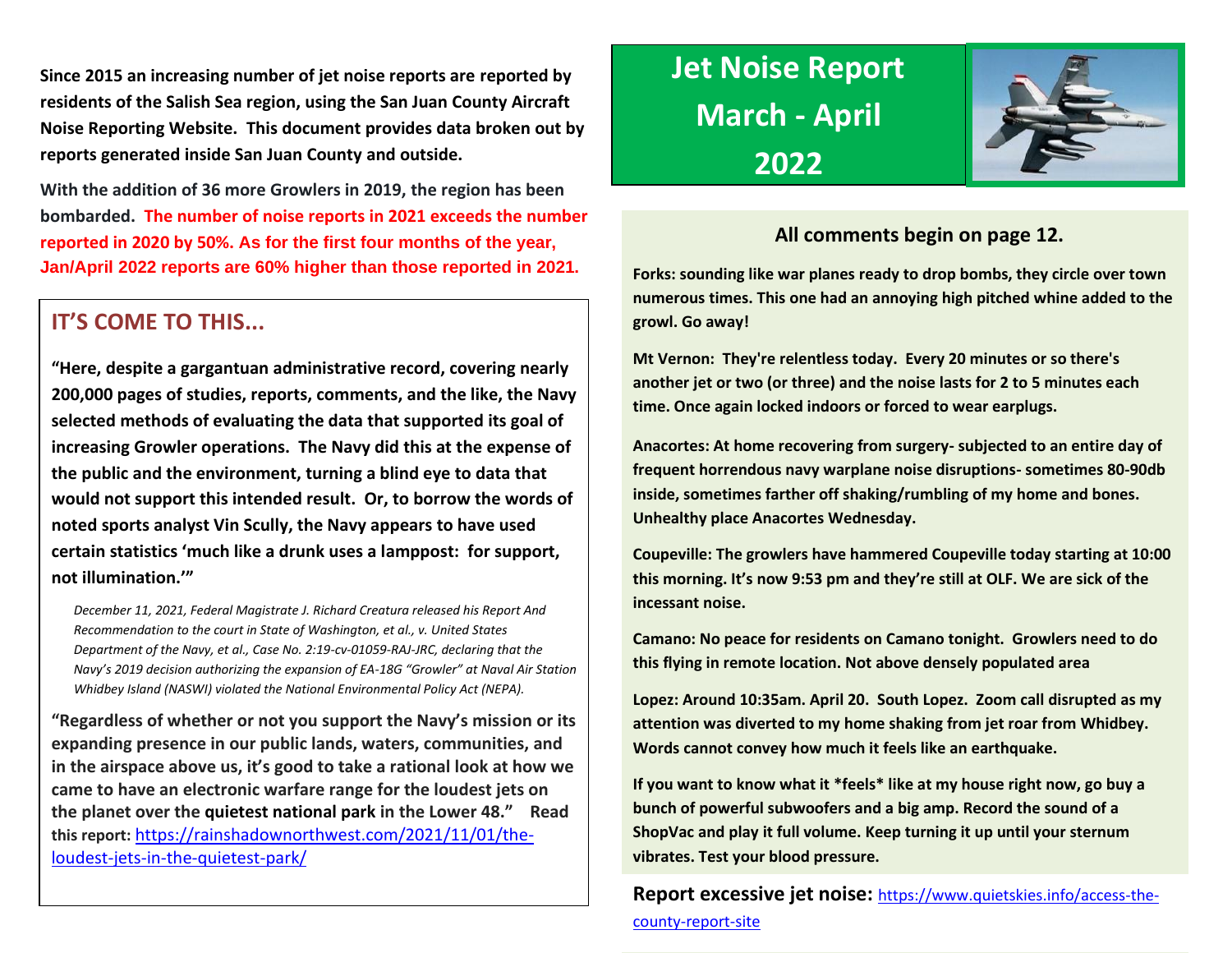**Since 2015 an increasing number of jet noise reports are reported by residents of the Salish Sea region, using the San Juan County Aircraft Noise Reporting Website. This document provides data broken out by reports generated inside San Juan County and outside.**

**With the addition of 36 more Growlers in 2019, the region has been bombarded. The number of noise reports in 2021 exceeds the number reported in 2020 by 50%. As for the first four months of the year, Jan/April 2022 reports are 60% higher than those reported in 2021.**

# **IT'S COME TO THIS...**

**"Here, despite a gargantuan administrative record, covering nearly 200,000 pages of studies, reports, comments, and the like, the Navy selected methods of evaluating the data that supported its goal of increasing Growler operations. The Navy did this at the expense of the public and the environment, turning a blind eye to data that would not support this intended result. Or, to borrow the words of noted sports analyst Vin Scully, the Navy appears to have used certain statistics 'much like a drunk uses a lamppost: for support, not illumination.'"** 

*December 11, 2021, Federal Magistrate J. Richard Creatura released his Report And Recommendation to the court in State of Washington, et al., v. United States Department of the Navy, et al., Case No. 2:19-cv-01059-RAJ-JRC, declaring that the Navy's 2019 decision authorizing the expansion of EA-18G "Growler" at Naval Air Station Whidbey Island (NASWI) violated the National Environmental Policy Act (NEPA).* 

**"Regardless of whether or not you support the Navy's mission or its expanding presence in our public lands, waters, communities, and in the airspace above us, it's good to take a rational look at how we came to have an electronic warfare range for the loudest jets on the planet over the quietest national park in the Lower 48." Read this report:** [https://rainshadownorthwest.com/2021/11/01/the](https://rainshadownorthwest.com/2021/11/01/the-loudest-jets-in-the-quietest-park/)[loudest-jets-in-the-quietest-park/](https://rainshadownorthwest.com/2021/11/01/the-loudest-jets-in-the-quietest-park/)

# **Jet Noise Report March - April 2022**



# **All comments begin on page 12.**

**Forks: sounding like war planes ready to drop bombs, they circle over town numerous times. This one had an annoying high pitched whine added to the growl. Go away!**

**Mt Vernon: They're relentless today. Every 20 minutes or so there's another jet or two (or three) and the noise lasts for 2 to 5 minutes each time. Once again locked indoors or forced to wear earplugs.**

**Anacortes: At home recovering from surgery- subjected to an entire day of frequent horrendous navy warplane noise disruptions- sometimes 80-90db inside, sometimes farther off shaking/rumbling of my home and bones. Unhealthy place Anacortes Wednesday.**

**Coupeville: The growlers have hammered Coupeville today starting at 10:00 this morning. It's now 9:53 pm and they're still at OLF. We are sick of the incessant noise.** 

**Camano: No peace for residents on Camano tonight. Growlers need to do this flying in remote location. Not above densely populated area**

**Lopez: Around 10:35am. April 20. South Lopez. Zoom call disrupted as my attention was diverted to my home shaking from jet roar from Whidbey. Words cannot convey how much it feels like an earthquake.**

**If you want to know what it \*feels\* like at my house right now, go buy a bunch of powerful subwoofers and a big amp. Record the sound of a ShopVac and play it full volume. Keep turning it up until your sternum vibrates. Test your blood pressure.**

**Report excessive jet noise:** [https://www.quietskies.info/access-the](https://www.quietskies.info/access-the-county-report-site)[county-report-site](https://www.quietskies.info/access-the-county-report-site)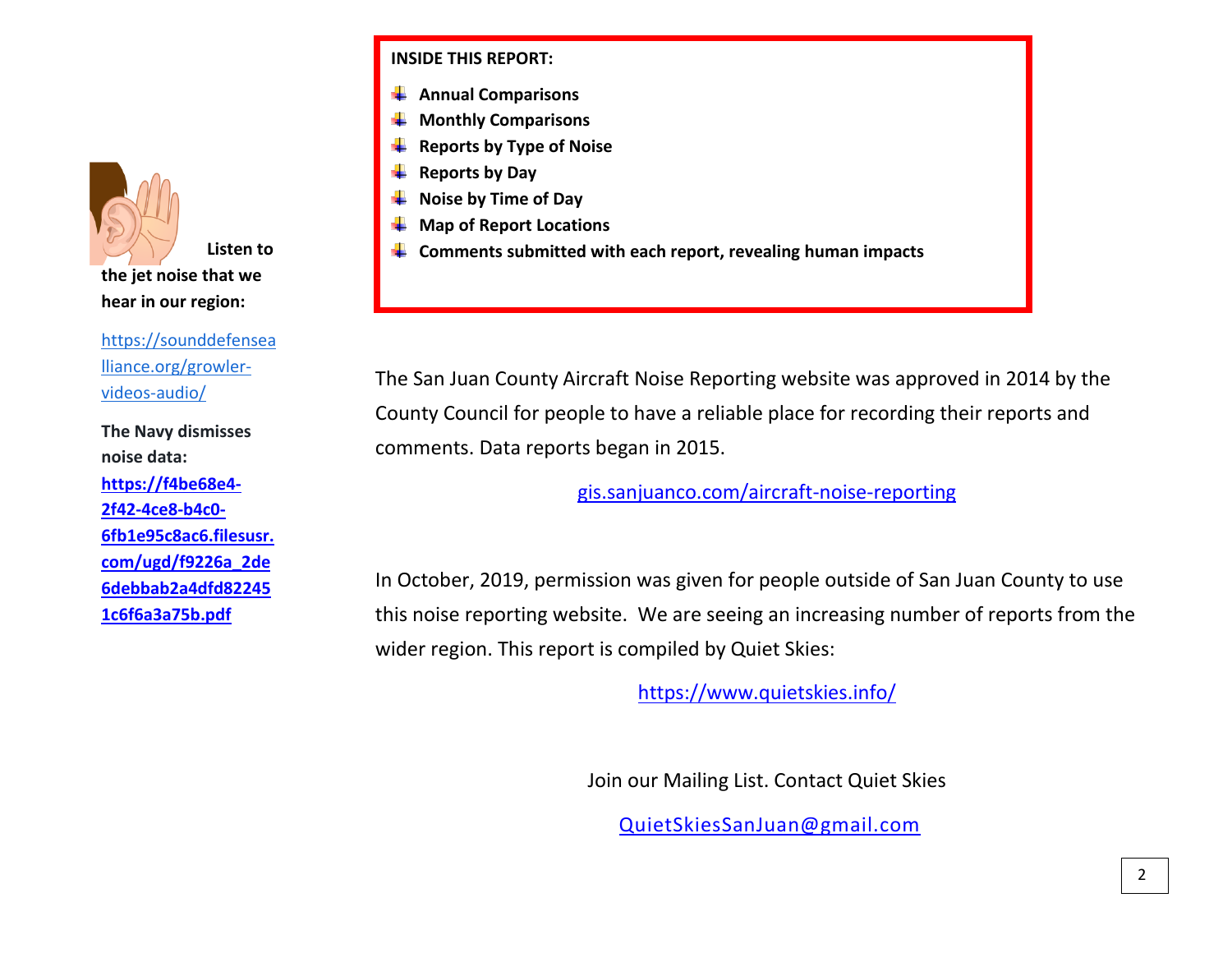**Listen to the jet noise that we hear in our region:** 

[https://sounddefensea](https://sounddefensealliance.org/growler-videos-audio/) [lliance.org/growler](https://sounddefensealliance.org/growler-videos-audio/)[videos-audio/](https://sounddefensealliance.org/growler-videos-audio/)

**The Navy dismisses noise data: [https://f4be68e4-](https://f4be68e4-2f42-4ce8-b4c0-6fb1e95c8ac6.filesusr.com/ugd/f9226a_2de6debbab2a4dfd822451c6f6a3a75b.pdf) [2f42-4ce8-b4c0-](https://f4be68e4-2f42-4ce8-b4c0-6fb1e95c8ac6.filesusr.com/ugd/f9226a_2de6debbab2a4dfd822451c6f6a3a75b.pdf) [6fb1e95c8ac6.filesusr.](https://f4be68e4-2f42-4ce8-b4c0-6fb1e95c8ac6.filesusr.com/ugd/f9226a_2de6debbab2a4dfd822451c6f6a3a75b.pdf) [com/ugd/f9226a\\_2de](https://f4be68e4-2f42-4ce8-b4c0-6fb1e95c8ac6.filesusr.com/ugd/f9226a_2de6debbab2a4dfd822451c6f6a3a75b.pdf) [6debbab2a4dfd82245](https://f4be68e4-2f42-4ce8-b4c0-6fb1e95c8ac6.filesusr.com/ugd/f9226a_2de6debbab2a4dfd822451c6f6a3a75b.pdf) [1c6f6a3a75b.pdf](https://f4be68e4-2f42-4ce8-b4c0-6fb1e95c8ac6.filesusr.com/ugd/f9226a_2de6debbab2a4dfd822451c6f6a3a75b.pdf)**

# **INSIDE THIS REPORT:**

- **Annual Comparisons**
- **Monthly Comparisons**
- **Reports by Type of Noise**
- **Reports by Day**
- **Noise by Time of Day**
- **Map of Report Locations**
- **Comments submitted with each report, revealing human impacts**

The San Juan County Aircraft Noise Reporting website was approved in 2014 by the County Council for people to have a reliable place for recording their reports and comments. Data reports began in 2015.

[gis.sanjuanco.com/aircraft-noise-reporting](https://gis.sanjuanco.com/aircraft-noise-reporting)

In October, 2019, permission was given for people outside of San Juan County to use this noise reporting website. We are seeing an increasing number of reports from the wider region. This report is compiled by Quiet Skies:

<https://www.quietskies.info/>

Join our Mailing List. Contact Quiet Skies

[QuietSkiesSanJuan@gmail.com](mailto:QuietSkiesSanJuan@gmail.com)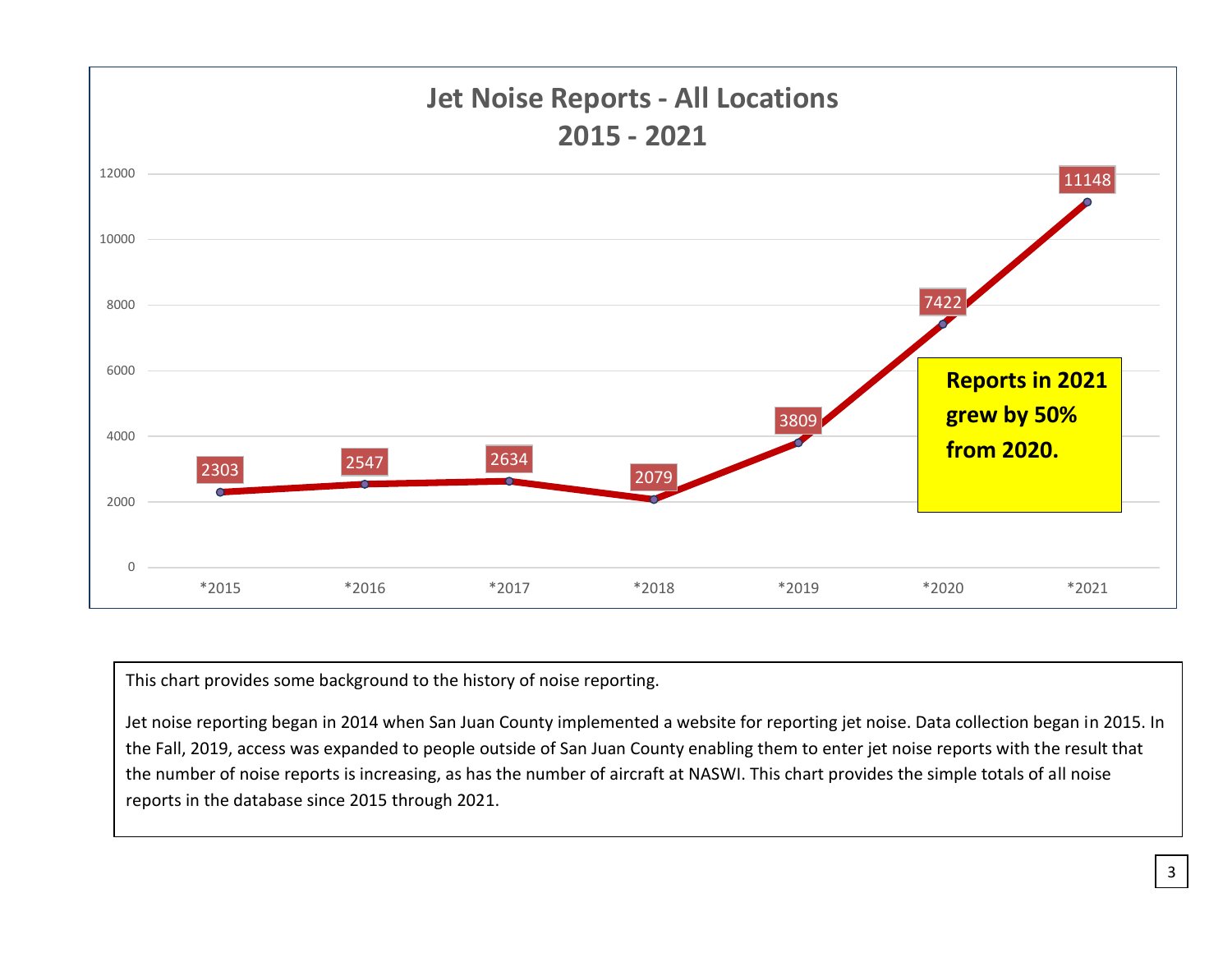

This chart provides some background to the history of noise reporting.

Jet noise reporting began in 2014 when San Juan County implemented a website for reporting jet noise. Data collection began in 2015. In the Fall, 2019, access was expanded to people outside of San Juan County enabling them to enter jet noise reports with the result that the number of noise reports is increasing, as has the number of aircraft at NASWI. This chart provides the simple totals of all noise reports in the database since 2015 through 2021.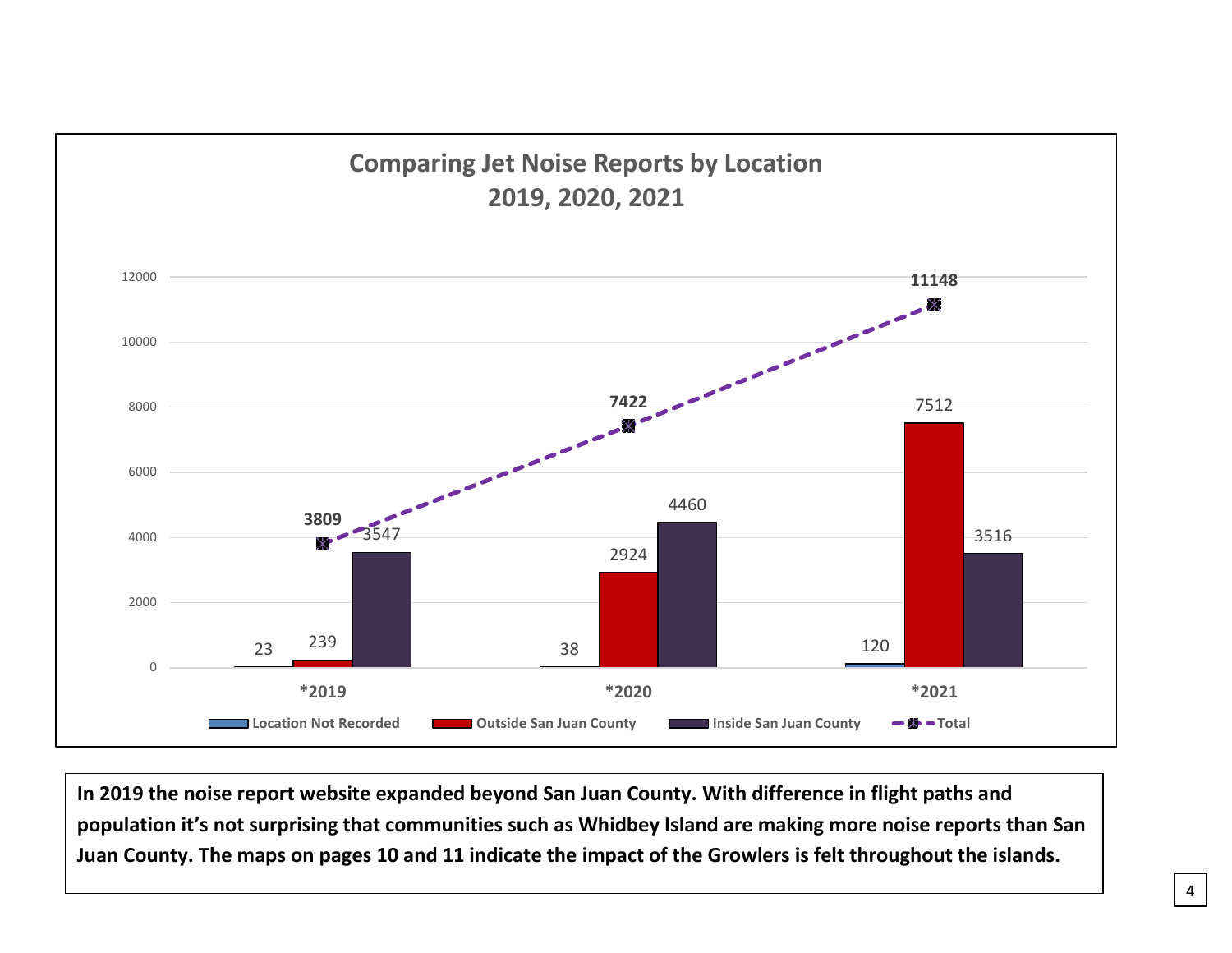

**In 2019 the noise report website expanded beyond San Juan County. With difference in flight paths and population it's not surprising that communities such as Whidbey Island are making more noise reports than San Juan County. The maps on pages 10 and 11 indicate the impact of the Growlers is felt throughout the islands.**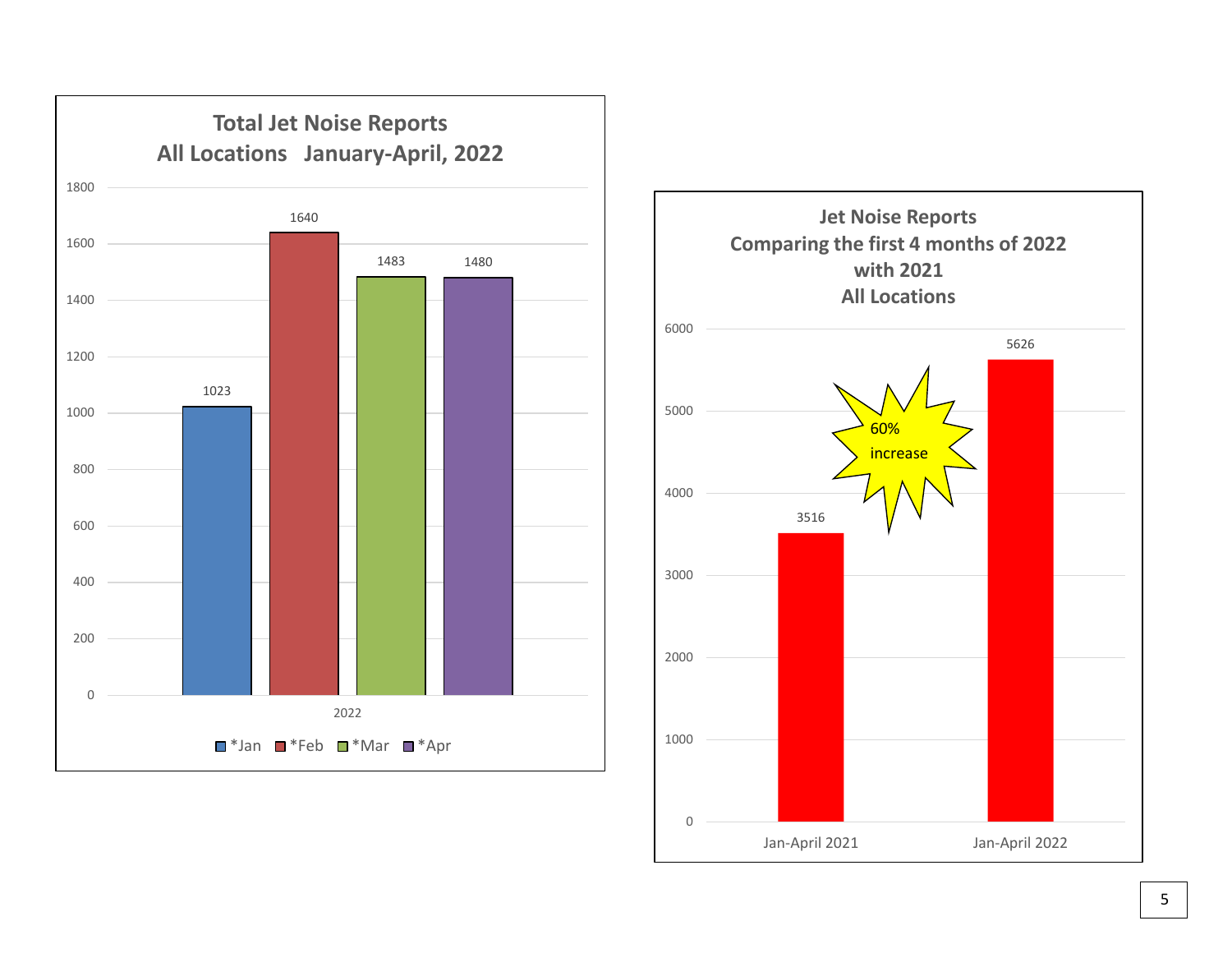

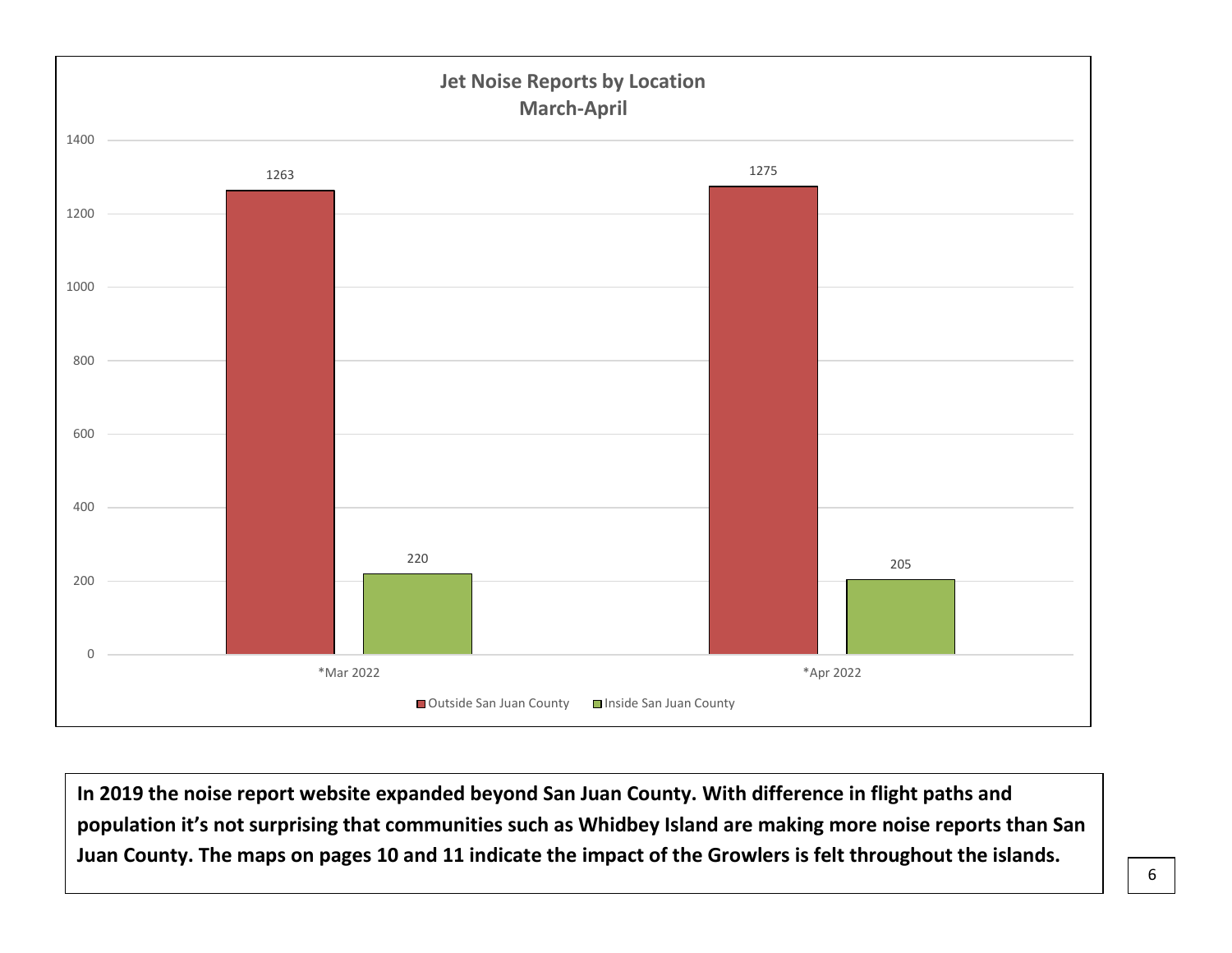

**In 2019 the noise report website expanded beyond San Juan County. With difference in flight paths and population it's not surprising that communities such as Whidbey Island are making more noise reports than San Juan County. The maps on pages 10 and 11 indicate the impact of the Growlers is felt throughout the islands.**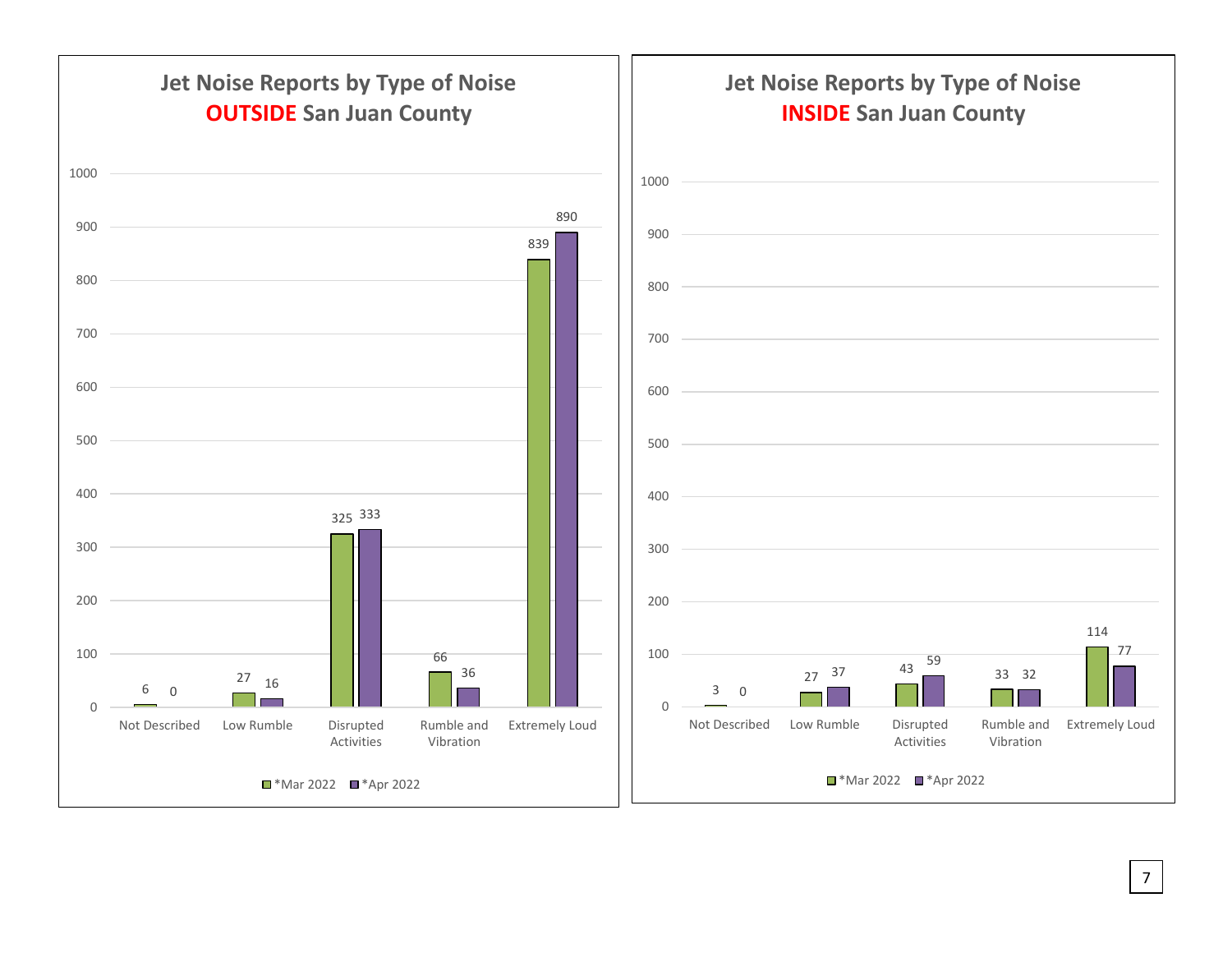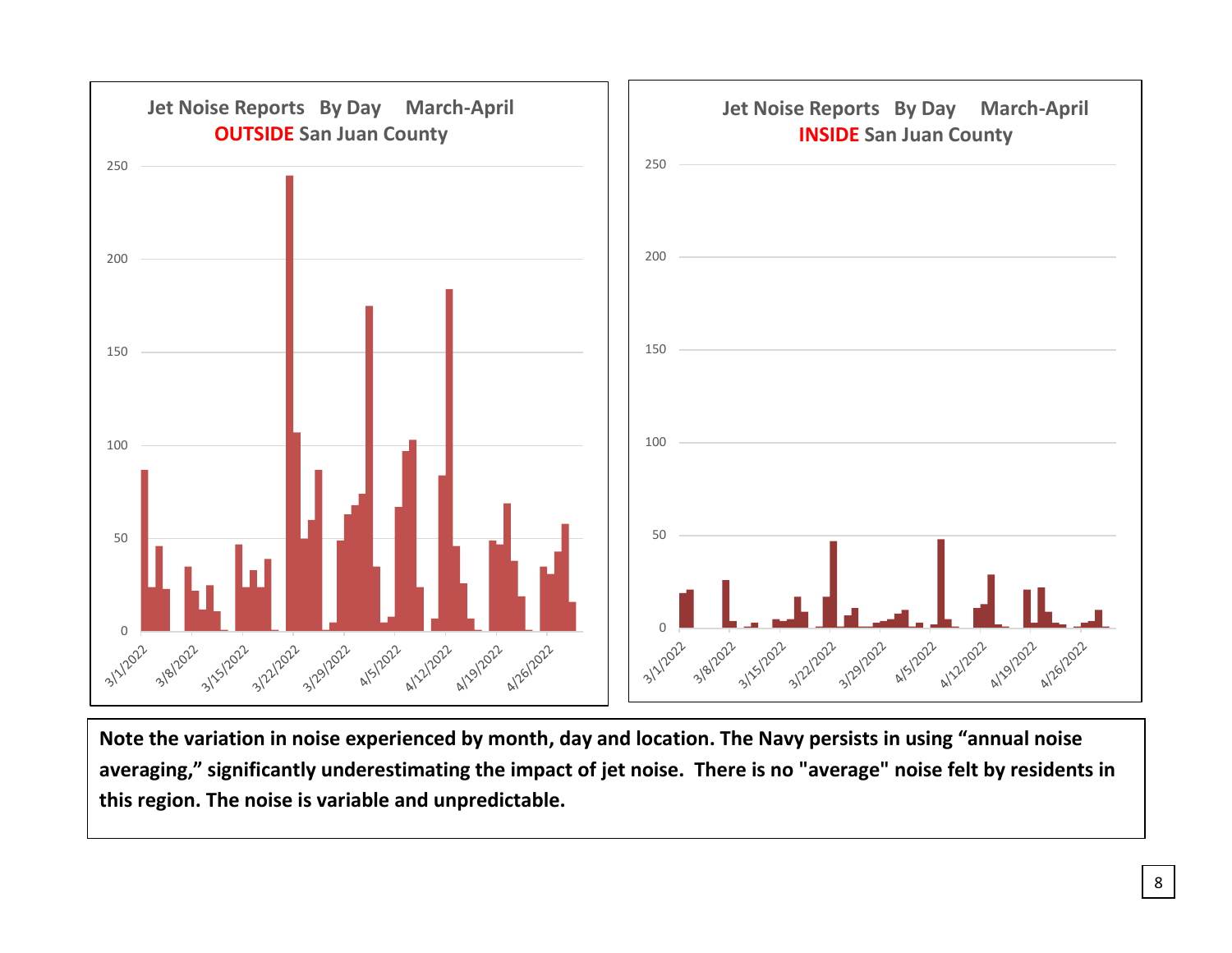

**Note the variation in noise experienced by month, day and location. The Navy persists in using "annual noise averaging," significantly underestimating the impact of jet noise. There is no "average" noise felt by residents in this region. The noise is variable and unpredictable.**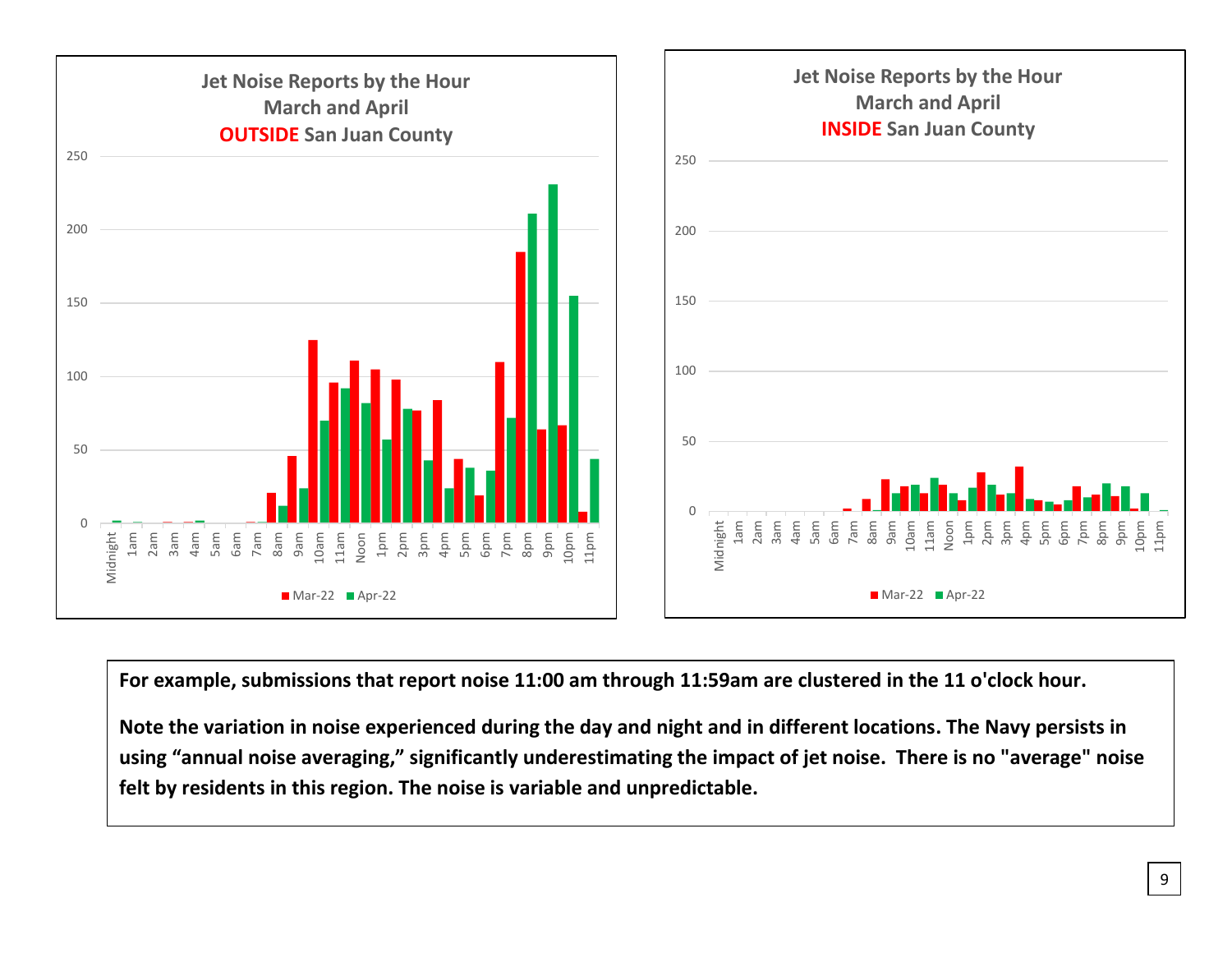

**For example, submissions that report noise 11:00 am through 11:59am are clustered in the 11 o'clock hour.** 

**Note the variation in noise experienced during the day and night and in different locations. The Navy persists in using "annual noise averaging," significantly underestimating the impact of jet noise. There is no "average" noise felt by residents in this region. The noise is variable and unpredictable.**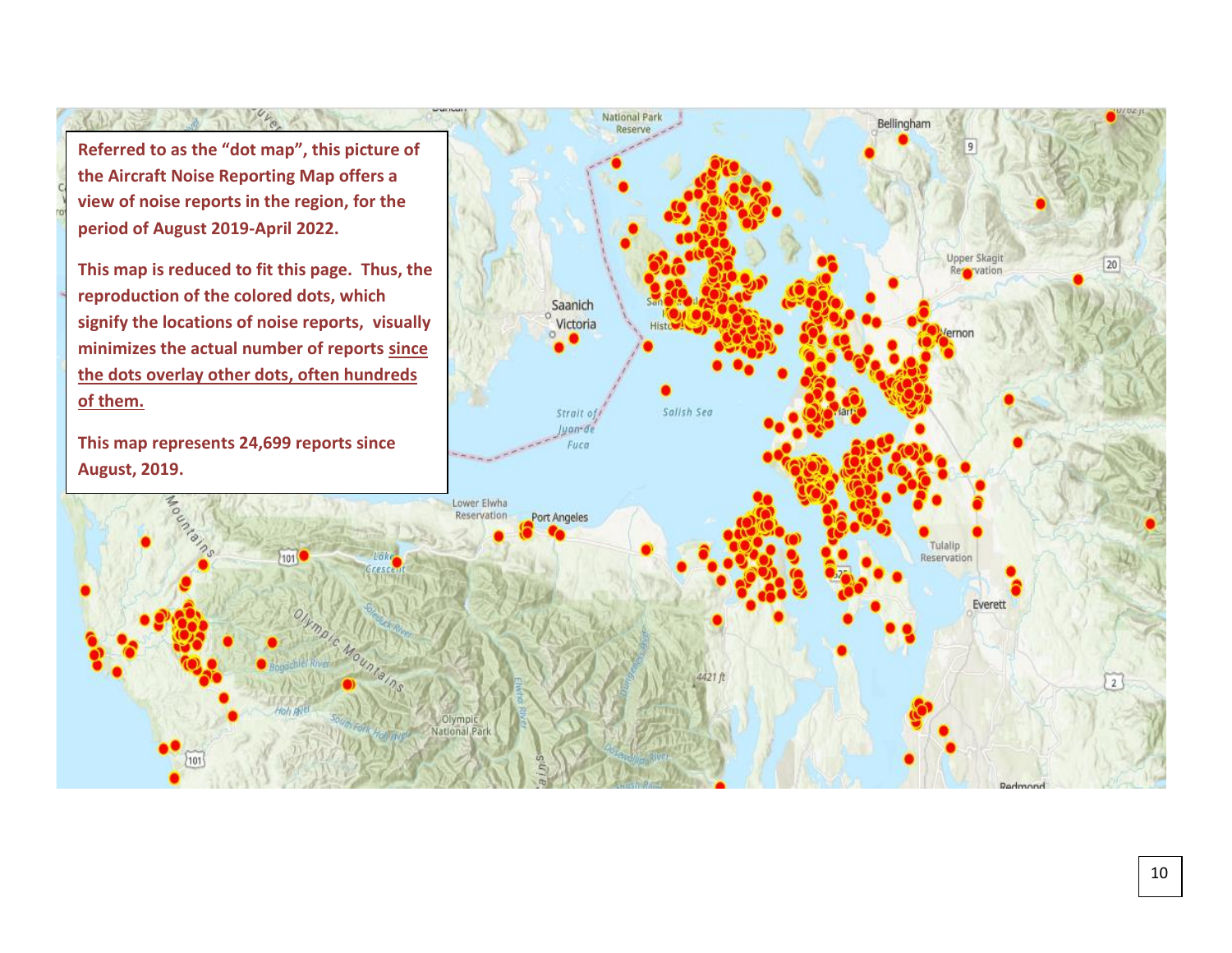**Referred to as the "dot map", this picture of the Aircraft Noise Reporting Map offers a view of noise reports in the region, for the period of August 2019-April 2022.** 

11 1/2 m

**This map is reduced to fit this page. Thus, the reproduction of the colored dots, which signify the locations of noise reports, visually minimizes the actual number of reports since the dots overlay other dots, often hundreds of them.** 

**This map represents 24,699 reports since August, 2019.**



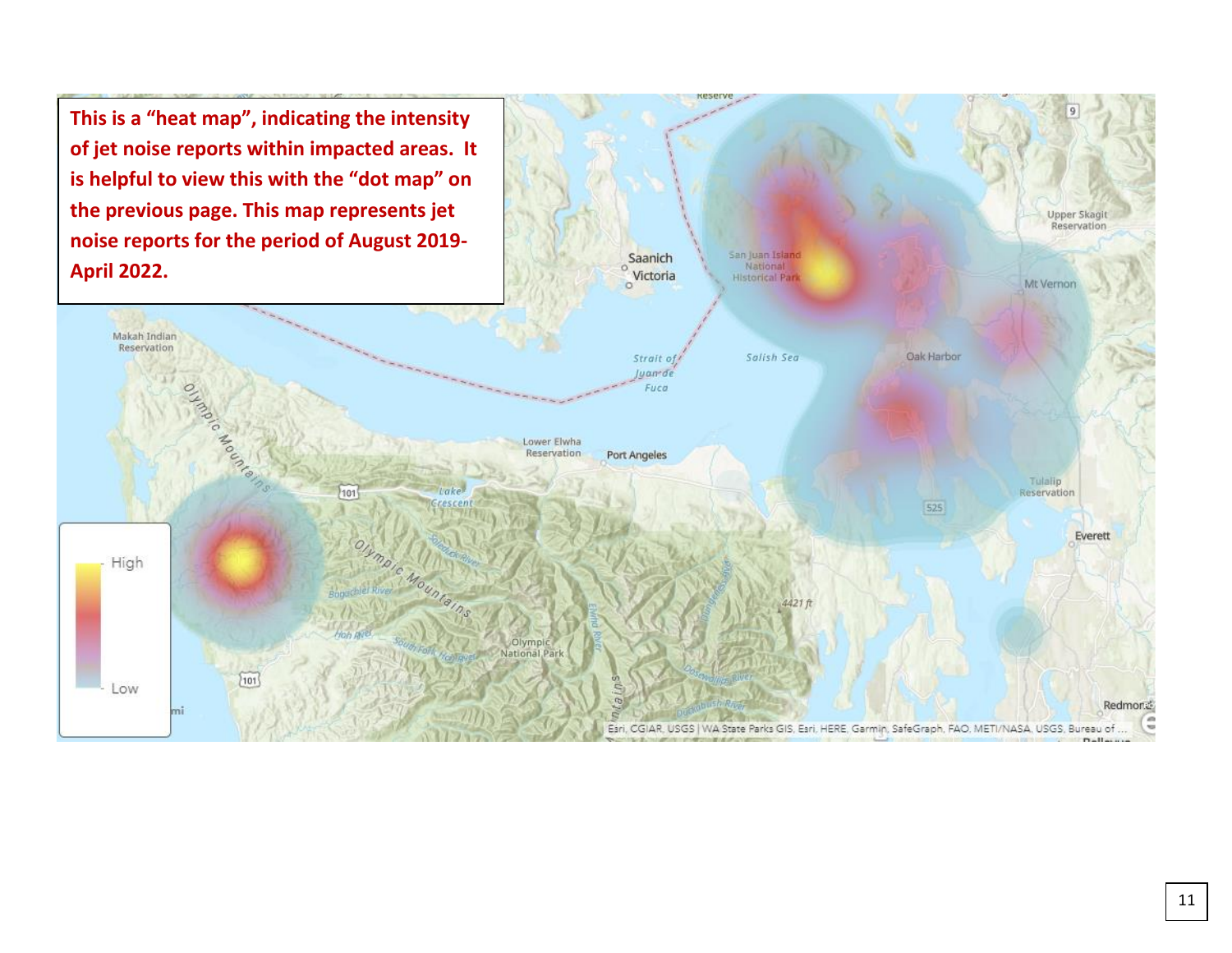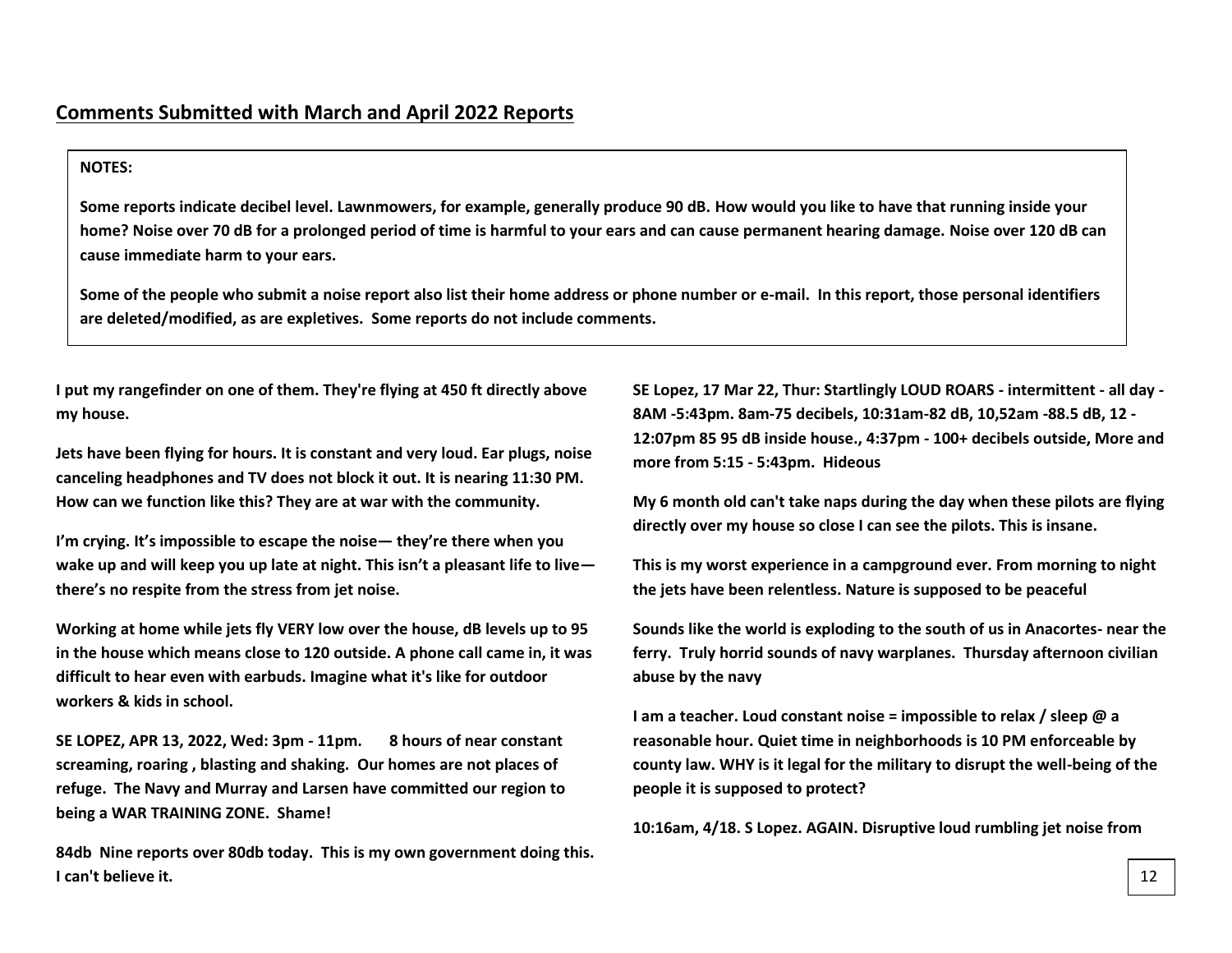# **NOTES:**

**Some reports indicate decibel level. Lawnmowers, for example, generally produce 90 dB. How would you like to have that running inside your home? Noise over 70 dB for a prolonged period of time is harmful to your ears and can cause permanent hearing damage. Noise over 120 dB can cause immediate harm to your ears.**

**Some of the people who submit a noise report also list their home address or phone number or e-mail. In this report, those personal identifiers are deleted/modified, as are expletives. Some reports do not include comments.**

**I put my rangefinder on one of them. They're flying at 450 ft directly above my house.**

**Jets have been flying for hours. It is constant and very loud. Ear plugs, noise canceling headphones and TV does not block it out. It is nearing 11:30 PM. How can we function like this? They are at war with the community.** 

**I'm crying. It's impossible to escape the noise— they're there when you wake up and will keep you up late at night. This isn't a pleasant life to live there's no respite from the stress from jet noise.** 

**Working at home while jets fly VERY low over the house, dB levels up to 95 in the house which means close to 120 outside. A phone call came in, it was difficult to hear even with earbuds. Imagine what it's like for outdoor workers & kids in school.**

**SE LOPEZ, APR 13, 2022, Wed: 3pm - 11pm. 8 hours of near constant screaming, roaring , blasting and shaking. Our homes are not places of refuge. The Navy and Murray and Larsen have committed our region to being a WAR TRAINING ZONE. Shame!**

**84db Nine reports over 80db today. This is my own government doing this. I can't believe it.**

**SE Lopez, 17 Mar 22, Thur: Startlingly LOUD ROARS - intermittent - all day - 8AM -5:43pm. 8am-75 decibels, 10:31am-82 dB, 10,52am -88.5 dB, 12 - 12:07pm 85 95 dB inside house., 4:37pm - 100+ decibels outside, More and more from 5:15 - 5:43pm. Hideous**

**My 6 month old can't take naps during the day when these pilots are flying directly over my house so close I can see the pilots. This is insane.**

**This is my worst experience in a campground ever. From morning to night the jets have been relentless. Nature is supposed to be peaceful**

**Sounds like the world is exploding to the south of us in Anacortes- near the ferry. Truly horrid sounds of navy warplanes. Thursday afternoon civilian abuse by the navy**

**I am a teacher. Loud constant noise = impossible to relax / sleep @ a reasonable hour. Quiet time in neighborhoods is 10 PM enforceable by county law. WHY is it legal for the military to disrupt the well-being of the people it is supposed to protect?**

**10:16am, 4/18. S Lopez. AGAIN. Disruptive loud rumbling jet noise from**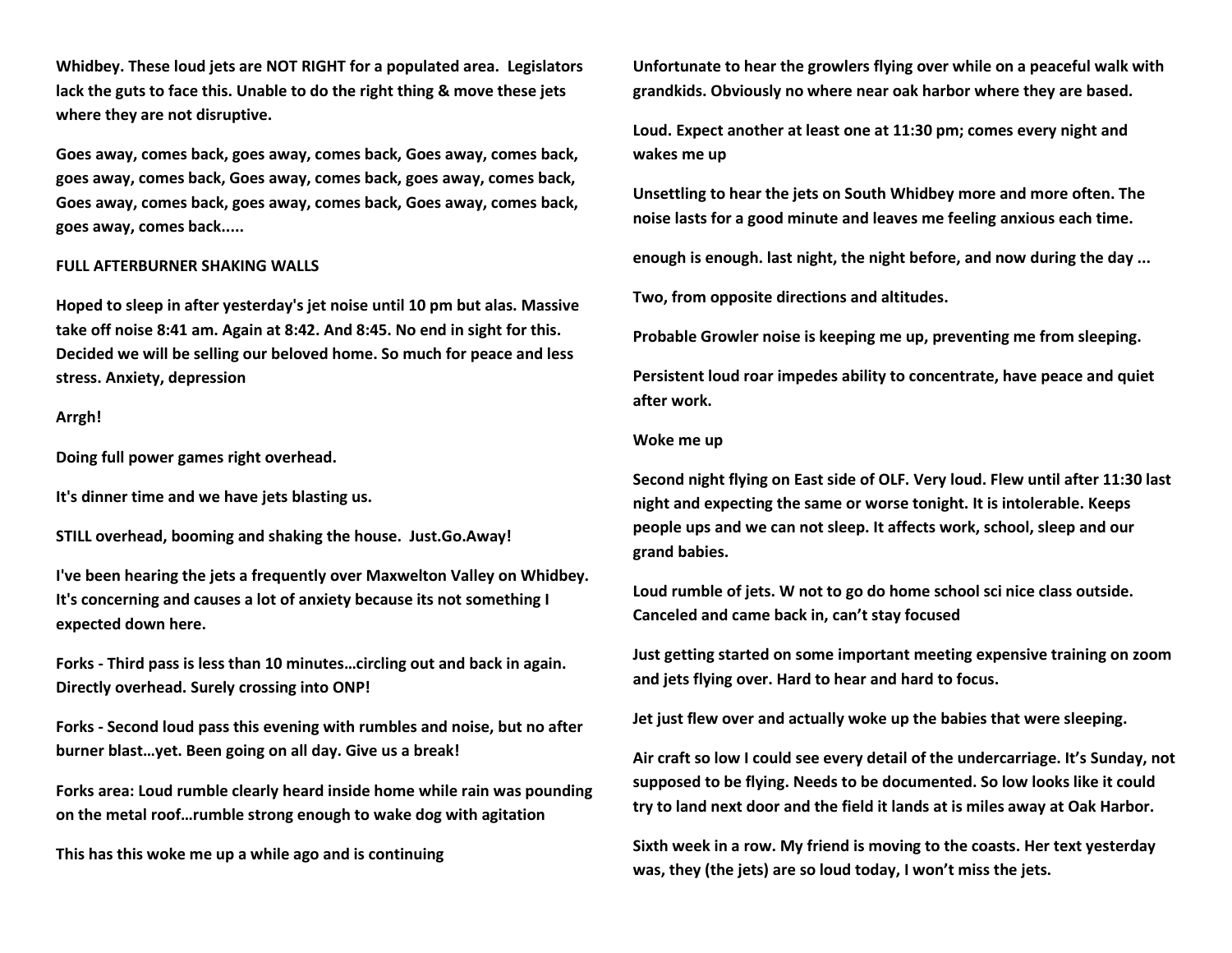**Whidbey. These loud jets are NOT RIGHT for a populated area. Legislators lack the guts to face this. Unable to do the right thing & move these jets where they are not disruptive.**

**Goes away, comes back, goes away, comes back, Goes away, comes back, goes away, comes back, Goes away, comes back, goes away, comes back, Goes away, comes back, goes away, comes back, Goes away, comes back, goes away, comes back.....**

#### **FULL AFTERBURNER SHAKING WALLS**

**Hoped to sleep in after yesterday's jet noise until 10 pm but alas. Massive take off noise 8:41 am. Again at 8:42. And 8:45. No end in sight for this. Decided we will be selling our beloved home. So much for peace and less stress. Anxiety, depression**

#### **Arrgh!**

**Doing full power games right overhead.** 

**It's dinner time and we have jets blasting us.** 

**STILL overhead, booming and shaking the house. Just.Go.Away!**

**I've been hearing the jets a frequently over Maxwelton Valley on Whidbey. It's concerning and causes a lot of anxiety because its not something I expected down here.**

**Forks - Third pass is less than 10 minutes…circling out and back in again. Directly overhead. Surely crossing into ONP!**

**Forks - Second loud pass this evening with rumbles and noise, but no after burner blast…yet. Been going on all day. Give us a break!**

**Forks area: Loud rumble clearly heard inside home while rain was pounding on the metal roof…rumble strong enough to wake dog with agitation** 

**This has this woke me up a while ago and is continuing** 

**Unfortunate to hear the growlers flying over while on a peaceful walk with grandkids. Obviously no where near oak harbor where they are based.**

**Loud. Expect another at least one at 11:30 pm; comes every night and wakes me up**

**Unsettling to hear the jets on South Whidbey more and more often. The noise lasts for a good minute and leaves me feeling anxious each time.**

**enough is enough. last night, the night before, and now during the day ...**

**Two, from opposite directions and altitudes.**

**Probable Growler noise is keeping me up, preventing me from sleeping.**

**Persistent loud roar impedes ability to concentrate, have peace and quiet after work.**

#### **Woke me up**

**Second night flying on East side of OLF. Very loud. Flew until after 11:30 last night and expecting the same or worse tonight. It is intolerable. Keeps people ups and we can not sleep. It affects work, school, sleep and our grand babies.** 

**Loud rumble of jets. W not to go do home school sci nice class outside. Canceled and came back in, can't stay focused** 

**Just getting started on some important meeting expensive training on zoom and jets flying over. Hard to hear and hard to focus.** 

**Jet just flew over and actually woke up the babies that were sleeping.** 

**Air craft so low I could see every detail of the undercarriage. It's Sunday, not supposed to be flying. Needs to be documented. So low looks like it could try to land next door and the field it lands at is miles away at Oak Harbor.** 

**Sixth week in a row. My friend is moving to the coasts. Her text yesterday was, they (the jets) are so loud today, I won't miss the jets.**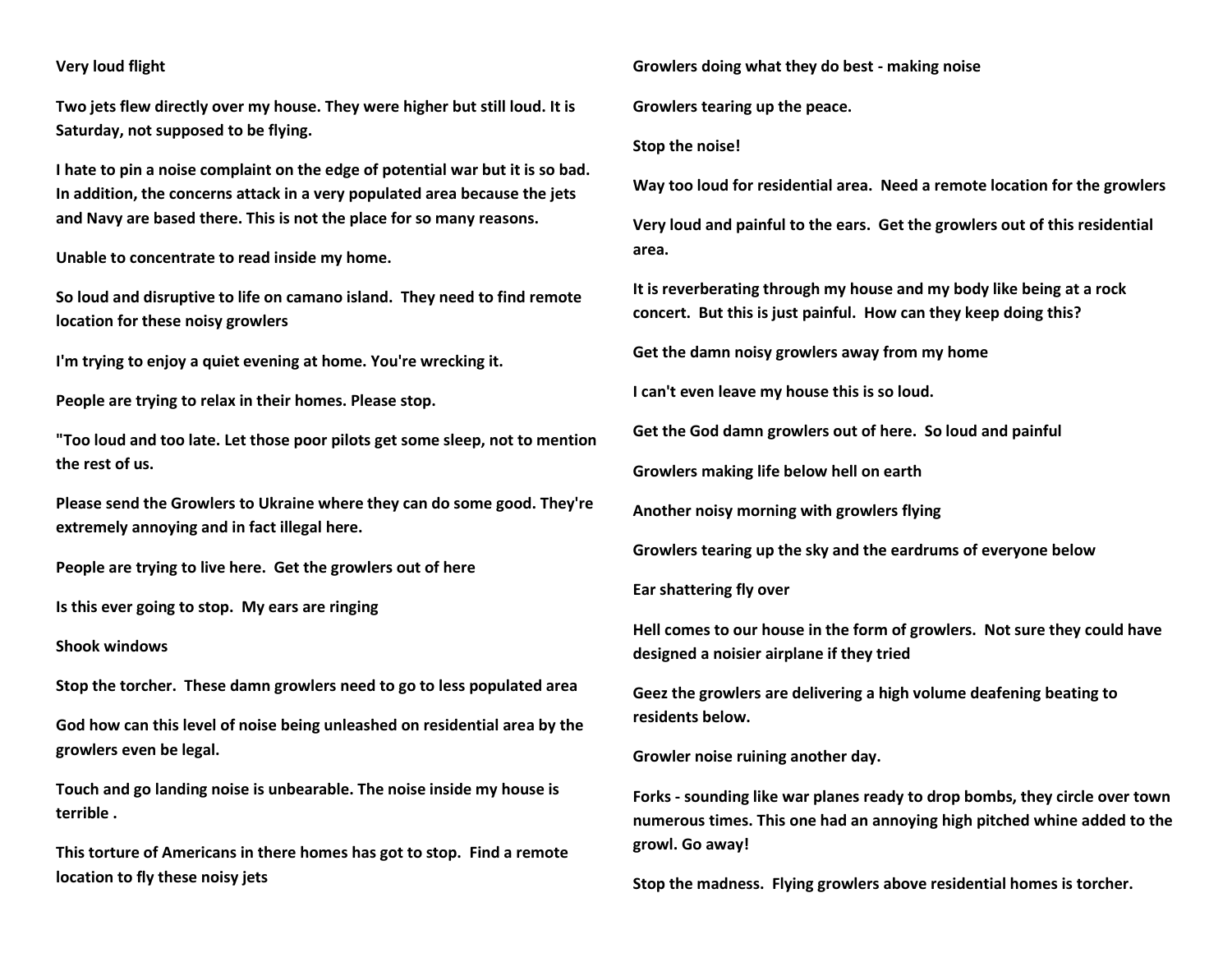# **Very loud flight**

**Two jets flew directly over my house. They were higher but still loud. It is Saturday, not supposed to be flying.** 

**I hate to pin a noise complaint on the edge of potential war but it is so bad. In addition, the concerns attack in a very populated area because the jets and Navy are based there. This is not the place for so many reasons.** 

**Unable to concentrate to read inside my home.**

**So loud and disruptive to life on camano island. They need to find remote location for these noisy growlers** 

**I'm trying to enjoy a quiet evening at home. You're wrecking it.**

**People are trying to relax in their homes. Please stop.**

**"Too loud and too late. Let those poor pilots get some sleep, not to mention the rest of us.**

**Please send the Growlers to Ukraine where they can do some good. They're extremely annoying and in fact illegal here.**

**People are trying to live here. Get the growlers out of here** 

**Is this ever going to stop. My ears are ringing** 

**Shook windows**

**Stop the torcher. These damn growlers need to go to less populated area**

**God how can this level of noise being unleashed on residential area by the growlers even be legal.** 

**Touch and go landing noise is unbearable. The noise inside my house is terrible .** 

**This torture of Americans in there homes has got to stop. Find a remote location to fly these noisy jets**

**Growlers doing what they do best - making noise**

**Growlers tearing up the peace.** 

**Stop the noise!**

**Way too loud for residential area. Need a remote location for the growlers** 

**Very loud and painful to the ears. Get the growlers out of this residential area.**

**It is reverberating through my house and my body like being at a rock concert. But this is just painful. How can they keep doing this?**

**Get the damn noisy growlers away from my home**

**I can't even leave my house this is so loud.**

**Get the God damn growlers out of here. So loud and painful**

**Growlers making life below hell on earth**

**Another noisy morning with growlers flying**

**Growlers tearing up the sky and the eardrums of everyone below** 

**Ear shattering fly over**

**Hell comes to our house in the form of growlers. Not sure they could have designed a noisier airplane if they tried**

**Geez the growlers are delivering a high volume deafening beating to residents below.** 

**Growler noise ruining another day.** 

**Forks - sounding like war planes ready to drop bombs, they circle over town numerous times. This one had an annoying high pitched whine added to the growl. Go away!**

**Stop the madness. Flying growlers above residential homes is torcher.**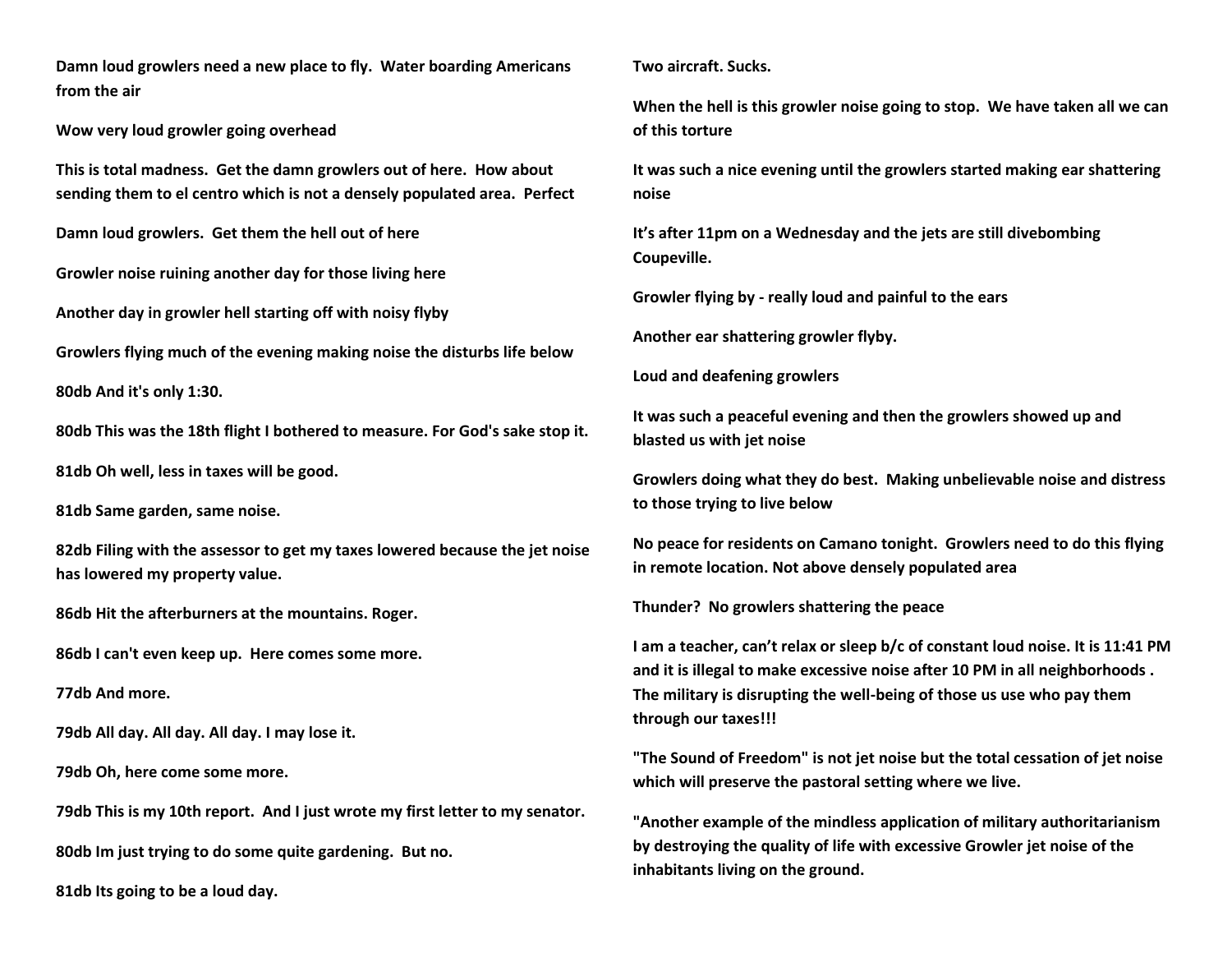**Damn loud growlers need a new place to fly. Water boarding Americans from the air**

**Wow very loud growler going overhead**

**This is total madness. Get the damn growlers out of here. How about sending them to el centro which is not a densely populated area. Perfect**

**Damn loud growlers. Get them the hell out of here**

**Growler noise ruining another day for those living here**

**Another day in growler hell starting off with noisy flyby**

**Growlers flying much of the evening making noise the disturbs life below**

**80db And it's only 1:30.** 

**80db This was the 18th flight I bothered to measure. For God's sake stop it.**

**81db Oh well, less in taxes will be good.**

**81db Same garden, same noise.**

**82db Filing with the assessor to get my taxes lowered because the jet noise has lowered my property value.**

**86db Hit the afterburners at the mountains. Roger.**

**86db I can't even keep up. Here comes some more.**

**77db And more.**

**79db All day. All day. All day. I may lose it.**

**79db Oh, here come some more.**

**79db This is my 10th report. And I just wrote my first letter to my senator.**

**80db Im just trying to do some quite gardening. But no.** 

**81db Its going to be a loud day.**

**Two aircraft. Sucks.**

**When the hell is this growler noise going to stop. We have taken all we can of this torture** 

**It was such a nice evening until the growlers started making ear shattering noise**

**It's after 11pm on a Wednesday and the jets are still divebombing Coupeville.** 

**Growler flying by - really loud and painful to the ears**

**Another ear shattering growler flyby.** 

**Loud and deafening growlers** 

**It was such a peaceful evening and then the growlers showed up and blasted us with jet noise**

**Growlers doing what they do best. Making unbelievable noise and distress to those trying to live below**

**No peace for residents on Camano tonight. Growlers need to do this flying in remote location. Not above densely populated area**

**Thunder? No growlers shattering the peace**

**I am a teacher, can't relax or sleep b/c of constant loud noise. It is 11:41 PM and it is illegal to make excessive noise after 10 PM in all neighborhoods . The military is disrupting the well-being of those us use who pay them through our taxes!!!**

**"The Sound of Freedom" is not jet noise but the total cessation of jet noise which will preserve the pastoral setting where we live.**

**"Another example of the mindless application of military authoritarianism by destroying the quality of life with excessive Growler jet noise of the inhabitants living on the ground.**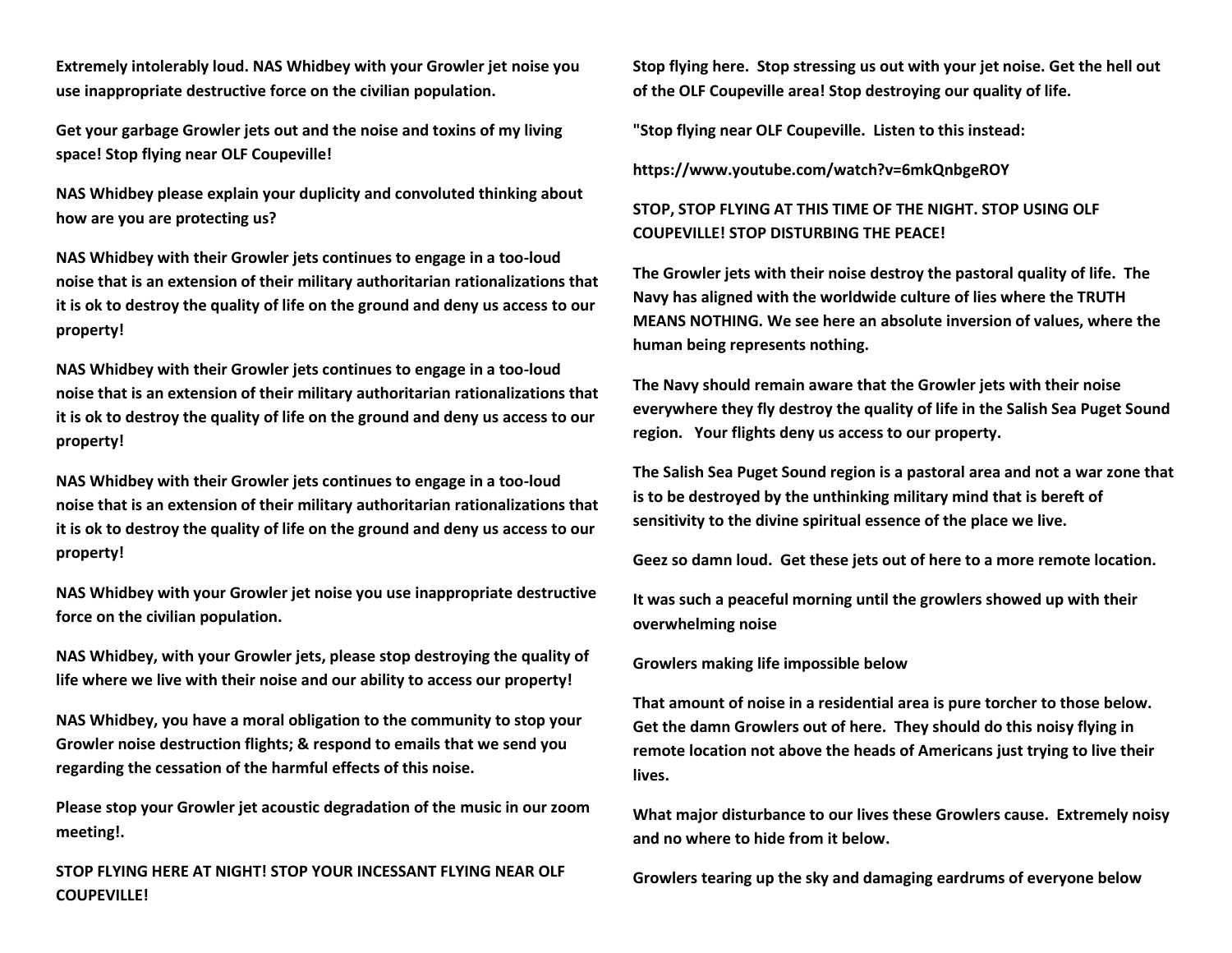**Extremely intolerably loud. NAS Whidbey with your Growler jet noise you use inappropriate destructive force on the civilian population.**

**Get your garbage Growler jets out and the noise and toxins of my living space! Stop flying near OLF Coupeville!**

**NAS Whidbey please explain your duplicity and convoluted thinking about how are you are protecting us?**

**NAS Whidbey with their Growler jets continues to engage in a too-loud noise that is an extension of their military authoritarian rationalizations that it is ok to destroy the quality of life on the ground and deny us access to our property!**

**NAS Whidbey with their Growler jets continues to engage in a too-loud noise that is an extension of their military authoritarian rationalizations that it is ok to destroy the quality of life on the ground and deny us access to our property!**

**NAS Whidbey with their Growler jets continues to engage in a too-loud noise that is an extension of their military authoritarian rationalizations that it is ok to destroy the quality of life on the ground and deny us access to our property!** 

**NAS Whidbey with your Growler jet noise you use inappropriate destructive force on the civilian population.**

**NAS Whidbey, with your Growler jets, please stop destroying the quality of life where we live with their noise and our ability to access our property!**

**NAS Whidbey, you have a moral obligation to the community to stop your Growler noise destruction flights; & respond to emails that we send you regarding the cessation of the harmful effects of this noise.** 

**Please stop your Growler jet acoustic degradation of the music in our zoom meeting!.**

**STOP FLYING HERE AT NIGHT! STOP YOUR INCESSANT FLYING NEAR OLF COUPEVILLE!**

**Stop flying here. Stop stressing us out with your jet noise. Get the hell out of the OLF Coupeville area! Stop destroying our quality of life.**

**"Stop flying near OLF Coupeville. Listen to this instead:**

**https://www.youtube.com/watch?v=6mkQnbgeROY**

# **STOP, STOP FLYING AT THIS TIME OF THE NIGHT. STOP USING OLF COUPEVILLE! STOP DISTURBING THE PEACE!**

**The Growler jets with their noise destroy the pastoral quality of life. The Navy has aligned with the worldwide culture of lies where the TRUTH MEANS NOTHING. We see here an absolute inversion of values, where the human being represents nothing.**

**The Navy should remain aware that the Growler jets with their noise everywhere they fly destroy the quality of life in the Salish Sea Puget Sound region. Your flights deny us access to our property.**

**The Salish Sea Puget Sound region is a pastoral area and not a war zone that is to be destroyed by the unthinking military mind that is bereft of sensitivity to the divine spiritual essence of the place we live.**

**Geez so damn loud. Get these jets out of here to a more remote location.** 

**It was such a peaceful morning until the growlers showed up with their overwhelming noise**

**Growlers making life impossible below**

**That amount of noise in a residential area is pure torcher to those below. Get the damn Growlers out of here. They should do this noisy flying in remote location not above the heads of Americans just trying to live their lives.**

**What major disturbance to our lives these Growlers cause. Extremely noisy and no where to hide from it below.** 

**Growlers tearing up the sky and damaging eardrums of everyone below**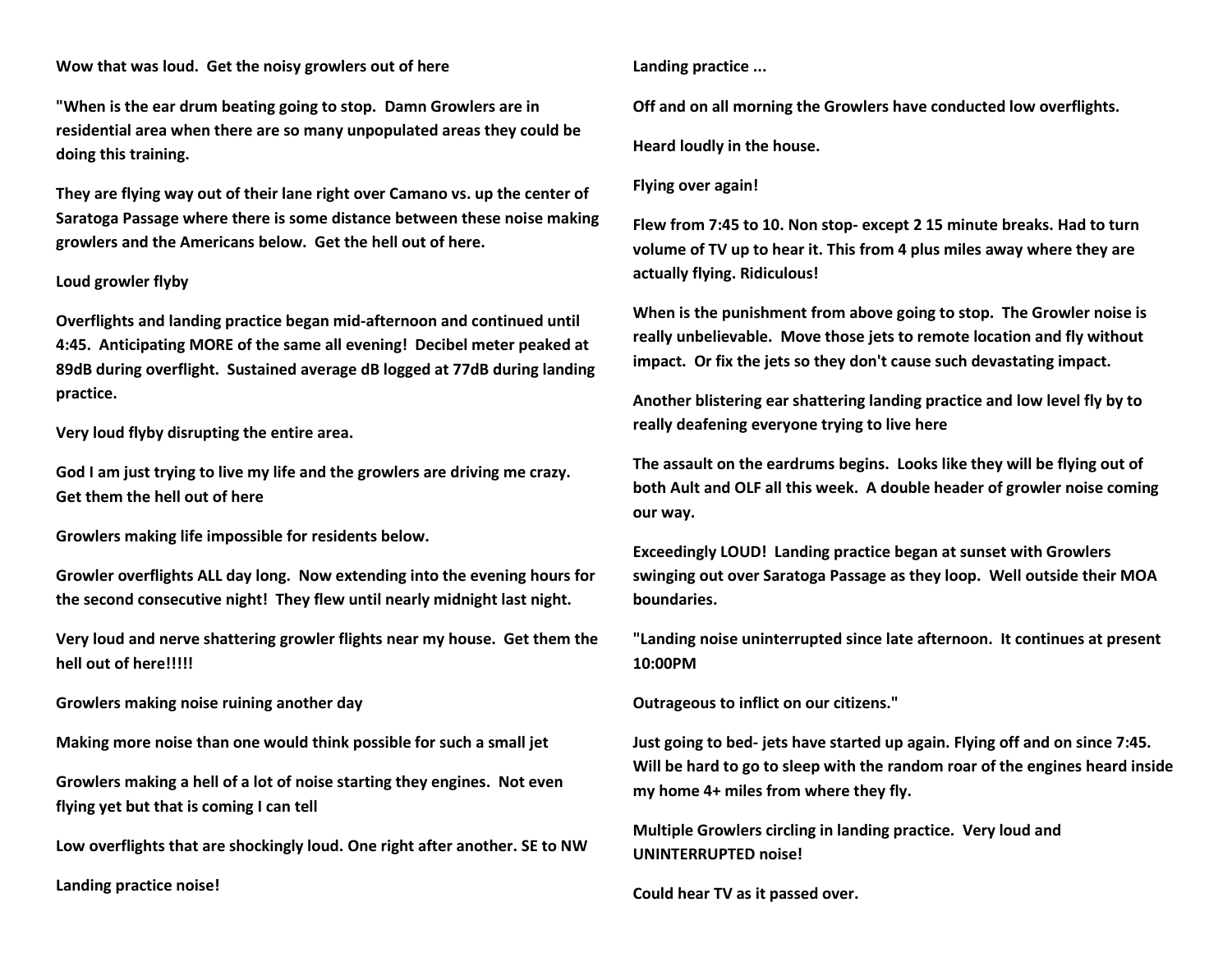# **Wow that was loud. Get the noisy growlers out of here**

**"When is the ear drum beating going to stop. Damn Growlers are in residential area when there are so many unpopulated areas they could be doing this training.** 

**They are flying way out of their lane right over Camano vs. up the center of Saratoga Passage where there is some distance between these noise making growlers and the Americans below. Get the hell out of here.**

#### **Loud growler flyby**

**Overflights and landing practice began mid-afternoon and continued until 4:45. Anticipating MORE of the same all evening! Decibel meter peaked at 89dB during overflight. Sustained average dB logged at 77dB during landing practice.** 

**Very loud flyby disrupting the entire area.**

**God I am just trying to live my life and the growlers are driving me crazy. Get them the hell out of here**

**Growlers making life impossible for residents below.** 

**Growler overflights ALL day long. Now extending into the evening hours for the second consecutive night! They flew until nearly midnight last night.**

**Very loud and nerve shattering growler flights near my house. Get them the hell out of here!!!!!**

**Growlers making noise ruining another day**

**Making more noise than one would think possible for such a small jet**

**Growlers making a hell of a lot of noise starting they engines. Not even flying yet but that is coming I can tell**

**Low overflights that are shockingly loud. One right after another. SE to NW**

**Landing practice noise!**

**Landing practice ...**

**Off and on all morning the Growlers have conducted low overflights.**

**Heard loudly in the house.**

#### **Flying over again!**

**Flew from 7:45 to 10. Non stop- except 2 15 minute breaks. Had to turn volume of TV up to hear it. This from 4 plus miles away where they are actually flying. Ridiculous!**

**When is the punishment from above going to stop. The Growler noise is really unbelievable. Move those jets to remote location and fly without impact. Or fix the jets so they don't cause such devastating impact.**

**Another blistering ear shattering landing practice and low level fly by to really deafening everyone trying to live here**

**The assault on the eardrums begins. Looks like they will be flying out of both Ault and OLF all this week. A double header of growler noise coming our way.**

**Exceedingly LOUD! Landing practice began at sunset with Growlers swinging out over Saratoga Passage as they loop. Well outside their MOA boundaries.**

**"Landing noise uninterrupted since late afternoon. It continues at present 10:00PM**

**Outrageous to inflict on our citizens."**

**Just going to bed- jets have started up again. Flying off and on since 7:45. Will be hard to go to sleep with the random roar of the engines heard inside my home 4+ miles from where they fly.**

**Multiple Growlers circling in landing practice. Very loud and UNINTERRUPTED noise!**

**Could hear TV as it passed over.**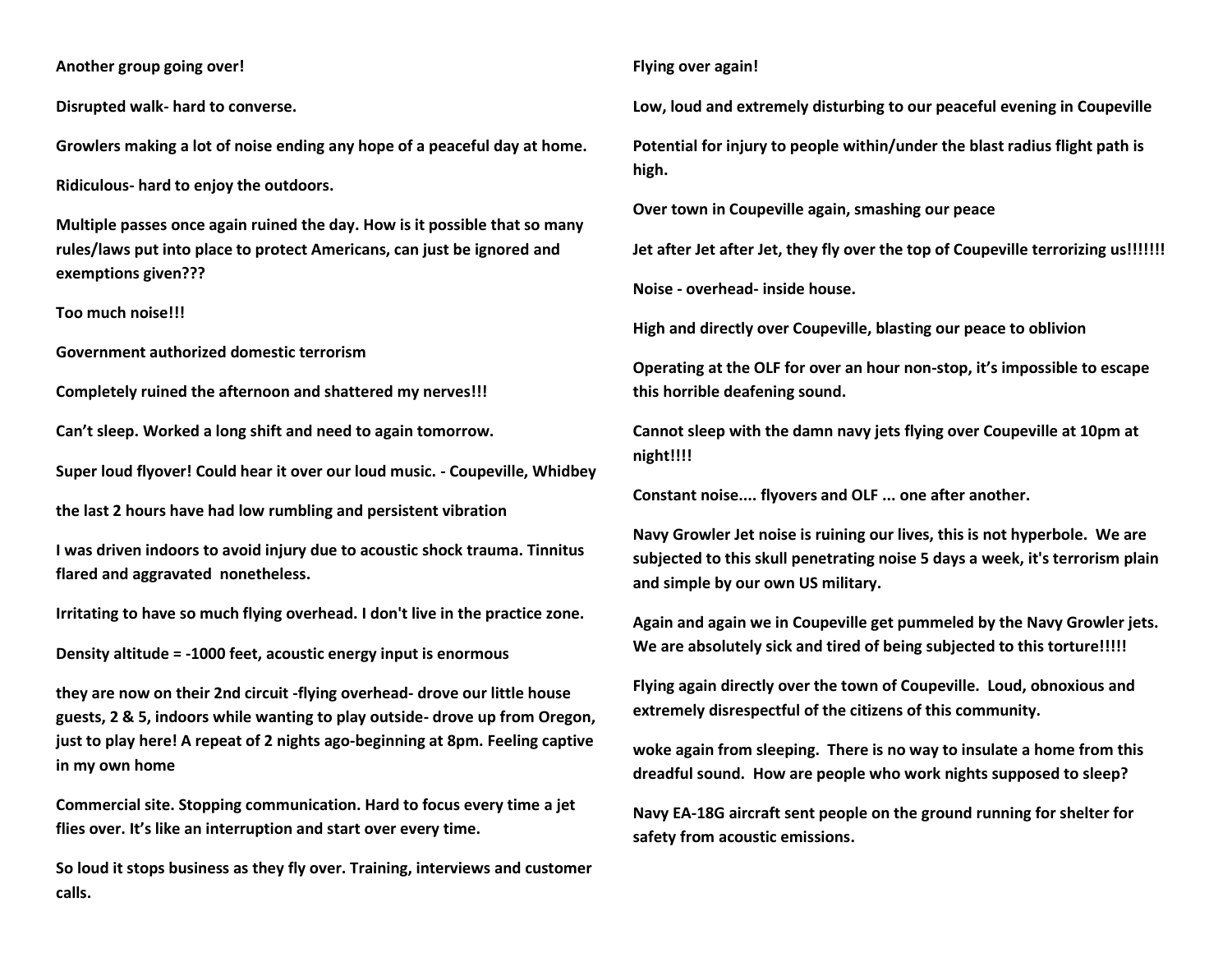**Another group going over!**

**Disrupted walk- hard to converse.**

**Growlers making a lot of noise ending any hope of a peaceful day at home.**

**Ridiculous- hard to enjoy the outdoors.**

**Multiple passes once again ruined the day. How is it possible that so many rules/laws put into place to protect Americans, can just be ignored and exemptions given???**

**Too much noise!!!**

**Government authorized domestic terrorism** 

**Completely ruined the afternoon and shattered my nerves!!!**

**Can't sleep. Worked a long shift and need to again tomorrow.** 

**Super loud flyover! Could hear it over our loud music. - Coupeville, Whidbey**

**the last 2 hours have had low rumbling and persistent vibration**

**I was driven indoors to avoid injury due to acoustic shock trauma. Tinnitus flared and aggravated nonetheless.**

**Irritating to have so much flying overhead. I don't live in the practice zone.**

**Density altitude = -1000 feet, acoustic energy input is enormous**

**they are now on their 2nd circuit -flying overhead- drove our little house guests, 2 & 5, indoors while wanting to play outside- drove up from Oregon, just to play here! A repeat of 2 nights ago-beginning at 8pm. Feeling captive in my own home**

**Commercial site. Stopping communication. Hard to focus every time a jet flies over. It's like an interruption and start over every time.** 

**So loud it stops business as they fly over. Training, interviews and customer calls.**

# **Flying over again!**

**Low, loud and extremely disturbing to our peaceful evening in Coupeville** 

**Potential for injury to people within/under the blast radius flight path is high.** 

**Over town in Coupeville again, smashing our peace** 

**Jet after Jet after Jet, they fly over the top of Coupeville terrorizing us!!!!!!!**

**Noise - overhead- inside house.**

**High and directly over Coupeville, blasting our peace to oblivion** 

**Operating at the OLF for over an hour non-stop, it's impossible to escape this horrible deafening sound.** 

**Cannot sleep with the damn navy jets flying over Coupeville at 10pm at night!!!!**

**Constant noise.... flyovers and OLF ... one after another.** 

**Navy Growler Jet noise is ruining our lives, this is not hyperbole. We are subjected to this skull penetrating noise 5 days a week, it's terrorism plain and simple by our own US military.**

**Again and again we in Coupeville get pummeled by the Navy Growler jets. We are absolutely sick and tired of being subjected to this torture!!!!!**

**Flying again directly over the town of Coupeville. Loud, obnoxious and extremely disrespectful of the citizens of this community.**

**woke again from sleeping. There is no way to insulate a home from this dreadful sound. How are people who work nights supposed to sleep?** 

**Navy EA-18G aircraft sent people on the ground running for shelter for safety from acoustic emissions.**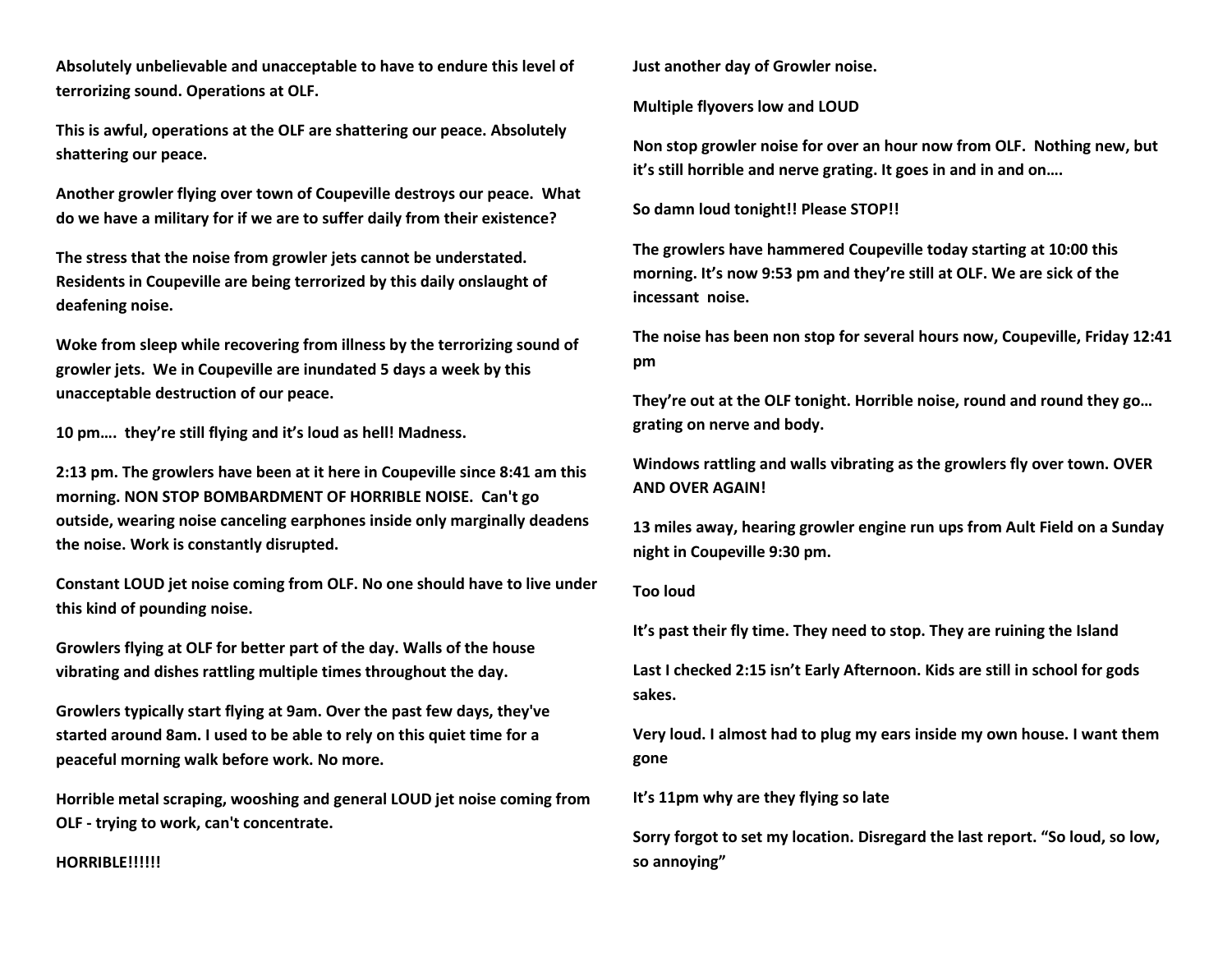**Absolutely unbelievable and unacceptable to have to endure this level of terrorizing sound. Operations at OLF.** 

**This is awful, operations at the OLF are shattering our peace. Absolutely shattering our peace.** 

**Another growler flying over town of Coupeville destroys our peace. What do we have a military for if we are to suffer daily from their existence?**

**The stress that the noise from growler jets cannot be understated. Residents in Coupeville are being terrorized by this daily onslaught of deafening noise.** 

**Woke from sleep while recovering from illness by the terrorizing sound of growler jets. We in Coupeville are inundated 5 days a week by this unacceptable destruction of our peace.** 

**10 pm…. they're still flying and it's loud as hell! Madness.** 

**2:13 pm. The growlers have been at it here in Coupeville since 8:41 am this morning. NON STOP BOMBARDMENT OF HORRIBLE NOISE. Can't go outside, wearing noise canceling earphones inside only marginally deadens the noise. Work is constantly disrupted.** 

**Constant LOUD jet noise coming from OLF. No one should have to live under this kind of pounding noise.** 

**Growlers flying at OLF for better part of the day. Walls of the house vibrating and dishes rattling multiple times throughout the day.** 

**Growlers typically start flying at 9am. Over the past few days, they've started around 8am. I used to be able to rely on this quiet time for a peaceful morning walk before work. No more.** 

**Horrible metal scraping, wooshing and general LOUD jet noise coming from OLF - trying to work, can't concentrate.** 

**HORRIBLE!!!!!!**

**Just another day of Growler noise.** 

**Multiple flyovers low and LOUD** 

**Non stop growler noise for over an hour now from OLF. Nothing new, but it's still horrible and nerve grating. It goes in and in and on….**

**So damn loud tonight!! Please STOP!!** 

**The growlers have hammered Coupeville today starting at 10:00 this morning. It's now 9:53 pm and they're still at OLF. We are sick of the incessant noise.** 

**The noise has been non stop for several hours now, Coupeville, Friday 12:41 pm**

**They're out at the OLF tonight. Horrible noise, round and round they go… grating on nerve and body.** 

**Windows rattling and walls vibrating as the growlers fly over town. OVER AND OVER AGAIN!**

**13 miles away, hearing growler engine run ups from Ault Field on a Sunday night in Coupeville 9:30 pm.** 

#### **Too loud**

**It's past their fly time. They need to stop. They are ruining the Island**

**Last I checked 2:15 isn't Early Afternoon. Kids are still in school for gods sakes.** 

**Very loud. I almost had to plug my ears inside my own house. I want them gone**

**It's 11pm why are they flying so late**

**Sorry forgot to set my location. Disregard the last report. "So loud, so low, so annoying"**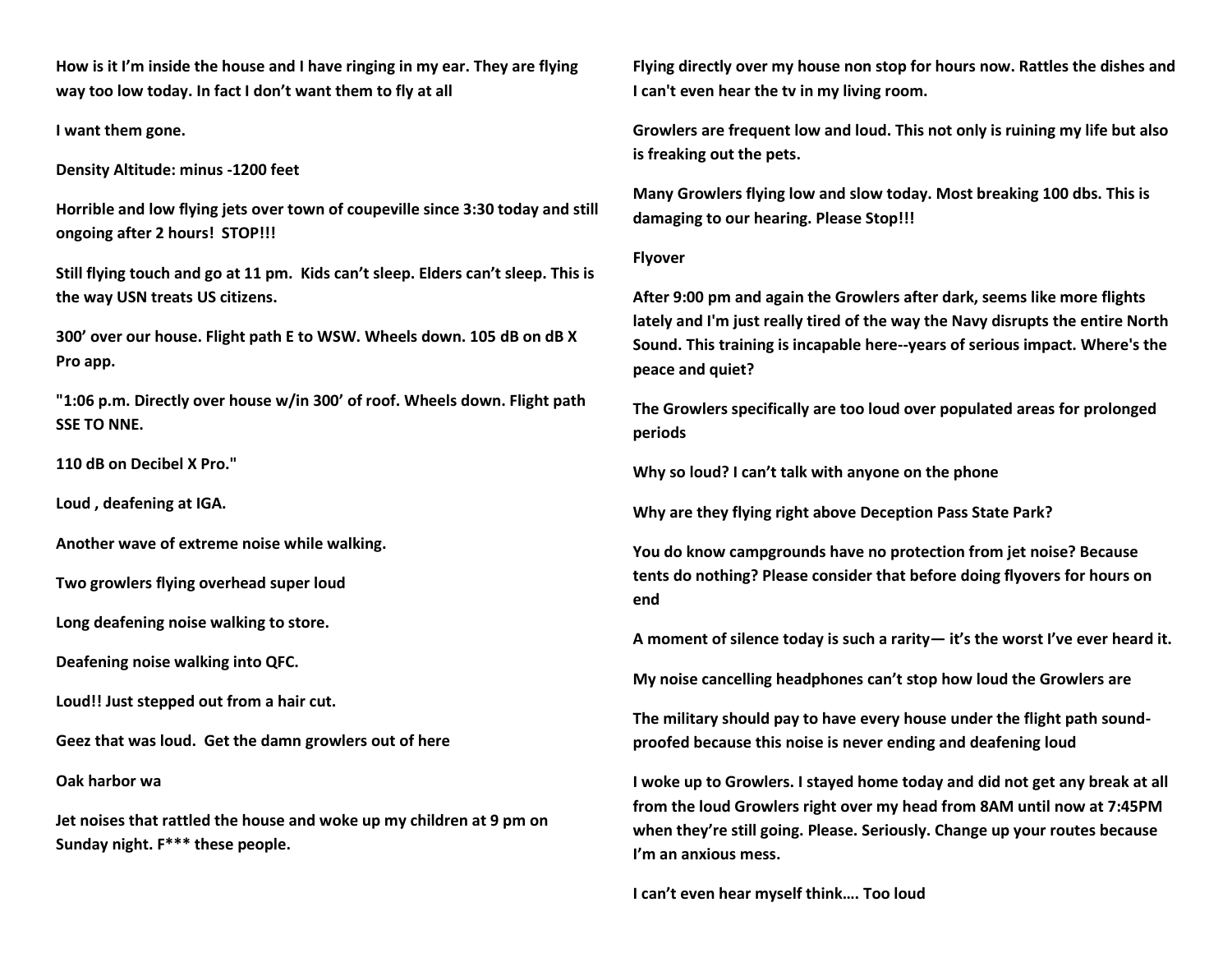**How is it I'm inside the house and I have ringing in my ear. They are flying way too low today. In fact I don't want them to fly at all**

**I want them gone.**

**Density Altitude: minus -1200 feet**

**Horrible and low flying jets over town of coupeville since 3:30 today and still ongoing after 2 hours! STOP!!!**

**Still flying touch and go at 11 pm. Kids can't sleep. Elders can't sleep. This is the way USN treats US citizens.**

**300' over our house. Flight path E to WSW. Wheels down. 105 dB on dB X Pro app.**

**"1:06 p.m. Directly over house w/in 300' of roof. Wheels down. Flight path SSE TO NNE.**

**110 dB on Decibel X Pro."**

**Loud , deafening at IGA.**

**Another wave of extreme noise while walking.**

**Two growlers flying overhead super loud**

**Long deafening noise walking to store.**

**Deafening noise walking into QFC.**

**Loud!! Just stepped out from a hair cut.**

**Geez that was loud. Get the damn growlers out of here**

**Oak harbor wa**

**Jet noises that rattled the house and woke up my children at 9 pm on Sunday night. F\*\*\* these people.**

**Flying directly over my house non stop for hours now. Rattles the dishes and I can't even hear the tv in my living room.**

**Growlers are frequent low and loud. This not only is ruining my life but also is freaking out the pets.**

**Many Growlers flying low and slow today. Most breaking 100 dbs. This is damaging to our hearing. Please Stop!!!**

# **Flyover**

**After 9:00 pm and again the Growlers after dark, seems like more flights lately and I'm just really tired of the way the Navy disrupts the entire North Sound. This training is incapable here--years of serious impact. Where's the peace and quiet?**

**The Growlers specifically are too loud over populated areas for prolonged periods**

**Why so loud? I can't talk with anyone on the phone**

**Why are they flying right above Deception Pass State Park?**

**You do know campgrounds have no protection from jet noise? Because tents do nothing? Please consider that before doing flyovers for hours on end**

**A moment of silence today is such a rarity— it's the worst I've ever heard it.** 

**My noise cancelling headphones can't stop how loud the Growlers are**

**The military should pay to have every house under the flight path soundproofed because this noise is never ending and deafening loud**

**I woke up to Growlers. I stayed home today and did not get any break at all from the loud Growlers right over my head from 8AM until now at 7:45PM when they're still going. Please. Seriously. Change up your routes because I'm an anxious mess.**

**I can't even hear myself think…. Too loud**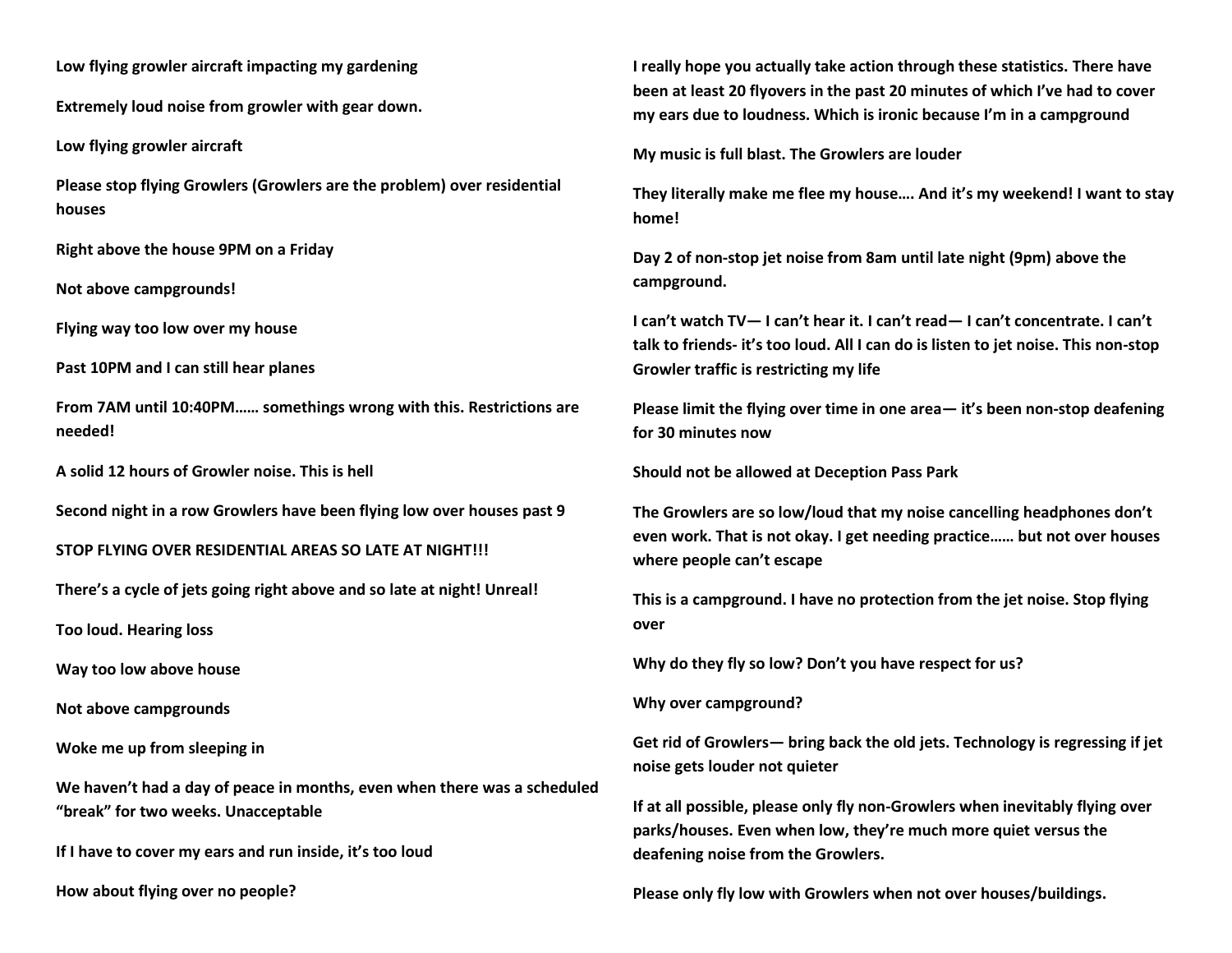**Low flying growler aircraft impacting my gardening** 

**Extremely loud noise from growler with gear down.** 

**Low flying growler aircraft** 

**Please stop flying Growlers (Growlers are the problem) over residential houses**

**Right above the house 9PM on a Friday**

**Not above campgrounds!**

**Flying way too low over my house**

**Past 10PM and I can still hear planes**

**From 7AM until 10:40PM…… somethings wrong with this. Restrictions are needed!**

**A solid 12 hours of Growler noise. This is hell**

**Second night in a row Growlers have been flying low over houses past 9**

**STOP FLYING OVER RESIDENTIAL AREAS SO LATE AT NIGHT!!!**

**There's a cycle of jets going right above and so late at night! Unreal!**

**Too loud. Hearing loss**

**Way too low above house**

**Not above campgrounds**

**Woke me up from sleeping in**

**We haven't had a day of peace in months, even when there was a scheduled "break" for two weeks. Unacceptable**

**If I have to cover my ears and run inside, it's too loud**

**How about flying over no people?**

**I really hope you actually take action through these statistics. There have been at least 20 flyovers in the past 20 minutes of which I've had to cover my ears due to loudness. Which is ironic because I'm in a campground**

**My music is full blast. The Growlers are louder** 

**They literally make me flee my house…. And it's my weekend! I want to stay home!**

**Day 2 of non-stop jet noise from 8am until late night (9pm) above the campground.**

**I can't watch TV— I can't hear it. I can't read— I can't concentrate. I can't talk to friends- it's too loud. All I can do is listen to jet noise. This non-stop Growler traffic is restricting my life**

**Please limit the flying over time in one area— it's been non-stop deafening for 30 minutes now**

**Should not be allowed at Deception Pass Park**

**The Growlers are so low/loud that my noise cancelling headphones don't even work. That is not okay. I get needing practice…… but not over houses where people can't escape**

**This is a campground. I have no protection from the jet noise. Stop flying over**

**Why do they fly so low? Don't you have respect for us?**

**Why over campground?**

**Get rid of Growlers— bring back the old jets. Technology is regressing if jet noise gets louder not quieter**

**If at all possible, please only fly non-Growlers when inevitably flying over parks/houses. Even when low, they're much more quiet versus the deafening noise from the Growlers.**

**Please only fly low with Growlers when not over houses/buildings.**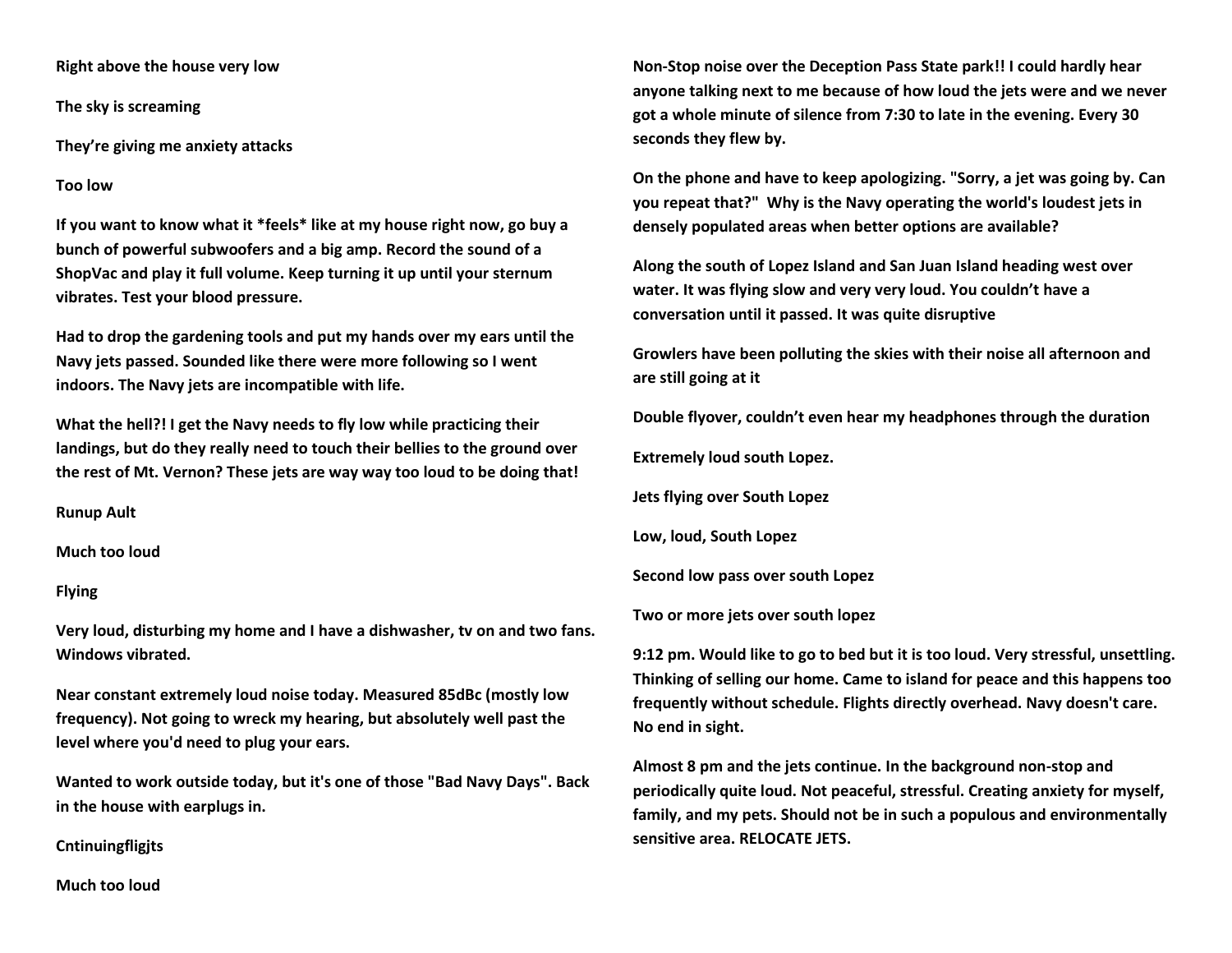**Right above the house very low**

**The sky is screaming**

**They're giving me anxiety attacks** 

#### **Too low**

**If you want to know what it \*feels\* like at my house right now, go buy a bunch of powerful subwoofers and a big amp. Record the sound of a ShopVac and play it full volume. Keep turning it up until your sternum vibrates. Test your blood pressure.**

**Had to drop the gardening tools and put my hands over my ears until the Navy jets passed. Sounded like there were more following so I went indoors. The Navy jets are incompatible with life.**

**What the hell?! I get the Navy needs to fly low while practicing their landings, but do they really need to touch their bellies to the ground over the rest of Mt. Vernon? These jets are way way too loud to be doing that!**

**Runup Ault**

**Much too loud** 

#### **Flying**

**Very loud, disturbing my home and I have a dishwasher, tv on and two fans. Windows vibrated.**

**Near constant extremely loud noise today. Measured 85dBc (mostly low frequency). Not going to wreck my hearing, but absolutely well past the level where you'd need to plug your ears.**

**Wanted to work outside today, but it's one of those "Bad Navy Days". Back in the house with earplugs in.**

**Cntinuingfligjts**

**Non-Stop noise over the Deception Pass State park!! I could hardly hear anyone talking next to me because of how loud the jets were and we never got a whole minute of silence from 7:30 to late in the evening. Every 30 seconds they flew by.** 

**On the phone and have to keep apologizing. "Sorry, a jet was going by. Can you repeat that?" Why is the Navy operating the world's loudest jets in densely populated areas when better options are available?**

**Along the south of Lopez Island and San Juan Island heading west over water. It was flying slow and very very loud. You couldn't have a conversation until it passed. It was quite disruptive** 

**Growlers have been polluting the skies with their noise all afternoon and are still going at it**

**Double flyover, couldn't even hear my headphones through the duration**

**Extremely loud south Lopez.** 

**Jets flying over South Lopez**

**Low, loud, South Lopez**

**Second low pass over south Lopez**

**Two or more jets over south lopez**

**9:12 pm. Would like to go to bed but it is too loud. Very stressful, unsettling. Thinking of selling our home. Came to island for peace and this happens too frequently without schedule. Flights directly overhead. Navy doesn't care. No end in sight.** 

**Almost 8 pm and the jets continue. In the background non-stop and periodically quite loud. Not peaceful, stressful. Creating anxiety for myself, family, and my pets. Should not be in such a populous and environmentally sensitive area. RELOCATE JETS.**

**Much too loud**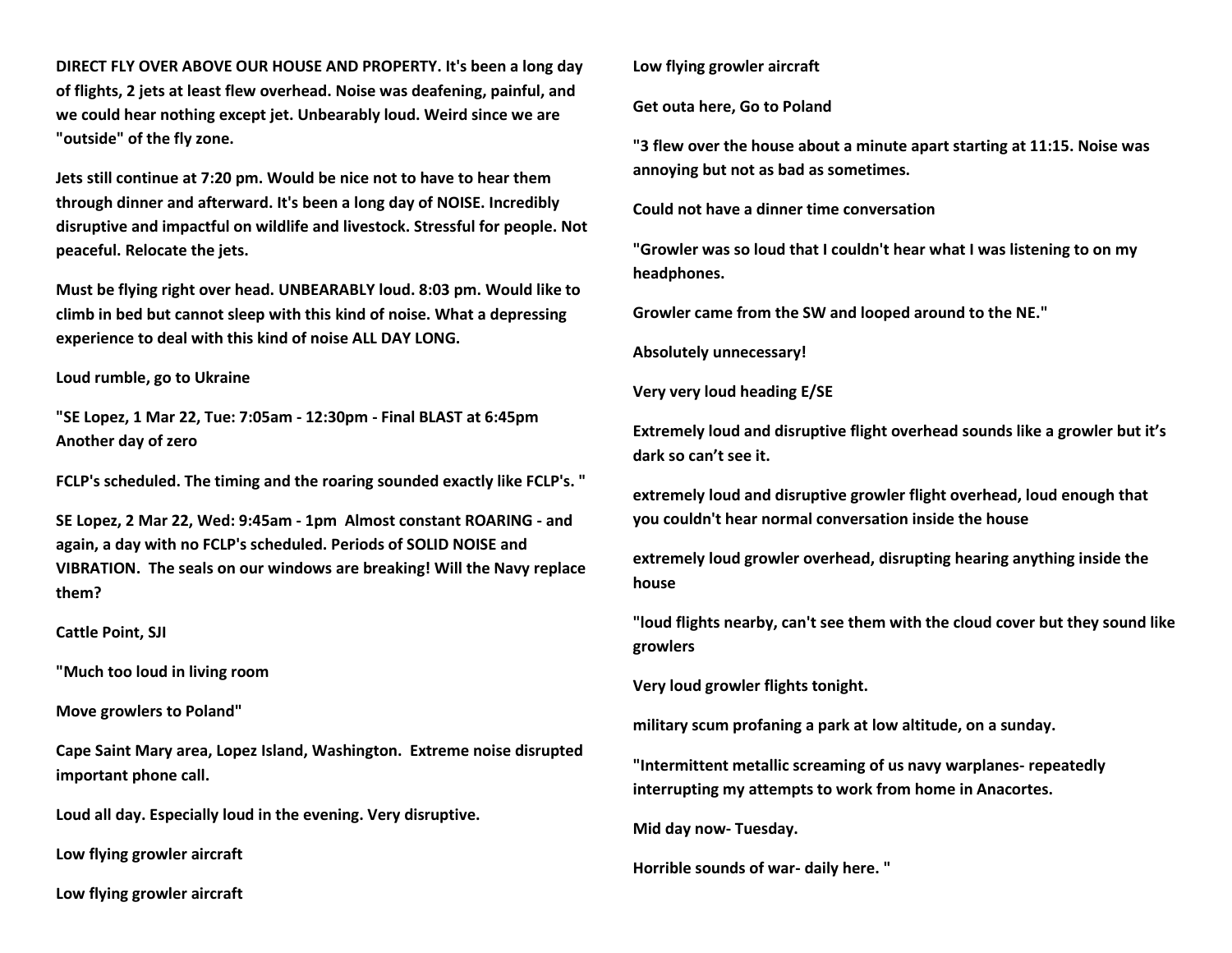**DIRECT FLY OVER ABOVE OUR HOUSE AND PROPERTY. It's been a long day of flights, 2 jets at least flew overhead. Noise was deafening, painful, and we could hear nothing except jet. Unbearably loud. Weird since we are "outside" of the fly zone.** 

**Jets still continue at 7:20 pm. Would be nice not to have to hear them through dinner and afterward. It's been a long day of NOISE. Incredibly disruptive and impactful on wildlife and livestock. Stressful for people. Not peaceful. Relocate the jets.**

**Must be flying right over head. UNBEARABLY loud. 8:03 pm. Would like to climb in bed but cannot sleep with this kind of noise. What a depressing experience to deal with this kind of noise ALL DAY LONG.** 

**Loud rumble, go to Ukraine** 

**"SE Lopez, 1 Mar 22, Tue: 7:05am - 12:30pm - Final BLAST at 6:45pm Another day of zero** 

**FCLP's scheduled. The timing and the roaring sounded exactly like FCLP's. "**

**SE Lopez, 2 Mar 22, Wed: 9:45am - 1pm Almost constant ROARING - and again, a day with no FCLP's scheduled. Periods of SOLID NOISE and VIBRATION. The seals on our windows are breaking! Will the Navy replace them?**

**Cattle Point, SJI**

**"Much too loud in living room**

**Move growlers to Poland"**

**Cape Saint Mary area, Lopez Island, Washington. Extreme noise disrupted important phone call.**

**Loud all day. Especially loud in the evening. Very disruptive.** 

**Low flying growler aircraft** 

**Low flying growler aircraft** 

**Low flying growler aircraft** 

**Get outa here, Go to Poland**

**"3 flew over the house about a minute apart starting at 11:15. Noise was annoying but not as bad as sometimes.**

**Could not have a dinner time conversation** 

**"Growler was so loud that I couldn't hear what I was listening to on my headphones.**

**Growler came from the SW and looped around to the NE."**

**Absolutely unnecessary!**

**Very very loud heading E/SE** 

**Extremely loud and disruptive flight overhead sounds like a growler but it's dark so can't see it.** 

**extremely loud and disruptive growler flight overhead, loud enough that you couldn't hear normal conversation inside the house**

**extremely loud growler overhead, disrupting hearing anything inside the house**

**"loud flights nearby, can't see them with the cloud cover but they sound like growlers**

**Very loud growler flights tonight.** 

**military scum profaning a park at low altitude, on a sunday.**

**"Intermittent metallic screaming of us navy warplanes- repeatedly interrupting my attempts to work from home in Anacortes.**

**Mid day now- Tuesday.**

**Horrible sounds of war- daily here. "**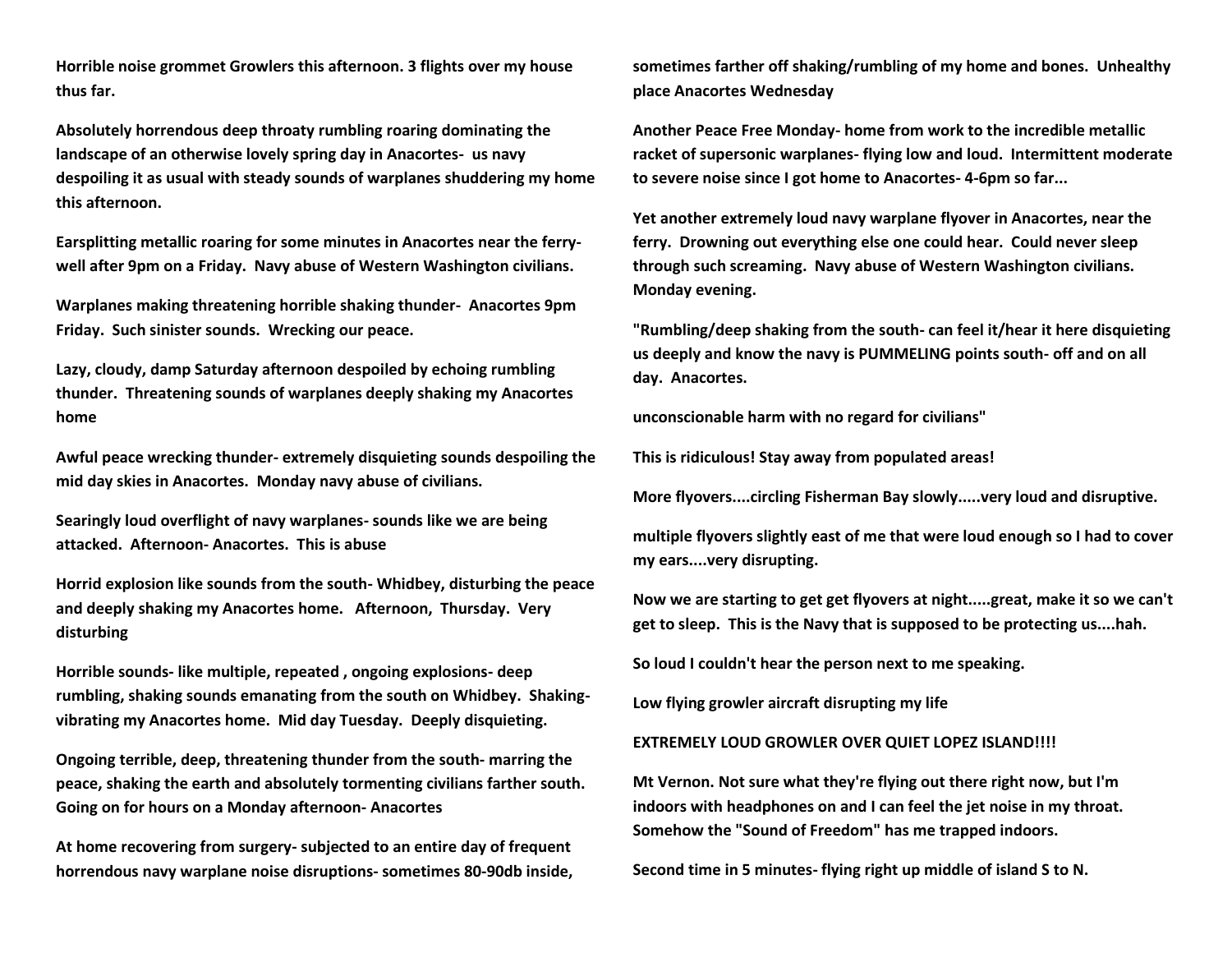**Horrible noise grommet Growlers this afternoon. 3 flights over my house thus far.** 

**Absolutely horrendous deep throaty rumbling roaring dominating the landscape of an otherwise lovely spring day in Anacortes- us navy despoiling it as usual with steady sounds of warplanes shuddering my home this afternoon.**

**Earsplitting metallic roaring for some minutes in Anacortes near the ferrywell after 9pm on a Friday. Navy abuse of Western Washington civilians.**

**Warplanes making threatening horrible shaking thunder- Anacortes 9pm Friday. Such sinister sounds. Wrecking our peace.**

**Lazy, cloudy, damp Saturday afternoon despoiled by echoing rumbling thunder. Threatening sounds of warplanes deeply shaking my Anacortes home**

**Awful peace wrecking thunder- extremely disquieting sounds despoiling the mid day skies in Anacortes. Monday navy abuse of civilians.**

**Searingly loud overflight of navy warplanes- sounds like we are being attacked. Afternoon- Anacortes. This is abuse**

**Horrid explosion like sounds from the south- Whidbey, disturbing the peace and deeply shaking my Anacortes home. Afternoon, Thursday. Very disturbing**

**Horrible sounds- like multiple, repeated , ongoing explosions- deep rumbling, shaking sounds emanating from the south on Whidbey. Shakingvibrating my Anacortes home. Mid day Tuesday. Deeply disquieting.**

**Ongoing terrible, deep, threatening thunder from the south- marring the peace, shaking the earth and absolutely tormenting civilians farther south. Going on for hours on a Monday afternoon- Anacortes** 

**At home recovering from surgery- subjected to an entire day of frequent horrendous navy warplane noise disruptions- sometimes 80-90db inside,**  **sometimes farther off shaking/rumbling of my home and bones. Unhealthy place Anacortes Wednesday**

**Another Peace Free Monday- home from work to the incredible metallic racket of supersonic warplanes- flying low and loud. Intermittent moderate to severe noise since I got home to Anacortes- 4-6pm so far...**

**Yet another extremely loud navy warplane flyover in Anacortes, near the ferry. Drowning out everything else one could hear. Could never sleep through such screaming. Navy abuse of Western Washington civilians. Monday evening.** 

**"Rumbling/deep shaking from the south- can feel it/hear it here disquieting us deeply and know the navy is PUMMELING points south- off and on all day. Anacortes.** 

**unconscionable harm with no regard for civilians"**

**This is ridiculous! Stay away from populated areas!**

**More flyovers....circling Fisherman Bay slowly.....very loud and disruptive.**

**multiple flyovers slightly east of me that were loud enough so I had to cover my ears....very disrupting.**

**Now we are starting to get get flyovers at night.....great, make it so we can't get to sleep. This is the Navy that is supposed to be protecting us....hah.**

**So loud I couldn't hear the person next to me speaking.**

**Low flying growler aircraft disrupting my life** 

**EXTREMELY LOUD GROWLER OVER QUIET LOPEZ ISLAND!!!!**

**Mt Vernon. Not sure what they're flying out there right now, but I'm indoors with headphones on and I can feel the jet noise in my throat. Somehow the "Sound of Freedom" has me trapped indoors.**

**Second time in 5 minutes- flying right up middle of island S to N.**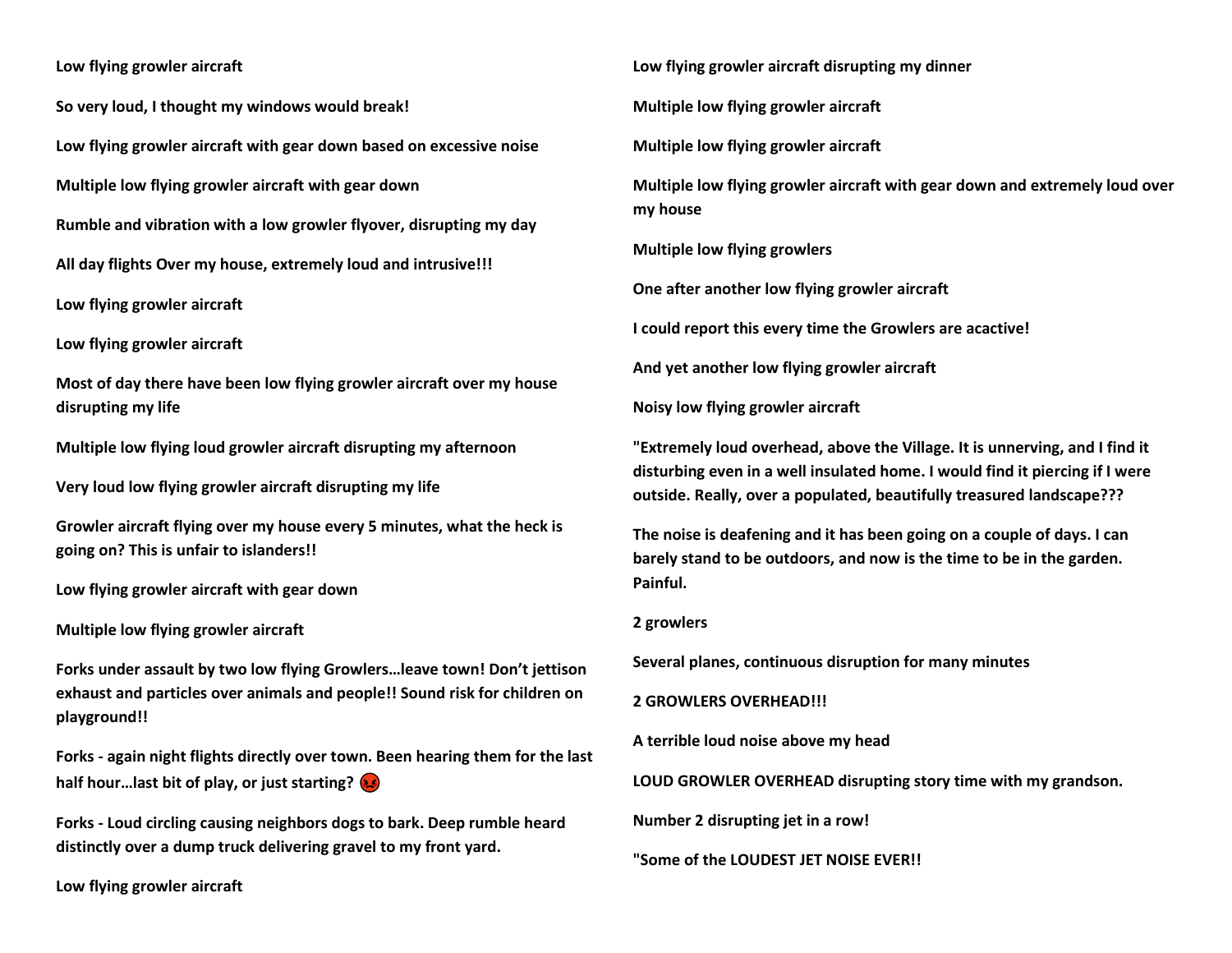## **Low flying growler aircraft**

**So very loud, I thought my windows would break!**

**Low flying growler aircraft with gear down based on excessive noise**

**Multiple low flying growler aircraft with gear down** 

**Rumble and vibration with a low growler flyover, disrupting my day**

**All day flights Over my house, extremely loud and intrusive!!!** 

**Low flying growler aircraft** 

**Low flying growler aircraft** 

**Most of day there have been low flying growler aircraft over my house disrupting my life**

**Multiple low flying loud growler aircraft disrupting my afternoon** 

**Very loud low flying growler aircraft disrupting my life** 

**Growler aircraft flying over my house every 5 minutes, what the heck is going on? This is unfair to islanders!!**

**Low flying growler aircraft with gear down** 

**Multiple low flying growler aircraft** 

**Forks under assault by two low flying Growlers…leave town! Don't jettison exhaust and particles over animals and people!! Sound risk for children on playground!!**

**Forks - again night flights directly over town. Been hearing them for the last half hour…last bit of play, or just starting?** 

**Forks - Loud circling causing neighbors dogs to bark. Deep rumble heard distinctly over a dump truck delivering gravel to my front yard.** 

**Low flying growler aircraft** 

**Low flying growler aircraft disrupting my dinner** 

**Multiple low flying growler aircraft** 

**Multiple low flying growler aircraft** 

**Multiple low flying growler aircraft with gear down and extremely loud over my house**

**Multiple low flying growlers**

**One after another low flying growler aircraft** 

**I could report this every time the Growlers are acactive!**

**And yet another low flying growler aircraft** 

**Noisy low flying growler aircraft** 

**"Extremely loud overhead, above the Village. It is unnerving, and I find it disturbing even in a well insulated home. I would find it piercing if I were outside. Really, over a populated, beautifully treasured landscape???**

**The noise is deafening and it has been going on a couple of days. I can barely stand to be outdoors, and now is the time to be in the garden. Painful.**

**2 growlers** 

**Several planes, continuous disruption for many minutes**

**2 GROWLERS OVERHEAD!!!**

**A terrible loud noise above my head**

**LOUD GROWLER OVERHEAD disrupting story time with my grandson.**

**Number 2 disrupting jet in a row!**

**"Some of the LOUDEST JET NOISE EVER!!**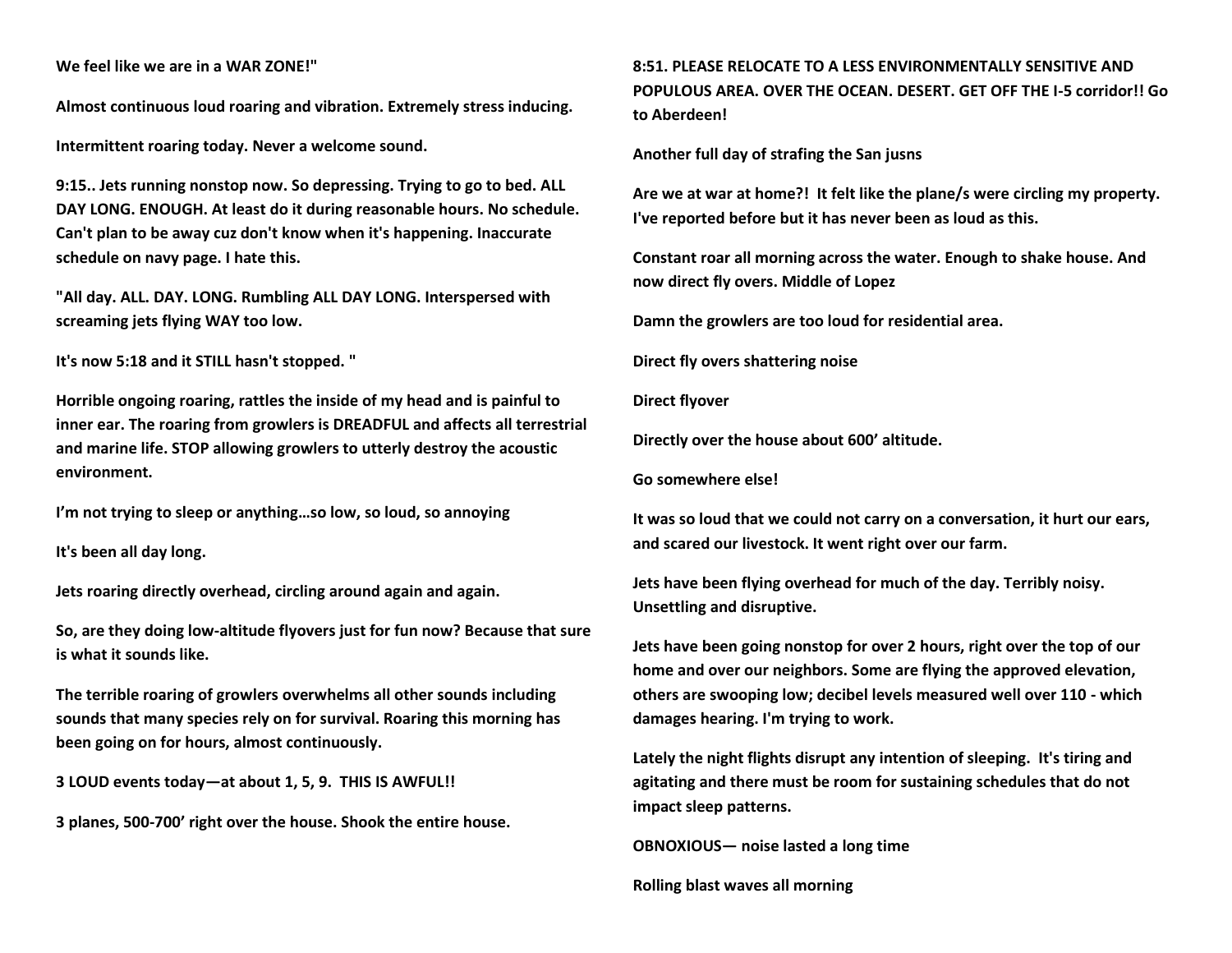# **We feel like we are in a WAR ZONE!"**

**Almost continuous loud roaring and vibration. Extremely stress inducing.** 

**Intermittent roaring today. Never a welcome sound.** 

**9:15.. Jets running nonstop now. So depressing. Trying to go to bed. ALL DAY LONG. ENOUGH. At least do it during reasonable hours. No schedule. Can't plan to be away cuz don't know when it's happening. Inaccurate schedule on navy page. I hate this.** 

**"All day. ALL. DAY. LONG. Rumbling ALL DAY LONG. Interspersed with screaming jets flying WAY too low.**

**It's now 5:18 and it STILL hasn't stopped. "**

**Horrible ongoing roaring, rattles the inside of my head and is painful to inner ear. The roaring from growlers is DREADFUL and affects all terrestrial and marine life. STOP allowing growlers to utterly destroy the acoustic environment.** 

**I'm not trying to sleep or anything…so low, so loud, so annoying**

**It's been all day long.**

**Jets roaring directly overhead, circling around again and again.**

**So, are they doing low-altitude flyovers just for fun now? Because that sure is what it sounds like.**

**The terrible roaring of growlers overwhelms all other sounds including sounds that many species rely on for survival. Roaring this morning has been going on for hours, almost continuously.** 

**3 LOUD events today—at about 1, 5, 9. THIS IS AWFUL!!**

**3 planes, 500-700' right over the house. Shook the entire house.** 

**8:51. PLEASE RELOCATE TO A LESS ENVIRONMENTALLY SENSITIVE AND POPULOUS AREA. OVER THE OCEAN. DESERT. GET OFF THE I-5 corridor!! Go to Aberdeen!**

**Another full day of strafing the San jusns**

**Are we at war at home?! It felt like the plane/s were circling my property. I've reported before but it has never been as loud as this.** 

**Constant roar all morning across the water. Enough to shake house. And now direct fly overs. Middle of Lopez** 

**Damn the growlers are too loud for residential area.** 

**Direct fly overs shattering noise**

**Direct flyover**

**Directly over the house about 600' altitude.** 

**Go somewhere else!**

**It was so loud that we could not carry on a conversation, it hurt our ears, and scared our livestock. It went right over our farm.** 

**Jets have been flying overhead for much of the day. Terribly noisy. Unsettling and disruptive.** 

**Jets have been going nonstop for over 2 hours, right over the top of our home and over our neighbors. Some are flying the approved elevation, others are swooping low; decibel levels measured well over 110 - which damages hearing. I'm trying to work.** 

**Lately the night flights disrupt any intention of sleeping. It's tiring and agitating and there must be room for sustaining schedules that do not impact sleep patterns.** 

**OBNOXIOUS— noise lasted a long time**

**Rolling blast waves all morning**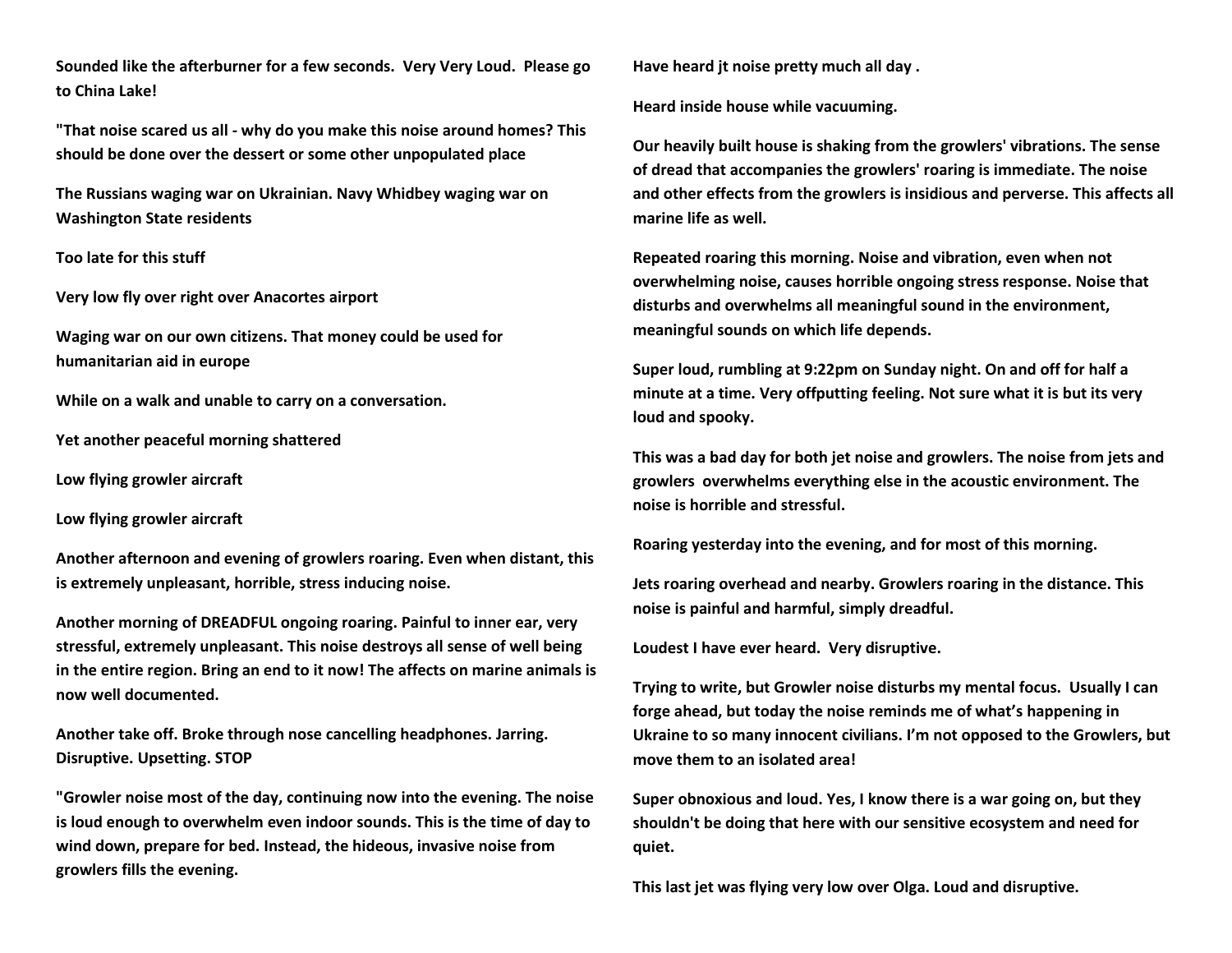**Sounded like the afterburner for a few seconds. Very Very Loud. Please go to China Lake!**

**"That noise scared us all - why do you make this noise around homes? This should be done over the dessert or some other unpopulated place** 

**The Russians waging war on Ukrainian. Navy Whidbey waging war on Washington State residents**

**Too late for this stuff**

**Very low fly over right over Anacortes airport**

**Waging war on our own citizens. That money could be used for humanitarian aid in europe**

**While on a walk and unable to carry on a conversation.**

**Yet another peaceful morning shattered**

**Low flying growler aircraft** 

**Low flying growler aircraft** 

**Another afternoon and evening of growlers roaring. Even when distant, this is extremely unpleasant, horrible, stress inducing noise.** 

**Another morning of DREADFUL ongoing roaring. Painful to inner ear, very stressful, extremely unpleasant. This noise destroys all sense of well being in the entire region. Bring an end to it now! The affects on marine animals is now well documented.** 

**Another take off. Broke through nose cancelling headphones. Jarring. Disruptive. Upsetting. STOP**

**"Growler noise most of the day, continuing now into the evening. The noise is loud enough to overwhelm even indoor sounds. This is the time of day to wind down, prepare for bed. Instead, the hideous, invasive noise from growlers fills the evening.** 

**Have heard jt noise pretty much all day .** 

**Heard inside house while vacuuming.** 

**Our heavily built house is shaking from the growlers' vibrations. The sense of dread that accompanies the growlers' roaring is immediate. The noise and other effects from the growlers is insidious and perverse. This affects all marine life as well.** 

**Repeated roaring this morning. Noise and vibration, even when not overwhelming noise, causes horrible ongoing stress response. Noise that disturbs and overwhelms all meaningful sound in the environment, meaningful sounds on which life depends.** 

**Super loud, rumbling at 9:22pm on Sunday night. On and off for half a minute at a time. Very offputting feeling. Not sure what it is but its very loud and spooky.**

**This was a bad day for both jet noise and growlers. The noise from jets and growlers overwhelms everything else in the acoustic environment. The noise is horrible and stressful.** 

**Roaring yesterday into the evening, and for most of this morning.**

**Jets roaring overhead and nearby. Growlers roaring in the distance. This noise is painful and harmful, simply dreadful.** 

**Loudest I have ever heard. Very disruptive.**

**Trying to write, but Growler noise disturbs my mental focus. Usually I can forge ahead, but today the noise reminds me of what's happening in Ukraine to so many innocent civilians. I'm not opposed to the Growlers, but move them to an isolated area!**

**Super obnoxious and loud. Yes, I know there is a war going on, but they shouldn't be doing that here with our sensitive ecosystem and need for quiet.** 

**This last jet was flying very low over Olga. Loud and disruptive.**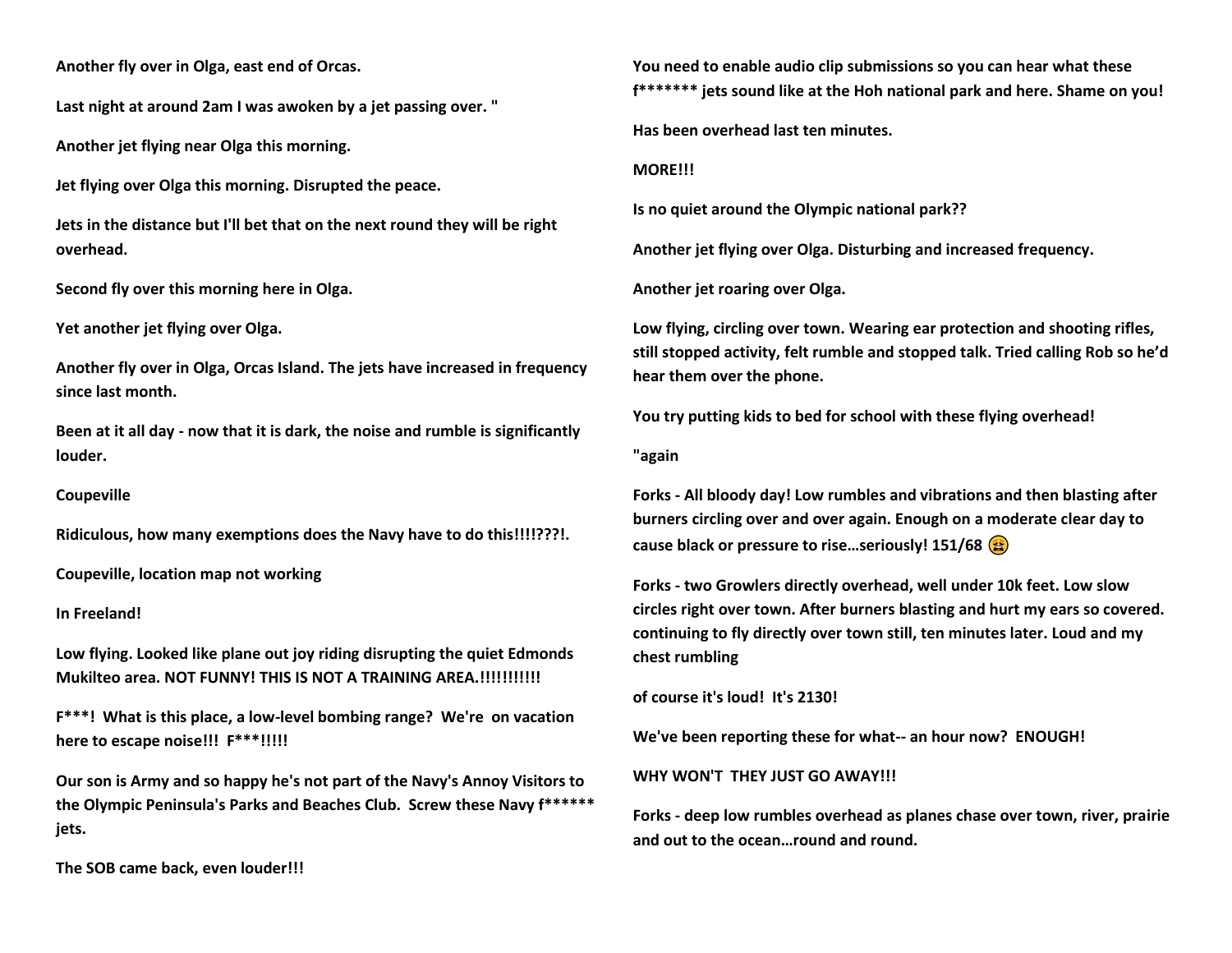**Another fly over in Olga, east end of Orcas.**

**Last night at around 2am I was awoken by a jet passing over. "**

**Another jet flying near Olga this morning.** 

**Jet flying over Olga this morning. Disrupted the peace.** 

**Jets in the distance but I'll bet that on the next round they will be right overhead.** 

**Second fly over this morning here in Olga.**

**Yet another jet flying over Olga.** 

**Another fly over in Olga, Orcas Island. The jets have increased in frequency since last month.**

**Been at it all day - now that it is dark, the noise and rumble is significantly louder.**

## **Coupeville**

**Ridiculous, how many exemptions does the Navy have to do this!!!!???!.** 

**Coupeville, location map not working** 

**In Freeland!** 

**Low flying. Looked like plane out joy riding disrupting the quiet Edmonds Mukilteo area. NOT FUNNY! THIS IS NOT A TRAINING AREA.!!!!!!!!!!!**

**F\*\*\*! What is this place, a low-level bombing range? We're on vacation here to escape noise!!! F\*\*\*!!!!!**

**Our son is Army and so happy he's not part of the Navy's Annoy Visitors to the Olympic Peninsula's Parks and Beaches Club. Screw these Navy f\*\*\*\*\*\* jets.**

**The SOB came back, even louder!!!**

**You need to enable audio clip submissions so you can hear what these f\*\*\*\*\*\*\* jets sound like at the Hoh national park and here. Shame on you!**

**Has been overhead last ten minutes.**

**MORE!!!**

**Is no quiet around the Olympic national park??**

**Another jet flying over Olga. Disturbing and increased frequency.**

**Another jet roaring over Olga.**

**Low flying, circling over town. Wearing ear protection and shooting rifles, still stopped activity, felt rumble and stopped talk. Tried calling Rob so he'd hear them over the phone.**

**You try putting kids to bed for school with these flying overhead!**

**"again**

**Forks - All bloody day! Low rumbles and vibrations and then blasting after burners circling over and over again. Enough on a moderate clear day to cause black or pressure to rise…seriously! 151/68** 

**Forks - two Growlers directly overhead, well under 10k feet. Low slow circles right over town. After burners blasting and hurt my ears so covered. continuing to fly directly over town still, ten minutes later. Loud and my chest rumbling** 

**of course it's loud! It's 2130!**

**We've been reporting these for what-- an hour now? ENOUGH!**

**WHY WON'T THEY JUST GO AWAY!!!**

**Forks - deep low rumbles overhead as planes chase over town, river, prairie and out to the ocean…round and round.**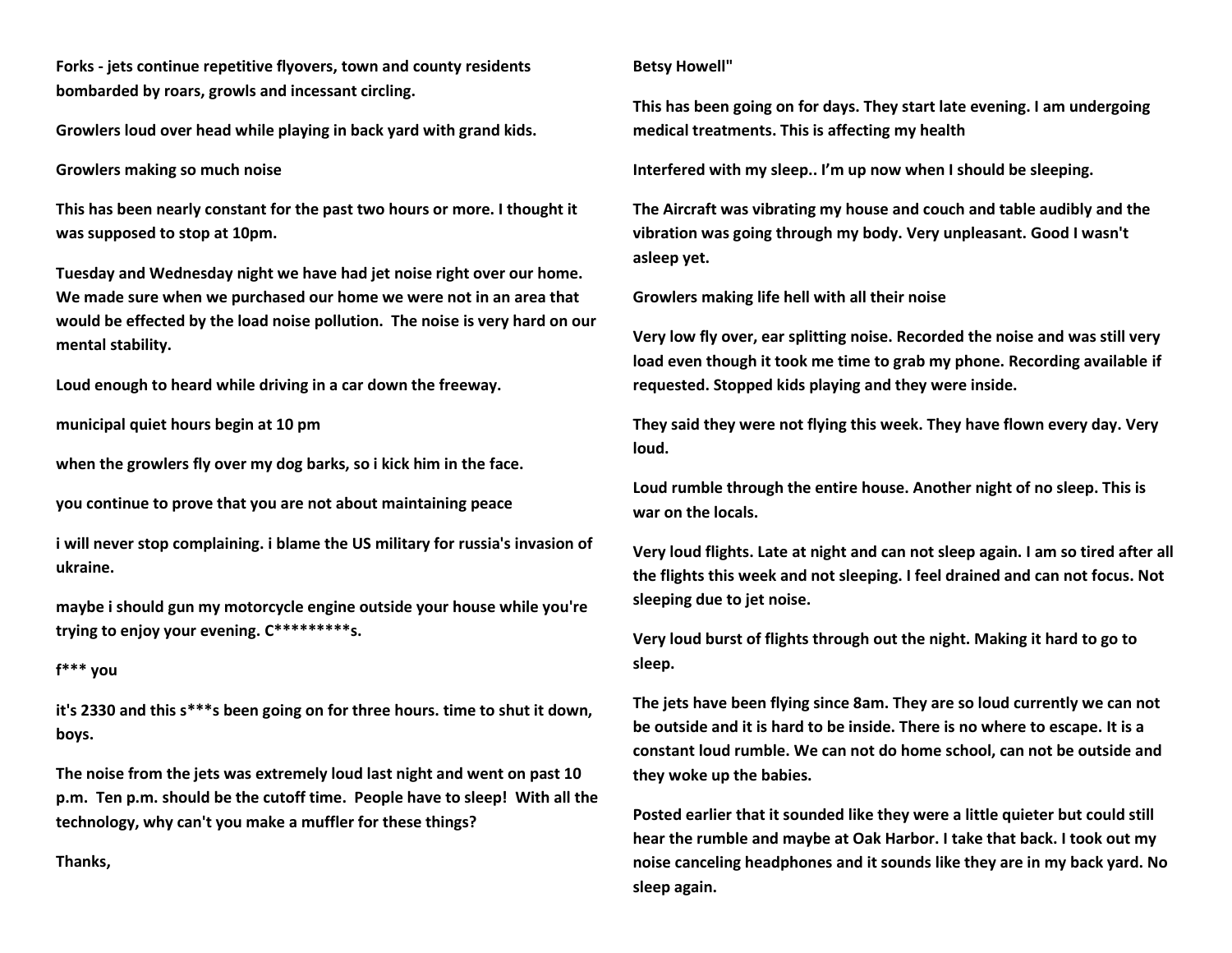**Forks - jets continue repetitive flyovers, town and county residents bombarded by roars, growls and incessant circling.** 

**Growlers loud over head while playing in back yard with grand kids.**

# **Growlers making so much noise**

**This has been nearly constant for the past two hours or more. I thought it was supposed to stop at 10pm.** 

**Tuesday and Wednesday night we have had jet noise right over our home. We made sure when we purchased our home we were not in an area that would be effected by the load noise pollution. The noise is very hard on our mental stability.** 

**Loud enough to heard while driving in a car down the freeway.**

**municipal quiet hours begin at 10 pm**

**when the growlers fly over my dog barks, so i kick him in the face.**

**you continue to prove that you are not about maintaining peace**

**i will never stop complaining. i blame the US military for russia's invasion of ukraine.**

**maybe i should gun my motorcycle engine outside your house while you're trying to enjoy your evening. C\*\*\*\*\*\*\*\*\*s.**

# **f\*\*\* you**

**it's 2330 and this s\*\*\*s been going on for three hours. time to shut it down, boys.**

**The noise from the jets was extremely loud last night and went on past 10 p.m. Ten p.m. should be the cutoff time. People have to sleep! With all the technology, why can't you make a muffler for these things?**

**Thanks,**

## **Betsy Howell"**

**This has been going on for days. They start late evening. I am undergoing medical treatments. This is affecting my health**

**Interfered with my sleep.. I'm up now when I should be sleeping.**

**The Aircraft was vibrating my house and couch and table audibly and the vibration was going through my body. Very unpleasant. Good I wasn't asleep yet.**

**Growlers making life hell with all their noise**

**Very low fly over, ear splitting noise. Recorded the noise and was still very load even though it took me time to grab my phone. Recording available if requested. Stopped kids playing and they were inside.** 

**They said they were not flying this week. They have flown every day. Very loud.** 

**Loud rumble through the entire house. Another night of no sleep. This is war on the locals.** 

**Very loud flights. Late at night and can not sleep again. I am so tired after all the flights this week and not sleeping. I feel drained and can not focus. Not sleeping due to jet noise.** 

**Very loud burst of flights through out the night. Making it hard to go to sleep.** 

**The jets have been flying since 8am. They are so loud currently we can not be outside and it is hard to be inside. There is no where to escape. It is a constant loud rumble. We can not do home school, can not be outside and they woke up the babies.** 

**Posted earlier that it sounded like they were a little quieter but could still hear the rumble and maybe at Oak Harbor. I take that back. I took out my noise canceling headphones and it sounds like they are in my back yard. No sleep again.**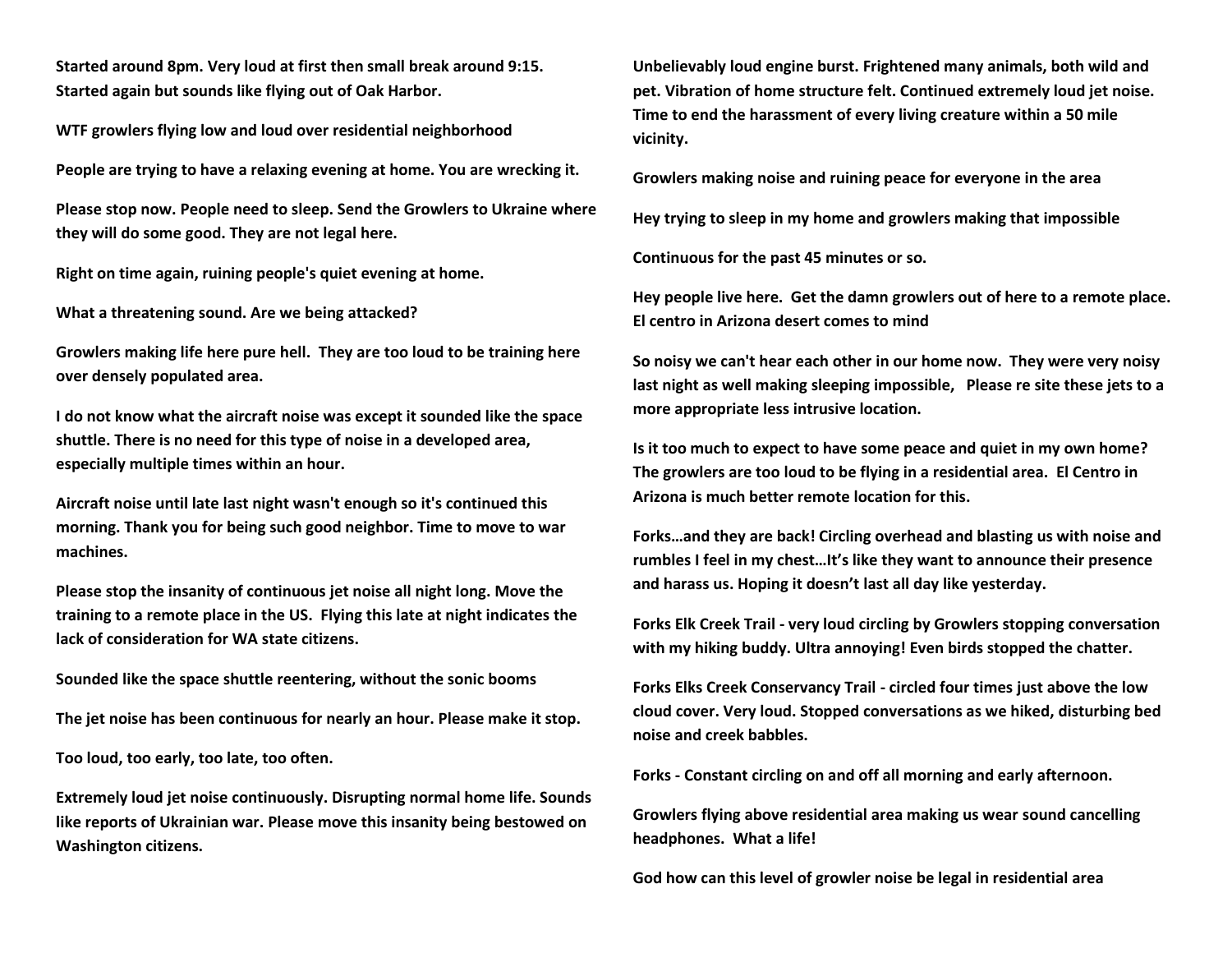**Started around 8pm. Very loud at first then small break around 9:15. Started again but sounds like flying out of Oak Harbor.** 

**WTF growlers flying low and loud over residential neighborhood**

**People are trying to have a relaxing evening at home. You are wrecking it.**

**Please stop now. People need to sleep. Send the Growlers to Ukraine where they will do some good. They are not legal here.**

**Right on time again, ruining people's quiet evening at home.**

**What a threatening sound. Are we being attacked?**

**Growlers making life here pure hell. They are too loud to be training here over densely populated area.** 

**I do not know what the aircraft noise was except it sounded like the space shuttle. There is no need for this type of noise in a developed area, especially multiple times within an hour.**

**Aircraft noise until late last night wasn't enough so it's continued this morning. Thank you for being such good neighbor. Time to move to war machines.**

**Please stop the insanity of continuous jet noise all night long. Move the training to a remote place in the US. Flying this late at night indicates the lack of consideration for WA state citizens.**

**Sounded like the space shuttle reentering, without the sonic booms**

**The jet noise has been continuous for nearly an hour. Please make it stop.** 

**Too loud, too early, too late, too often.** 

**Extremely loud jet noise continuously. Disrupting normal home life. Sounds like reports of Ukrainian war. Please move this insanity being bestowed on Washington citizens.** 

**Unbelievably loud engine burst. Frightened many animals, both wild and pet. Vibration of home structure felt. Continued extremely loud jet noise. Time to end the harassment of every living creature within a 50 mile vicinity.**

**Growlers making noise and ruining peace for everyone in the area** 

**Hey trying to sleep in my home and growlers making that impossible** 

**Continuous for the past 45 minutes or so.**

**Hey people live here. Get the damn growlers out of here to a remote place. El centro in Arizona desert comes to mind**

**So noisy we can't hear each other in our home now. They were very noisy last night as well making sleeping impossible, Please re site these jets to a more appropriate less intrusive location.** 

**Is it too much to expect to have some peace and quiet in my own home? The growlers are too loud to be flying in a residential area. El Centro in Arizona is much better remote location for this.**

**Forks…and they are back! Circling overhead and blasting us with noise and rumbles I feel in my chest…It's like they want to announce their presence and harass us. Hoping it doesn't last all day like yesterday.**

**Forks Elk Creek Trail - very loud circling by Growlers stopping conversation with my hiking buddy. Ultra annoying! Even birds stopped the chatter.** 

**Forks Elks Creek Conservancy Trail - circled four times just above the low cloud cover. Very loud. Stopped conversations as we hiked, disturbing bed noise and creek babbles.** 

**Forks - Constant circling on and off all morning and early afternoon.**

**Growlers flying above residential area making us wear sound cancelling headphones. What a life!**

**God how can this level of growler noise be legal in residential area**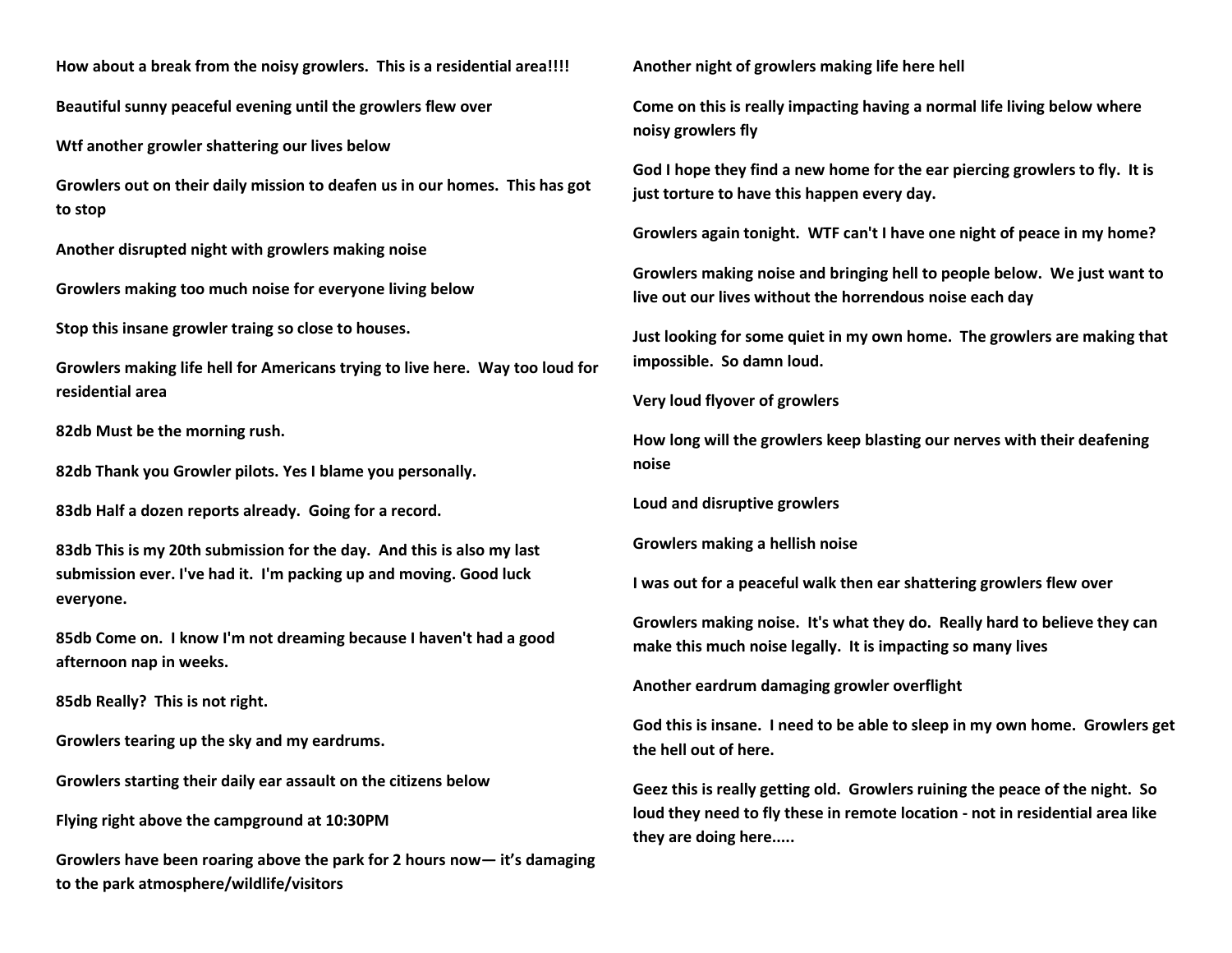**How about a break from the noisy growlers. This is a residential area!!!!**

**Beautiful sunny peaceful evening until the growlers flew over** 

**Wtf another growler shattering our lives below**

**Growlers out on their daily mission to deafen us in our homes. This has got to stop**

**Another disrupted night with growlers making noise**

**Growlers making too much noise for everyone living below** 

**Stop this insane growler traing so close to houses.** 

**Growlers making life hell for Americans trying to live here. Way too loud for residential area**

**82db Must be the morning rush.**

**82db Thank you Growler pilots. Yes I blame you personally.**

**83db Half a dozen reports already. Going for a record.**

**83db This is my 20th submission for the day. And this is also my last submission ever. I've had it. I'm packing up and moving. Good luck everyone.**

**85db Come on. I know I'm not dreaming because I haven't had a good afternoon nap in weeks.**

**85db Really? This is not right.**

**Growlers tearing up the sky and my eardrums.** 

**Growlers starting their daily ear assault on the citizens below** 

**Flying right above the campground at 10:30PM**

**Growlers have been roaring above the park for 2 hours now— it's damaging to the park atmosphere/wildlife/visitors**

**Another night of growlers making life here hell**

**Come on this is really impacting having a normal life living below where noisy growlers fly**

**God I hope they find a new home for the ear piercing growlers to fly. It is just torture to have this happen every day.** 

**Growlers again tonight. WTF can't I have one night of peace in my home?**

**Growlers making noise and bringing hell to people below. We just want to live out our lives without the horrendous noise each day**

**Just looking for some quiet in my own home. The growlers are making that impossible. So damn loud.** 

**Very loud flyover of growlers**

**How long will the growlers keep blasting our nerves with their deafening noise**

**Loud and disruptive growlers** 

**Growlers making a hellish noise**

**I was out for a peaceful walk then ear shattering growlers flew over** 

**Growlers making noise. It's what they do. Really hard to believe they can make this much noise legally. It is impacting so many lives**

**Another eardrum damaging growler overflight** 

**God this is insane. I need to be able to sleep in my own home. Growlers get the hell out of here.** 

**Geez this is really getting old. Growlers ruining the peace of the night. So loud they need to fly these in remote location - not in residential area like they are doing here.....**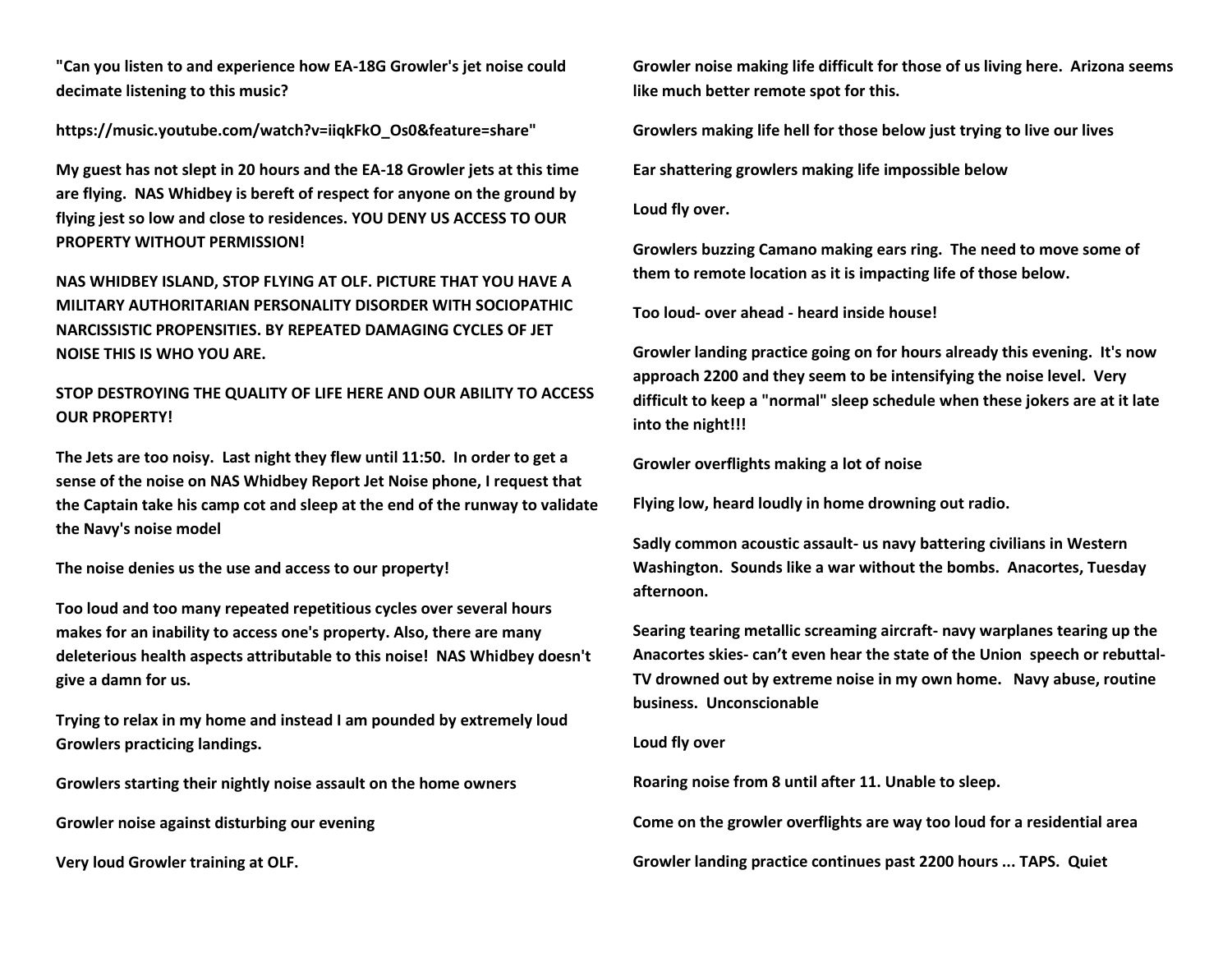**"Can you listen to and experience how EA-18G Growler's jet noise could decimate listening to this music?**

**https://music.youtube.com/watch?v=iiqkFkO\_Os0&feature=share"**

**My guest has not slept in 20 hours and the EA-18 Growler jets at this time are flying. NAS Whidbey is bereft of respect for anyone on the ground by flying jest so low and close to residences. YOU DENY US ACCESS TO OUR PROPERTY WITHOUT PERMISSION!**

**NAS WHIDBEY ISLAND, STOP FLYING AT OLF. PICTURE THAT YOU HAVE A MILITARY AUTHORITARIAN PERSONALITY DISORDER WITH SOCIOPATHIC NARCISSISTIC PROPENSITIES. BY REPEATED DAMAGING CYCLES OF JET NOISE THIS IS WHO YOU ARE.**

# **STOP DESTROYING THE QUALITY OF LIFE HERE AND OUR ABILITY TO ACCESS OUR PROPERTY!**

**The Jets are too noisy. Last night they flew until 11:50. In order to get a sense of the noise on NAS Whidbey Report Jet Noise phone, I request that the Captain take his camp cot and sleep at the end of the runway to validate the Navy's noise model**

**The noise denies us the use and access to our property!**

**Too loud and too many repeated repetitious cycles over several hours makes for an inability to access one's property. Also, there are many deleterious health aspects attributable to this noise! NAS Whidbey doesn't give a damn for us.**

**Trying to relax in my home and instead I am pounded by extremely loud Growlers practicing landings.** 

**Growlers starting their nightly noise assault on the home owners** 

**Growler noise against disturbing our evening** 

**Very loud Growler training at OLF.** 

**Growler noise making life difficult for those of us living here. Arizona seems like much better remote spot for this.** 

**Growlers making life hell for those below just trying to live our lives** 

**Ear shattering growlers making life impossible below**

**Loud fly over.**

**Growlers buzzing Camano making ears ring. The need to move some of them to remote location as it is impacting life of those below.** 

**Too loud- over ahead - heard inside house!**

**Growler landing practice going on for hours already this evening. It's now approach 2200 and they seem to be intensifying the noise level. Very difficult to keep a "normal" sleep schedule when these jokers are at it late into the night!!!**

**Growler overflights making a lot of noise** 

**Flying low, heard loudly in home drowning out radio.**

**Sadly common acoustic assault- us navy battering civilians in Western Washington. Sounds like a war without the bombs. Anacortes, Tuesday afternoon.**

**Searing tearing metallic screaming aircraft- navy warplanes tearing up the Anacortes skies- can't even hear the state of the Union speech or rebuttal-TV drowned out by extreme noise in my own home. Navy abuse, routine business. Unconscionable** 

# **Loud fly over**

**Roaring noise from 8 until after 11. Unable to sleep.**

**Come on the growler overflights are way too loud for a residential area** 

**Growler landing practice continues past 2200 hours ... TAPS. Quiet**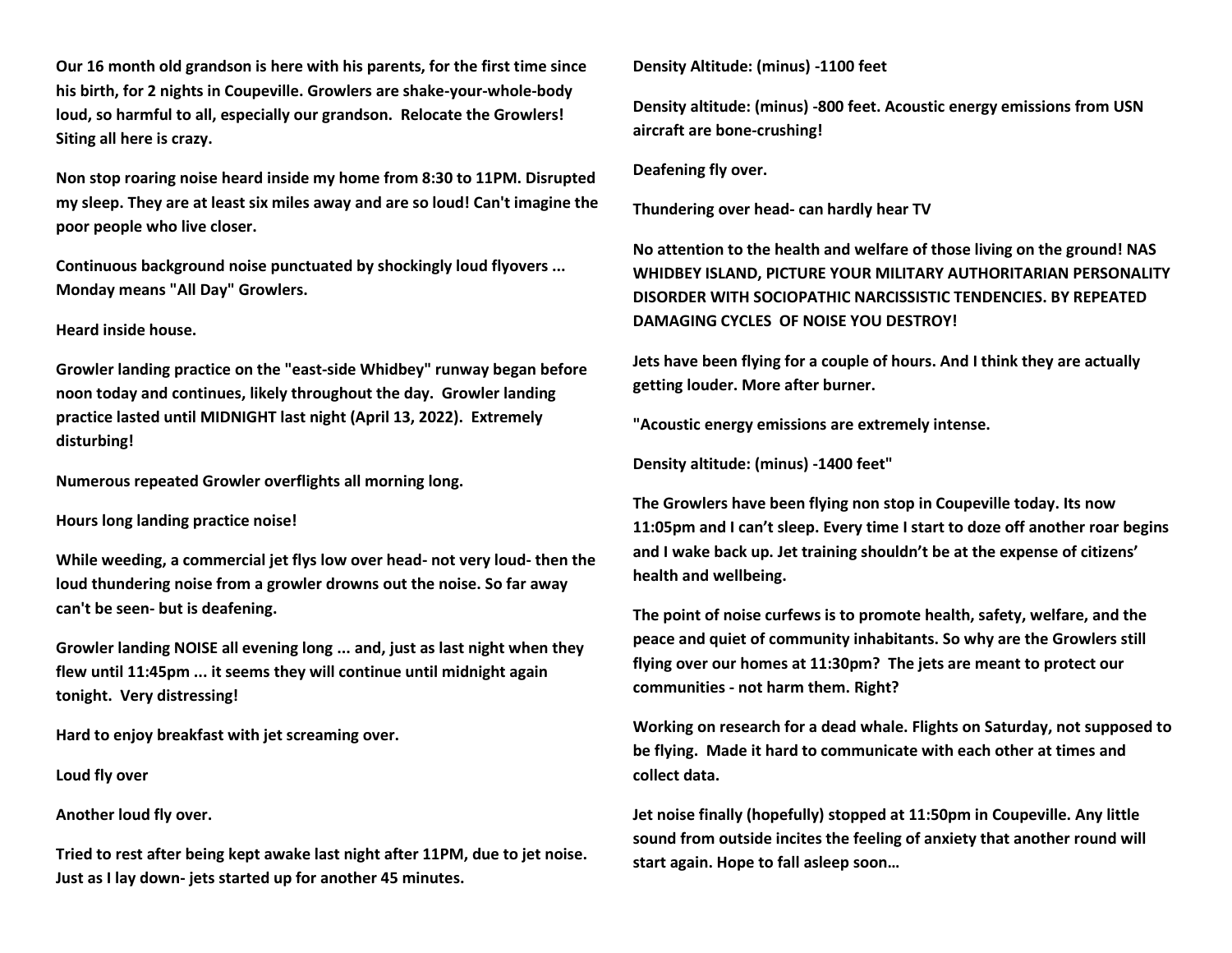**Our 16 month old grandson is here with his parents, for the first time since his birth, for 2 nights in Coupeville. Growlers are shake-your-whole-body loud, so harmful to all, especially our grandson. Relocate the Growlers! Siting all here is crazy.**

**Non stop roaring noise heard inside my home from 8:30 to 11PM. Disrupted my sleep. They are at least six miles away and are so loud! Can't imagine the poor people who live closer.**

**Continuous background noise punctuated by shockingly loud flyovers ... Monday means "All Day" Growlers.**

## **Heard inside house.**

**Growler landing practice on the "east-side Whidbey" runway began before noon today and continues, likely throughout the day. Growler landing practice lasted until MIDNIGHT last night (April 13, 2022). Extremely disturbing!**

**Numerous repeated Growler overflights all morning long.**

**Hours long landing practice noise!**

**While weeding, a commercial jet flys low over head- not very loud- then the loud thundering noise from a growler drowns out the noise. So far away can't be seen- but is deafening.** 

**Growler landing NOISE all evening long ... and, just as last night when they flew until 11:45pm ... it seems they will continue until midnight again tonight. Very distressing!**

**Hard to enjoy breakfast with jet screaming over.**

**Loud fly over**

**Another loud fly over.**

**Tried to rest after being kept awake last night after 11PM, due to jet noise. Just as I lay down- jets started up for another 45 minutes.**

**Density Altitude: (minus) -1100 feet**

**Density altitude: (minus) -800 feet. Acoustic energy emissions from USN aircraft are bone-crushing!**

**Deafening fly over.**

**Thundering over head- can hardly hear TV**

**No attention to the health and welfare of those living on the ground! NAS WHIDBEY ISLAND, PICTURE YOUR MILITARY AUTHORITARIAN PERSONALITY DISORDER WITH SOCIOPATHIC NARCISSISTIC TENDENCIES. BY REPEATED DAMAGING CYCLES OF NOISE YOU DESTROY!**

**Jets have been flying for a couple of hours. And I think they are actually getting louder. More after burner.**

**"Acoustic energy emissions are extremely intense.** 

**Density altitude: (minus) -1400 feet"**

**The Growlers have been flying non stop in Coupeville today. Its now 11:05pm and I can't sleep. Every time I start to doze off another roar begins and I wake back up. Jet training shouldn't be at the expense of citizens' health and wellbeing.**

**The point of noise curfews is to promote health, safety, welfare, and the peace and quiet of community inhabitants. So why are the Growlers still flying over our homes at 11:30pm? The jets are meant to protect our communities - not harm them. Right?**

**Working on research for a dead whale. Flights on Saturday, not supposed to be flying. Made it hard to communicate with each other at times and collect data.**

**Jet noise finally (hopefully) stopped at 11:50pm in Coupeville. Any little sound from outside incites the feeling of anxiety that another round will start again. Hope to fall asleep soon…**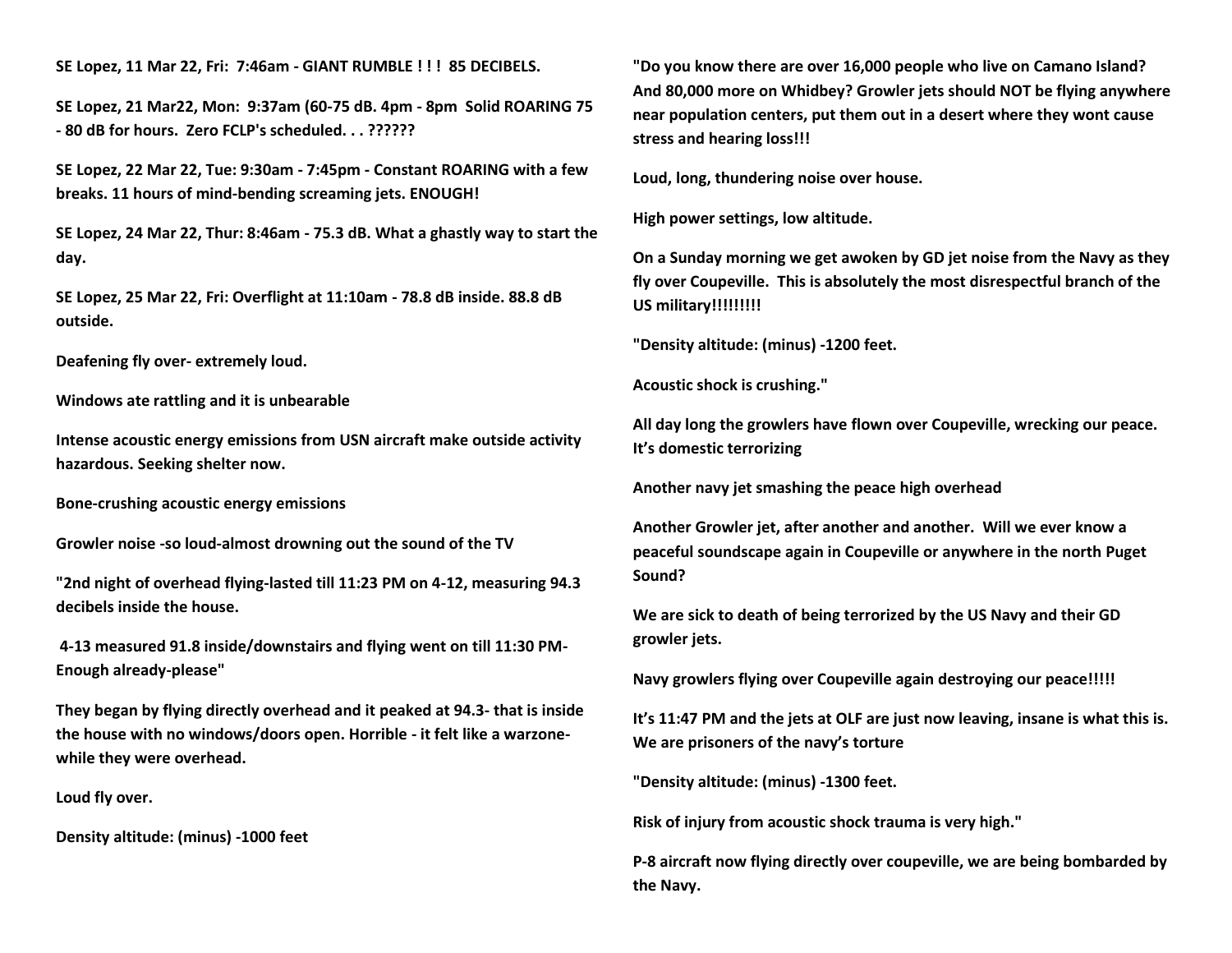**SE Lopez, 11 Mar 22, Fri: 7:46am - GIANT RUMBLE ! ! ! 85 DECIBELS.**

**SE Lopez, 21 Mar22, Mon: 9:37am (60-75 dB. 4pm - 8pm Solid ROARING 75 - 80 dB for hours. Zero FCLP's scheduled. . . ??????**

**SE Lopez, 22 Mar 22, Tue: 9:30am - 7:45pm - Constant ROARING with a few breaks. 11 hours of mind-bending screaming jets. ENOUGH!**

**SE Lopez, 24 Mar 22, Thur: 8:46am - 75.3 dB. What a ghastly way to start the day.**

**SE Lopez, 25 Mar 22, Fri: Overflight at 11:10am - 78.8 dB inside. 88.8 dB outside.** 

**Deafening fly over- extremely loud.**

**Windows ate rattling and it is unbearable**

**Intense acoustic energy emissions from USN aircraft make outside activity hazardous. Seeking shelter now.**

**Bone-crushing acoustic energy emissions** 

**Growler noise -so loud-almost drowning out the sound of the TV**

**"2nd night of overhead flying-lasted till 11:23 PM on 4-12, measuring 94.3 decibels inside the house.**

**4-13 measured 91.8 inside/downstairs and flying went on till 11:30 PM-Enough already-please"**

**They began by flying directly overhead and it peaked at 94.3- that is inside the house with no windows/doors open. Horrible - it felt like a warzonewhile they were overhead.**

**Loud fly over.**

**Density altitude: (minus) -1000 feet**

**"Do you know there are over 16,000 people who live on Camano Island? And 80,000 more on Whidbey? Growler jets should NOT be flying anywhere near population centers, put them out in a desert where they wont cause stress and hearing loss!!!**

**Loud, long, thundering noise over house.** 

**High power settings, low altitude.**

**On a Sunday morning we get awoken by GD jet noise from the Navy as they fly over Coupeville. This is absolutely the most disrespectful branch of the US military!!!!!!!!!**

**"Density altitude: (minus) -1200 feet.** 

**Acoustic shock is crushing."**

**All day long the growlers have flown over Coupeville, wrecking our peace. It's domestic terrorizing** 

**Another navy jet smashing the peace high overhead** 

**Another Growler jet, after another and another. Will we ever know a peaceful soundscape again in Coupeville or anywhere in the north Puget Sound?** 

**We are sick to death of being terrorized by the US Navy and their GD growler jets.** 

**Navy growlers flying over Coupeville again destroying our peace!!!!!**

**It's 11:47 PM and the jets at OLF are just now leaving, insane is what this is. We are prisoners of the navy's torture** 

**"Density altitude: (minus) -1300 feet.** 

**Risk of injury from acoustic shock trauma is very high."**

**P-8 aircraft now flying directly over coupeville, we are being bombarded by the Navy.**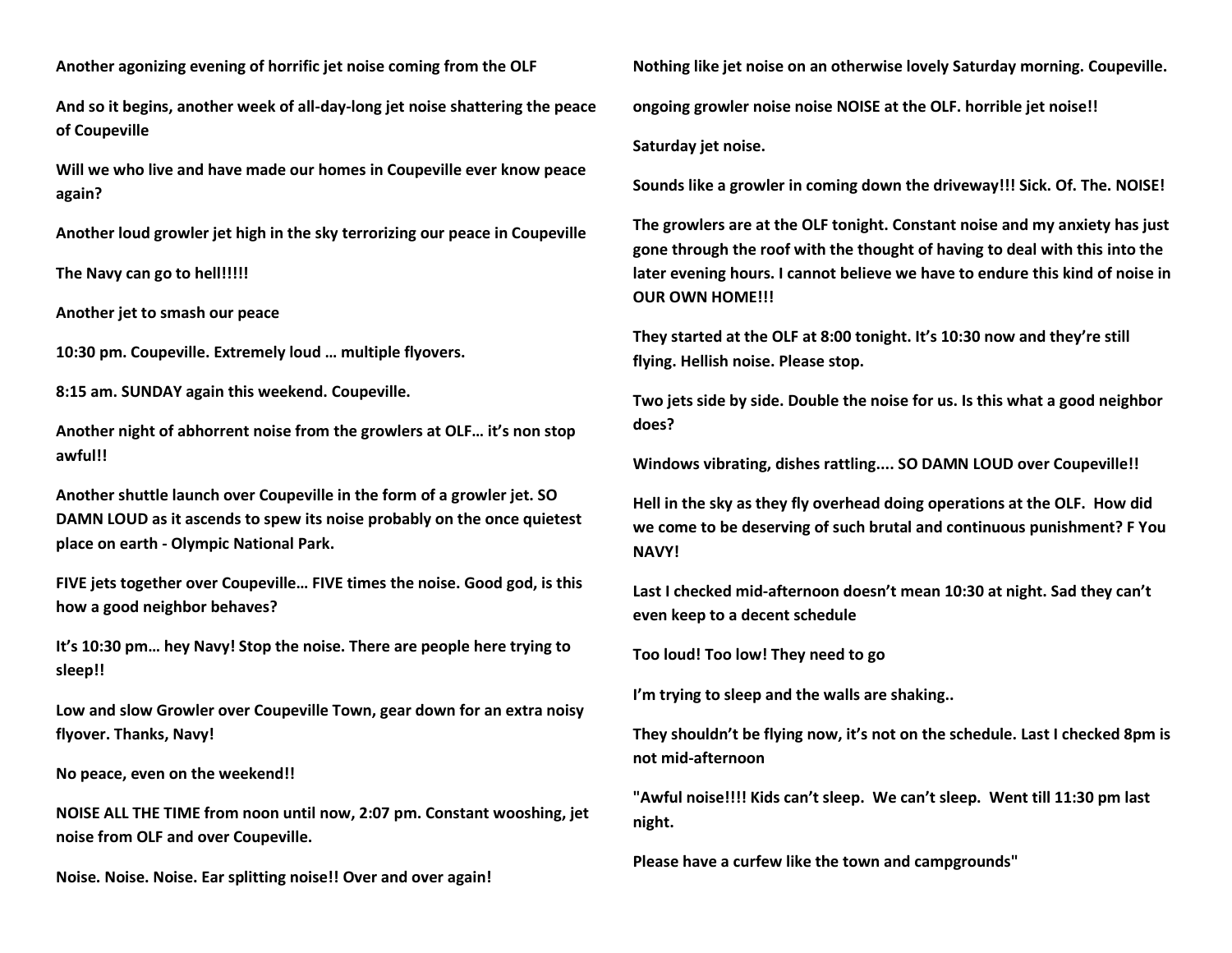**Another agonizing evening of horrific jet noise coming from the OLF** 

**And so it begins, another week of all-day-long jet noise shattering the peace of Coupeville** 

**Will we who live and have made our homes in Coupeville ever know peace again?**

**Another loud growler jet high in the sky terrorizing our peace in Coupeville** 

**The Navy can go to hell!!!!!**

**Another jet to smash our peace** 

**10:30 pm. Coupeville. Extremely loud … multiple flyovers.** 

**8:15 am. SUNDAY again this weekend. Coupeville.** 

**Another night of abhorrent noise from the growlers at OLF… it's non stop awful!!** 

**Another shuttle launch over Coupeville in the form of a growler jet. SO DAMN LOUD as it ascends to spew its noise probably on the once quietest place on earth - Olympic National Park.**

**FIVE jets together over Coupeville… FIVE times the noise. Good god, is this how a good neighbor behaves?** 

**It's 10:30 pm… hey Navy! Stop the noise. There are people here trying to sleep!!** 

**Low and slow Growler over Coupeville Town, gear down for an extra noisy flyover. Thanks, Navy!**

**No peace, even on the weekend!!** 

**NOISE ALL THE TIME from noon until now, 2:07 pm. Constant wooshing, jet noise from OLF and over Coupeville.** 

**Noise. Noise. Noise. Ear splitting noise!! Over and over again!** 

**Nothing like jet noise on an otherwise lovely Saturday morning. Coupeville. ongoing growler noise noise NOISE at the OLF. horrible jet noise!! Saturday jet noise.** 

**Sounds like a growler in coming down the driveway!!! Sick. Of. The. NOISE!** 

**The growlers are at the OLF tonight. Constant noise and my anxiety has just gone through the roof with the thought of having to deal with this into the later evening hours. I cannot believe we have to endure this kind of noise in OUR OWN HOME!!!**

**They started at the OLF at 8:00 tonight. It's 10:30 now and they're still flying. Hellish noise. Please stop.** 

**Two jets side by side. Double the noise for us. Is this what a good neighbor does?** 

**Windows vibrating, dishes rattling.... SO DAMN LOUD over Coupeville!!**

**Hell in the sky as they fly overhead doing operations at the OLF. How did we come to be deserving of such brutal and continuous punishment? F You NAVY!**

**Last I checked mid-afternoon doesn't mean 10:30 at night. Sad they can't even keep to a decent schedule** 

**Too loud! Too low! They need to go**

**I'm trying to sleep and the walls are shaking..**

**They shouldn't be flying now, it's not on the schedule. Last I checked 8pm is not mid-afternoon**

**"Awful noise!!!! Kids can't sleep. We can't sleep. Went till 11:30 pm last night.** 

**Please have a curfew like the town and campgrounds"**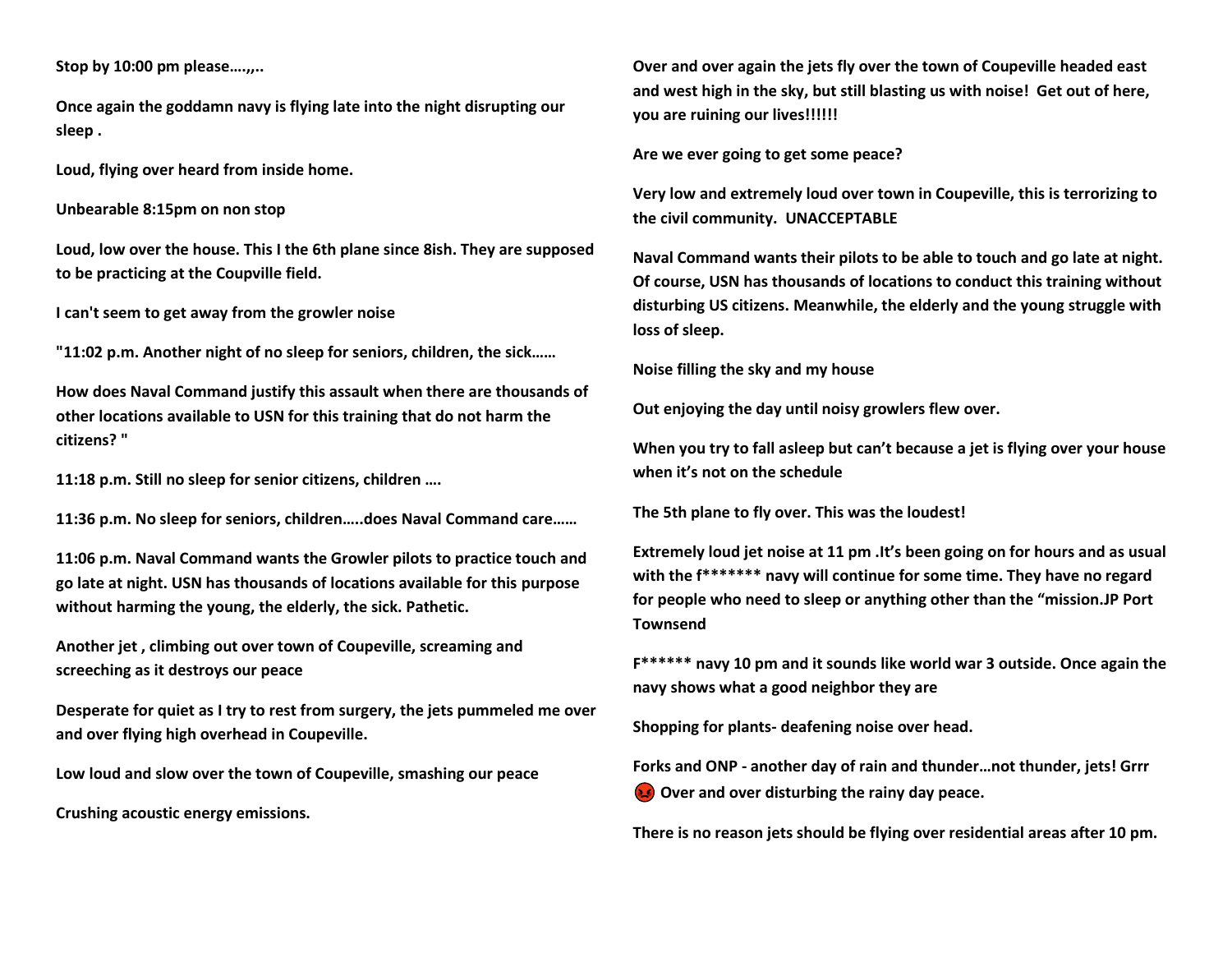**Stop by 10:00 pm please….,,..**

**Once again the goddamn navy is flying late into the night disrupting our sleep .**

**Loud, flying over heard from inside home.**

**Unbearable 8:15pm on non stop**

**Loud, low over the house. This I the 6th plane since 8ish. They are supposed to be practicing at the Coupville field.**

**I can't seem to get away from the growler noise**

**"11:02 p.m. Another night of no sleep for seniors, children, the sick……**

**How does Naval Command justify this assault when there are thousands of other locations available to USN for this training that do not harm the citizens? "**

**11:18 p.m. Still no sleep for senior citizens, children ….**

**11:36 p.m. No sleep for seniors, children…..does Naval Command care……**

**11:06 p.m. Naval Command wants the Growler pilots to practice touch and go late at night. USN has thousands of locations available for this purpose without harming the young, the elderly, the sick. Pathetic.**

**Another jet , climbing out over town of Coupeville, screaming and screeching as it destroys our peace** 

**Desperate for quiet as I try to rest from surgery, the jets pummeled me over and over flying high overhead in Coupeville.** 

**Low loud and slow over the town of Coupeville, smashing our peace** 

**Crushing acoustic energy emissions.**

**Over and over again the jets fly over the town of Coupeville headed east and west high in the sky, but still blasting us with noise! Get out of here, you are ruining our lives!!!!!!**

**Are we ever going to get some peace?**

**Very low and extremely loud over town in Coupeville, this is terrorizing to the civil community. UNACCEPTABLE** 

**Naval Command wants their pilots to be able to touch and go late at night. Of course, USN has thousands of locations to conduct this training without disturbing US citizens. Meanwhile, the elderly and the young struggle with loss of sleep.**

**Noise filling the sky and my house**

**Out enjoying the day until noisy growlers flew over.** 

**When you try to fall asleep but can't because a jet is flying over your house when it's not on the schedule** 

**The 5th plane to fly over. This was the loudest!**

**Extremely loud jet noise at 11 pm .It's been going on for hours and as usual with the f\*\*\*\*\*\*\* navy will continue for some time. They have no regard for people who need to sleep or anything other than the "mission.JP Port Townsend** 

**F\*\*\*\*\*\* navy 10 pm and it sounds like world war 3 outside. Once again the navy shows what a good neighbor they are**

**Shopping for plants- deafening noise over head.**

**Forks and ONP - another day of rain and thunder…not thunder, jets! Grrr Over and over disturbing the rainy day peace.** 

**There is no reason jets should be flying over residential areas after 10 pm.**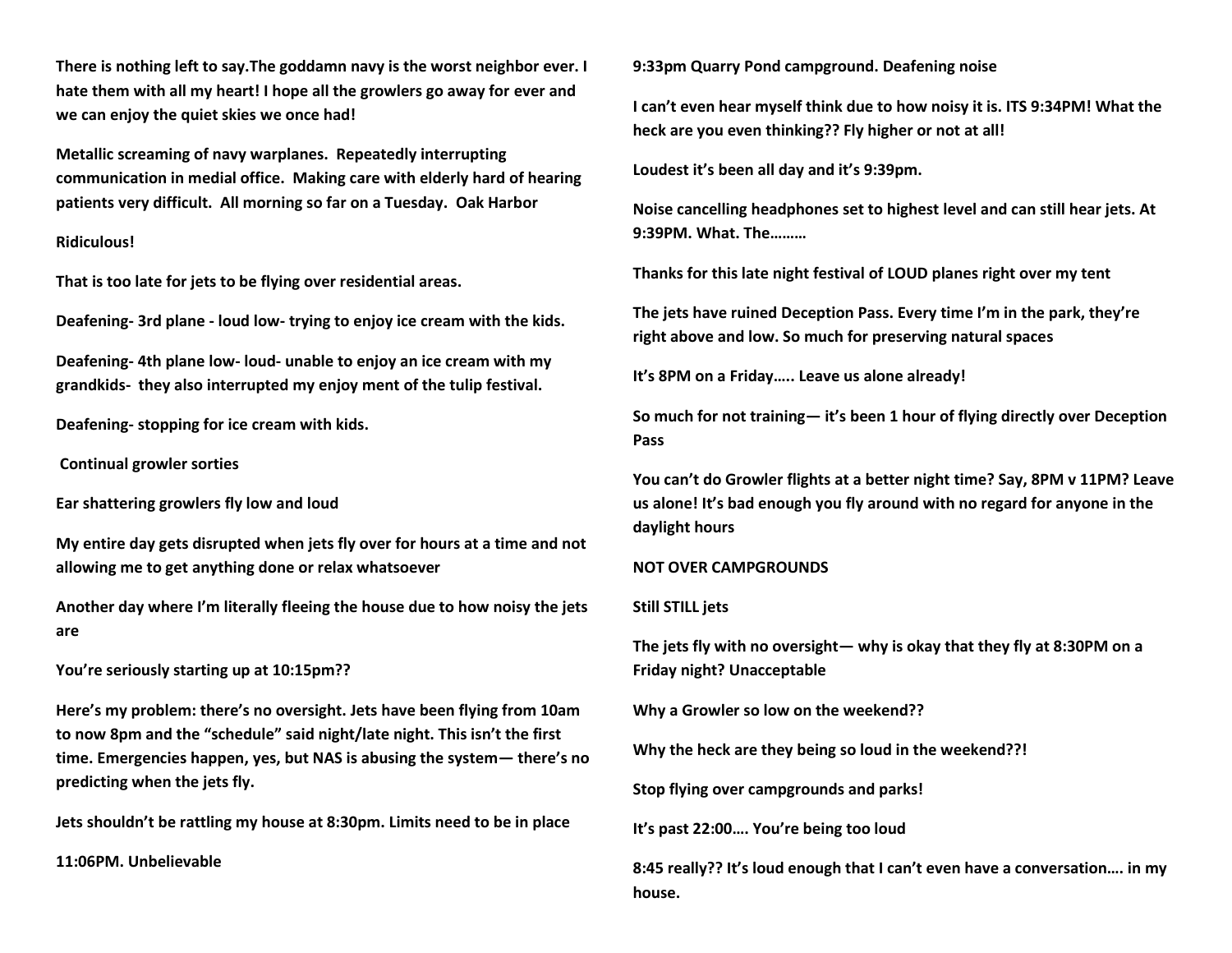**There is nothing left to say.The goddamn navy is the worst neighbor ever. I hate them with all my heart! I hope all the growlers go away for ever and we can enjoy the quiet skies we once had!**

**Metallic screaming of navy warplanes. Repeatedly interrupting communication in medial office. Making care with elderly hard of hearing patients very difficult. All morning so far on a Tuesday. Oak Harbor**

# **Ridiculous!**

**That is too late for jets to be flying over residential areas.** 

**Deafening- 3rd plane - loud low- trying to enjoy ice cream with the kids.**

**Deafening- 4th plane low- loud- unable to enjoy an ice cream with my grandkids- they also interrupted my enjoy ment of the tulip festival.**

**Deafening- stopping for ice cream with kids.**

**Continual growler sorties**

**Ear shattering growlers fly low and loud**

**My entire day gets disrupted when jets fly over for hours at a time and not allowing me to get anything done or relax whatsoever**

**Another day where I'm literally fleeing the house due to how noisy the jets are**

**You're seriously starting up at 10:15pm??**

**Here's my problem: there's no oversight. Jets have been flying from 10am to now 8pm and the "schedule" said night/late night. This isn't the first time. Emergencies happen, yes, but NAS is abusing the system— there's no predicting when the jets fly.**

**Jets shouldn't be rattling my house at 8:30pm. Limits need to be in place**

**11:06PM. Unbelievable** 

**9:33pm Quarry Pond campground. Deafening noise** 

**I can't even hear myself think due to how noisy it is. ITS 9:34PM! What the heck are you even thinking?? Fly higher or not at all!**

**Loudest it's been all day and it's 9:39pm.** 

**Noise cancelling headphones set to highest level and can still hear jets. At 9:39PM. What. The………**

**Thanks for this late night festival of LOUD planes right over my tent**

**The jets have ruined Deception Pass. Every time I'm in the park, they're right above and low. So much for preserving natural spaces**

**It's 8PM on a Friday….. Leave us alone already!**

**So much for not training— it's been 1 hour of flying directly over Deception Pass**

**You can't do Growler flights at a better night time? Say, 8PM v 11PM? Leave us alone! It's bad enough you fly around with no regard for anyone in the daylight hours**

#### **NOT OVER CAMPGROUNDS**

#### **Still STILL jets**

**The jets fly with no oversight— why is okay that they fly at 8:30PM on a Friday night? Unacceptable**

**Why a Growler so low on the weekend??**

**Why the heck are they being so loud in the weekend??!**

**Stop flying over campgrounds and parks!**

**It's past 22:00…. You're being too loud**

**8:45 really?? It's loud enough that I can't even have a conversation…. in my house.**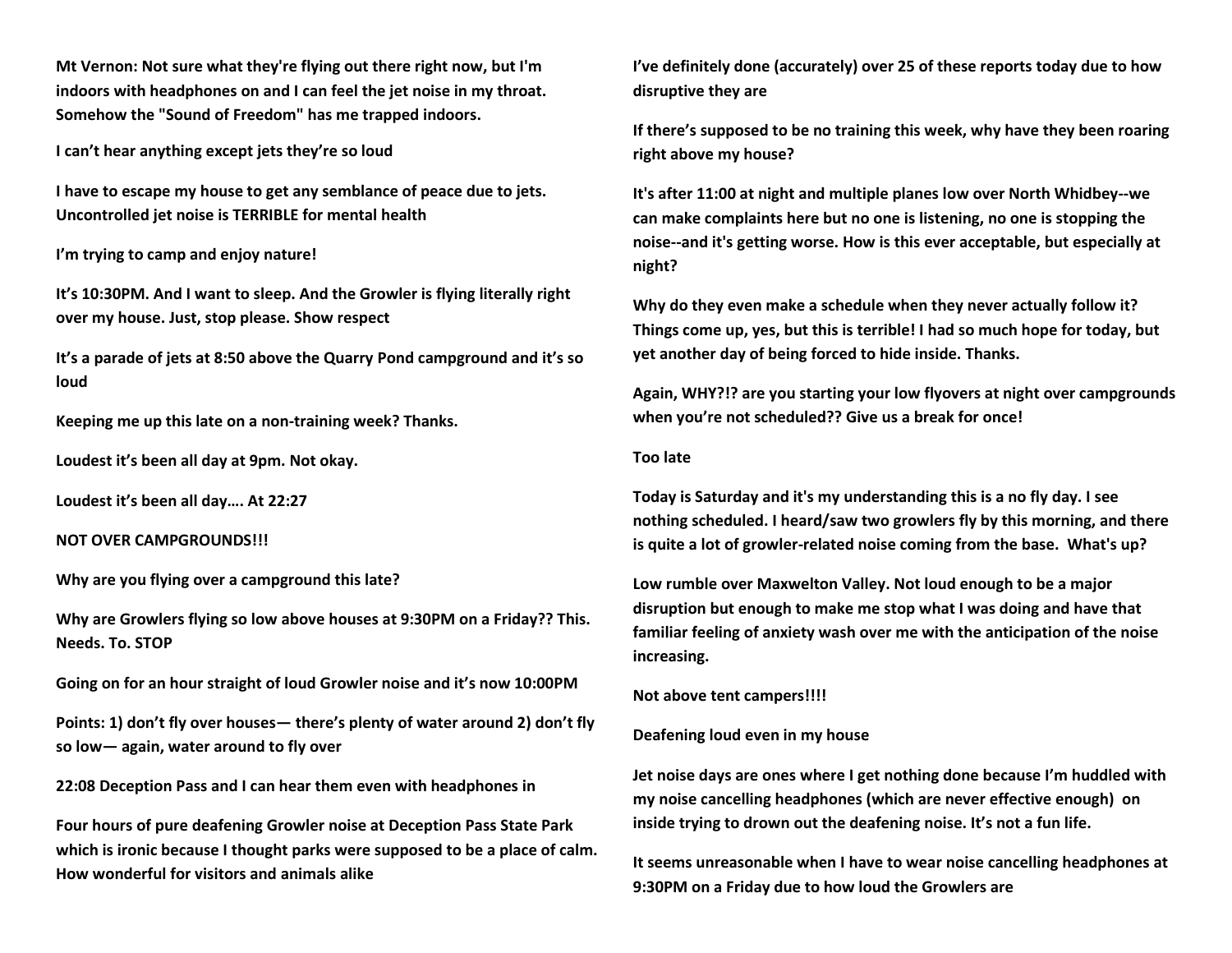**Mt Vernon: Not sure what they're flying out there right now, but I'm indoors with headphones on and I can feel the jet noise in my throat. Somehow the "Sound of Freedom" has me trapped indoors.**

**I can't hear anything except jets they're so loud**

**I have to escape my house to get any semblance of peace due to jets. Uncontrolled jet noise is TERRIBLE for mental health**

**I'm trying to camp and enjoy nature!**

**It's 10:30PM. And I want to sleep. And the Growler is flying literally right over my house. Just, stop please. Show respect** 

**It's a parade of jets at 8:50 above the Quarry Pond campground and it's so loud**

**Keeping me up this late on a non-training week? Thanks.**

**Loudest it's been all day at 9pm. Not okay.**

**Loudest it's been all day…. At 22:27**

**NOT OVER CAMPGROUNDS!!!**

**Why are you flying over a campground this late?**

**Why are Growlers flying so low above houses at 9:30PM on a Friday?? This. Needs. To. STOP**

**Going on for an hour straight of loud Growler noise and it's now 10:00PM**

**Points: 1) don't fly over houses— there's plenty of water around 2) don't fly so low— again, water around to fly over**

**22:08 Deception Pass and I can hear them even with headphones in**

**Four hours of pure deafening Growler noise at Deception Pass State Park which is ironic because I thought parks were supposed to be a place of calm. How wonderful for visitors and animals alike**

**I've definitely done (accurately) over 25 of these reports today due to how disruptive they are** 

**If there's supposed to be no training this week, why have they been roaring right above my house?**

**It's after 11:00 at night and multiple planes low over North Whidbey--we can make complaints here but no one is listening, no one is stopping the noise--and it's getting worse. How is this ever acceptable, but especially at night?**

**Why do they even make a schedule when they never actually follow it? Things come up, yes, but this is terrible! I had so much hope for today, but yet another day of being forced to hide inside. Thanks.**

**Again, WHY?!? are you starting your low flyovers at night over campgrounds when you're not scheduled?? Give us a break for once!** 

#### **Too late**

**Today is Saturday and it's my understanding this is a no fly day. I see nothing scheduled. I heard/saw two growlers fly by this morning, and there is quite a lot of growler-related noise coming from the base. What's up?**

**Low rumble over Maxwelton Valley. Not loud enough to be a major disruption but enough to make me stop what I was doing and have that familiar feeling of anxiety wash over me with the anticipation of the noise increasing.**

**Not above tent campers!!!!**

**Deafening loud even in my house** 

**Jet noise days are ones where I get nothing done because I'm huddled with my noise cancelling headphones (which are never effective enough) on inside trying to drown out the deafening noise. It's not a fun life.**

**It seems unreasonable when I have to wear noise cancelling headphones at 9:30PM on a Friday due to how loud the Growlers are**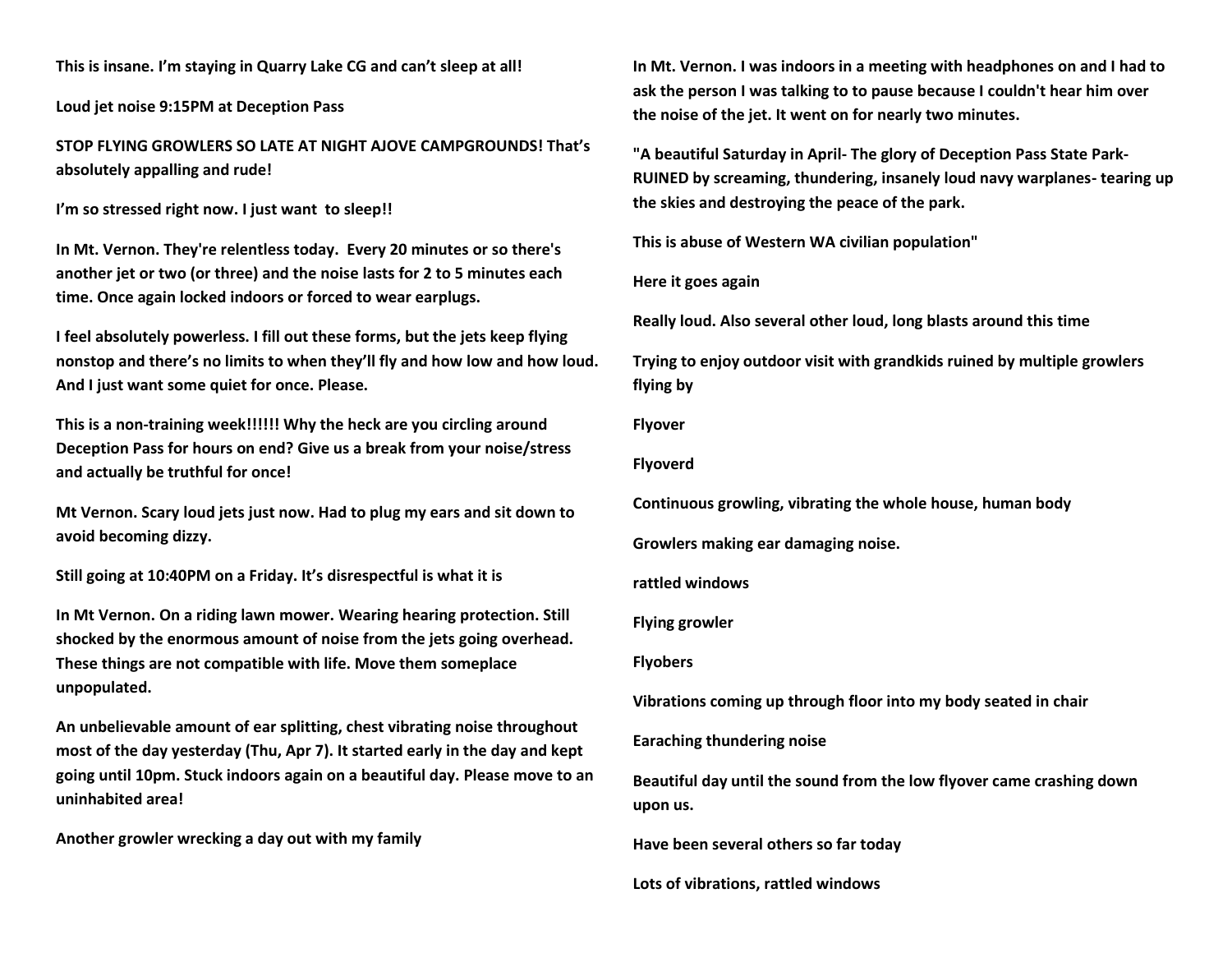**This is insane. I'm staying in Quarry Lake CG and can't sleep at all!**

**Loud jet noise 9:15PM at Deception Pass**

**STOP FLYING GROWLERS SO LATE AT NIGHT AJOVE CAMPGROUNDS! That's absolutely appalling and rude!**

**I'm so stressed right now. I just want to sleep!!**

**In Mt. Vernon. They're relentless today. Every 20 minutes or so there's another jet or two (or three) and the noise lasts for 2 to 5 minutes each time. Once again locked indoors or forced to wear earplugs.**

**I feel absolutely powerless. I fill out these forms, but the jets keep flying nonstop and there's no limits to when they'll fly and how low and how loud. And I just want some quiet for once. Please.**

**This is a non-training week!!!!!! Why the heck are you circling around Deception Pass for hours on end? Give us a break from your noise/stress and actually be truthful for once!**

**Mt Vernon. Scary loud jets just now. Had to plug my ears and sit down to avoid becoming dizzy.**

**Still going at 10:40PM on a Friday. It's disrespectful is what it is**

**In Mt Vernon. On a riding lawn mower. Wearing hearing protection. Still shocked by the enormous amount of noise from the jets going overhead. These things are not compatible with life. Move them someplace unpopulated.**

**An unbelievable amount of ear splitting, chest vibrating noise throughout most of the day yesterday (Thu, Apr 7). It started early in the day and kept going until 10pm. Stuck indoors again on a beautiful day. Please move to an uninhabited area!**

**Another growler wrecking a day out with my family**

**In Mt. Vernon. I was indoors in a meeting with headphones on and I had to ask the person I was talking to to pause because I couldn't hear him over the noise of the jet. It went on for nearly two minutes.**

**"A beautiful Saturday in April- The glory of Deception Pass State Park-RUINED by screaming, thundering, insanely loud navy warplanes- tearing up the skies and destroying the peace of the park.**

**This is abuse of Western WA civilian population"**

**Here it goes again**

**Really loud. Also several other loud, long blasts around this time**

**Trying to enjoy outdoor visit with grandkids ruined by multiple growlers flying by**

**Flyover**

**Flyoverd**

**Continuous growling, vibrating the whole house, human body**

**Growlers making ear damaging noise.** 

**rattled windows**

**Flying growler**

**Flyobers**

**Vibrations coming up through floor into my body seated in chair**

**Earaching thundering noise**

**Beautiful day until the sound from the low flyover came crashing down upon us.**

**Have been several others so far today**

**Lots of vibrations, rattled windows**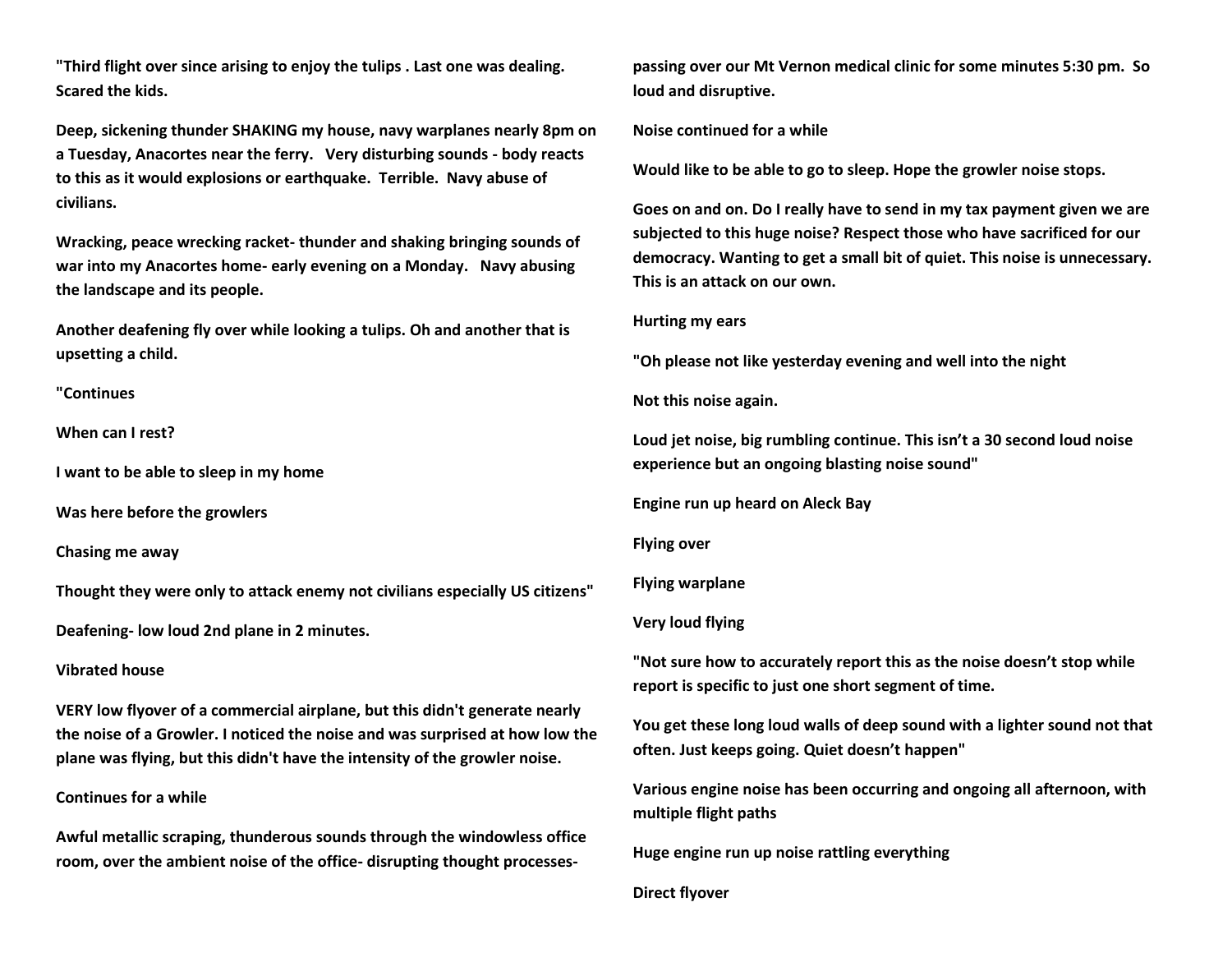**"Third flight over since arising to enjoy the tulips . Last one was dealing. Scared the kids.**

**Deep, sickening thunder SHAKING my house, navy warplanes nearly 8pm on a Tuesday, Anacortes near the ferry. Very disturbing sounds - body reacts to this as it would explosions or earthquake. Terrible. Navy abuse of civilians.** 

**Wracking, peace wrecking racket- thunder and shaking bringing sounds of war into my Anacortes home- early evening on a Monday. Navy abusing the landscape and its people.**

**Another deafening fly over while looking a tulips. Oh and another that is upsetting a child.**

**"Continues**

**When can I rest?**

**I want to be able to sleep in my home**

**Was here before the growlers**

**Chasing me away**

**Thought they were only to attack enemy not civilians especially US citizens"**

**Deafening- low loud 2nd plane in 2 minutes.**

# **Vibrated house**

**VERY low flyover of a commercial airplane, but this didn't generate nearly the noise of a Growler. I noticed the noise and was surprised at how low the plane was flying, but this didn't have the intensity of the growler noise.** 

# **Continues for a while**

**Awful metallic scraping, thunderous sounds through the windowless office room, over the ambient noise of the office- disrupting thought processes-** **passing over our Mt Vernon medical clinic for some minutes 5:30 pm. So loud and disruptive.**

**Noise continued for a while**

**Would like to be able to go to sleep. Hope the growler noise stops.**

**Goes on and on. Do I really have to send in my tax payment given we are subjected to this huge noise? Respect those who have sacrificed for our democracy. Wanting to get a small bit of quiet. This noise is unnecessary. This is an attack on our own.**

#### **Hurting my ears**

**"Oh please not like yesterday evening and well into the night**

**Not this noise again.**

**Loud jet noise, big rumbling continue. This isn't a 30 second loud noise experience but an ongoing blasting noise sound"**

**Engine run up heard on Aleck Bay**

**Flying over**

**Flying warplane**

## **Very loud flying**

**"Not sure how to accurately report this as the noise doesn't stop while report is specific to just one short segment of time.**

**You get these long loud walls of deep sound with a lighter sound not that often. Just keeps going. Quiet doesn't happen"**

**Various engine noise has been occurring and ongoing all afternoon, with multiple flight paths** 

**Huge engine run up noise rattling everything** 

**Direct flyover**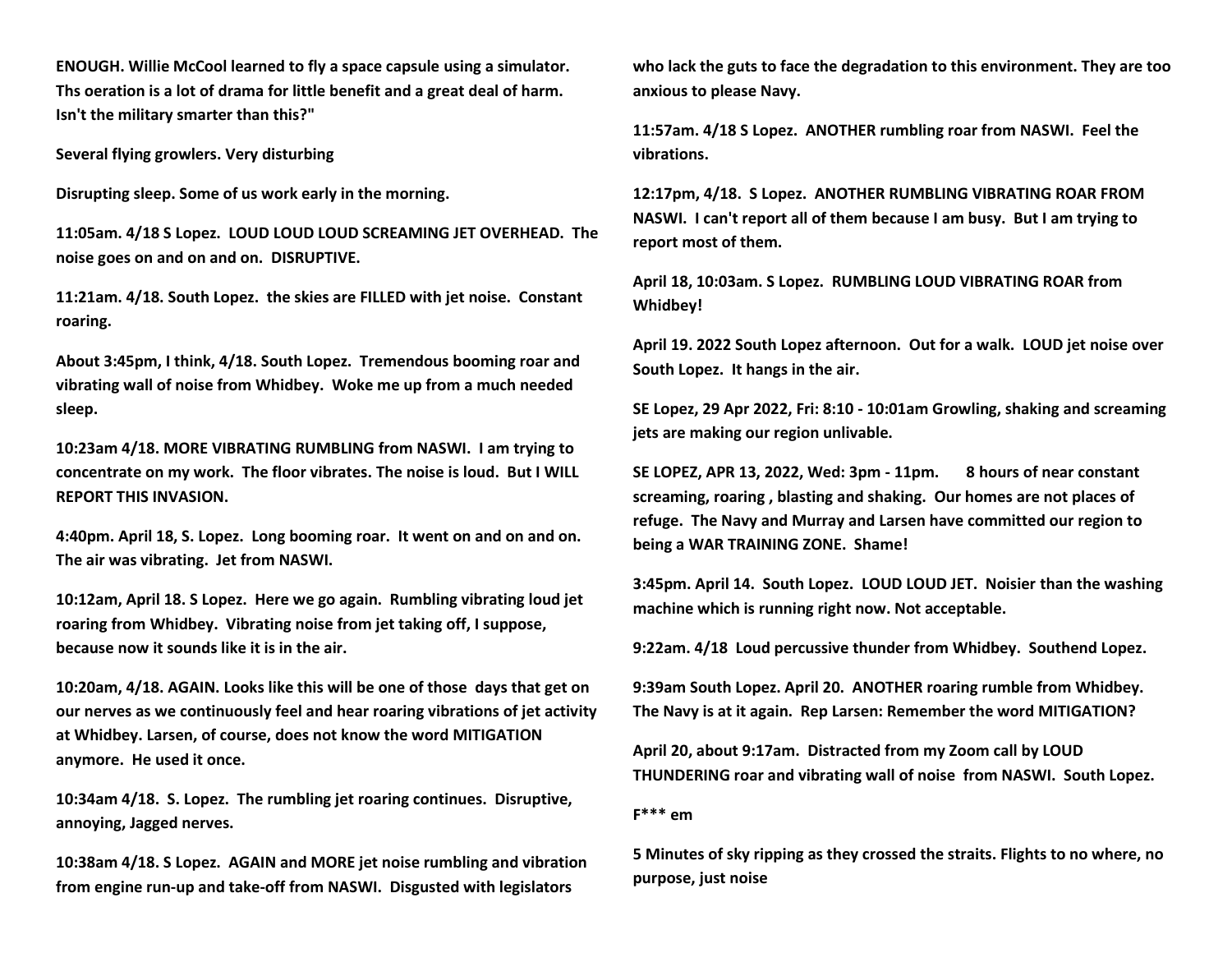**ENOUGH. Willie McCool learned to fly a space capsule using a simulator. Ths oeration is a lot of drama for little benefit and a great deal of harm. Isn't the military smarter than this?"**

**Several flying growlers. Very disturbing** 

**Disrupting sleep. Some of us work early in the morning.** 

**11:05am. 4/18 S Lopez. LOUD LOUD LOUD SCREAMING JET OVERHEAD. The noise goes on and on and on. DISRUPTIVE.**

**11:21am. 4/18. South Lopez. the skies are FILLED with jet noise. Constant roaring.** 

**About 3:45pm, I think, 4/18. South Lopez. Tremendous booming roar and vibrating wall of noise from Whidbey. Woke me up from a much needed sleep.**

**10:23am 4/18. MORE VIBRATING RUMBLING from NASWI. I am trying to concentrate on my work. The floor vibrates. The noise is loud. But I WILL REPORT THIS INVASION.**

**4:40pm. April 18, S. Lopez. Long booming roar. It went on and on and on. The air was vibrating. Jet from NASWI.**

**10:12am, April 18. S Lopez. Here we go again. Rumbling vibrating loud jet roaring from Whidbey. Vibrating noise from jet taking off, I suppose, because now it sounds like it is in the air.**

**10:20am, 4/18. AGAIN. Looks like this will be one of those days that get on our nerves as we continuously feel and hear roaring vibrations of jet activity at Whidbey. Larsen, of course, does not know the word MITIGATION anymore. He used it once.**

**10:34am 4/18. S. Lopez. The rumbling jet roaring continues. Disruptive, annoying, Jagged nerves.**

**10:38am 4/18. S Lopez. AGAIN and MORE jet noise rumbling and vibration from engine run-up and take-off from NASWI. Disgusted with legislators** 

**who lack the guts to face the degradation to this environment. They are too anxious to please Navy.**

**11:57am. 4/18 S Lopez. ANOTHER rumbling roar from NASWI. Feel the vibrations.**

**12:17pm, 4/18. S Lopez. ANOTHER RUMBLING VIBRATING ROAR FROM NASWI. I can't report all of them because I am busy. But I am trying to report most of them.**

**April 18, 10:03am. S Lopez. RUMBLING LOUD VIBRATING ROAR from Whidbey!**

**April 19. 2022 South Lopez afternoon. Out for a walk. LOUD jet noise over South Lopez. It hangs in the air.**

**SE Lopez, 29 Apr 2022, Fri: 8:10 - 10:01am Growling, shaking and screaming jets are making our region unlivable.** 

**SE LOPEZ, APR 13, 2022, Wed: 3pm - 11pm. 8 hours of near constant screaming, roaring , blasting and shaking. Our homes are not places of refuge. The Navy and Murray and Larsen have committed our region to being a WAR TRAINING ZONE. Shame!**

**3:45pm. April 14. South Lopez. LOUD LOUD JET. Noisier than the washing machine which is running right now. Not acceptable.**

**9:22am. 4/18 Loud percussive thunder from Whidbey. Southend Lopez.**

**9:39am South Lopez. April 20. ANOTHER roaring rumble from Whidbey. The Navy is at it again. Rep Larsen: Remember the word MITIGATION?**

**April 20, about 9:17am. Distracted from my Zoom call by LOUD THUNDERING roar and vibrating wall of noise from NASWI. South Lopez.**

**F\*\*\* em**

**5 Minutes of sky ripping as they crossed the straits. Flights to no where, no purpose, just noise**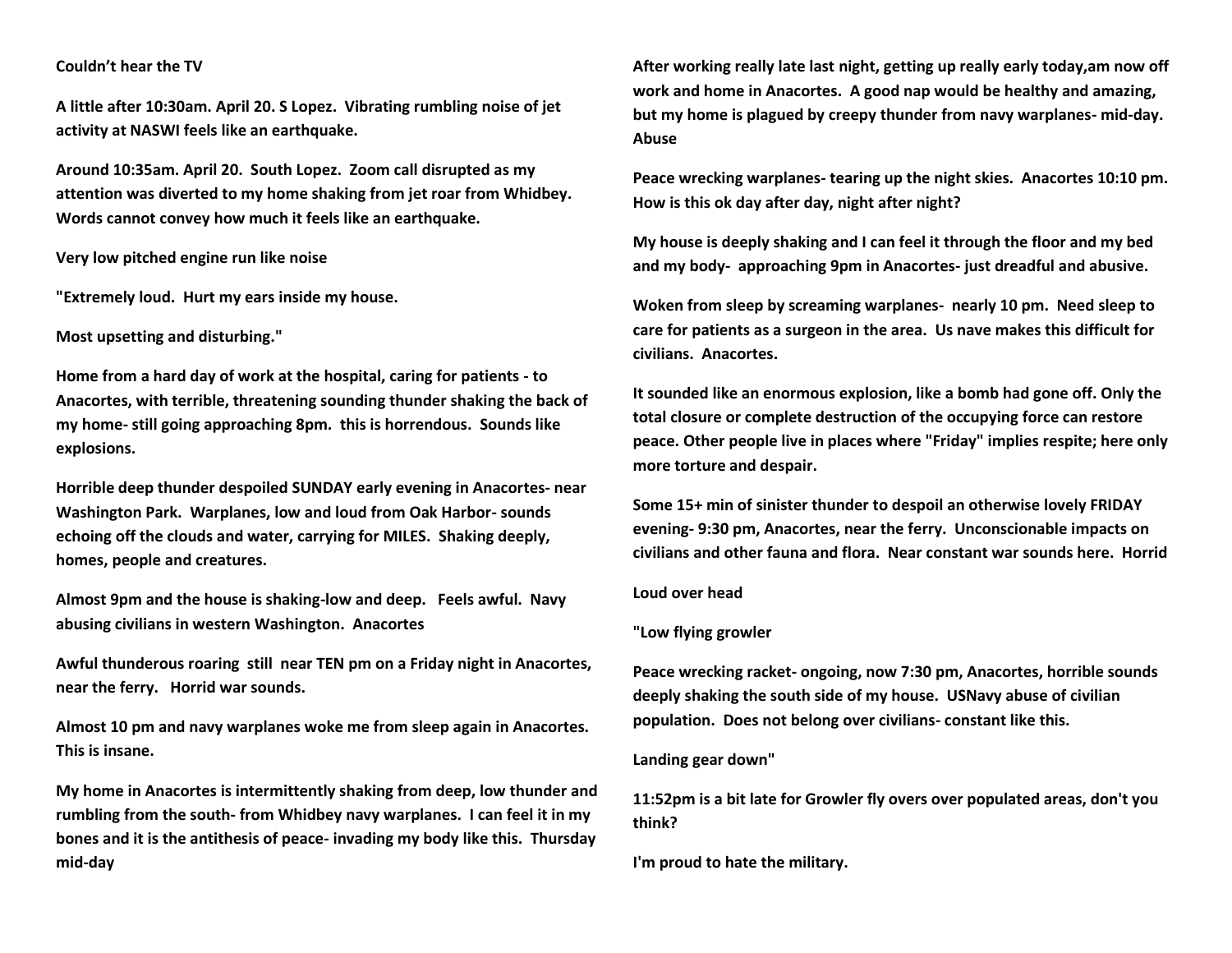## **Couldn't hear the TV**

**A little after 10:30am. April 20. S Lopez. Vibrating rumbling noise of jet activity at NASWI feels like an earthquake.**

**Around 10:35am. April 20. South Lopez. Zoom call disrupted as my attention was diverted to my home shaking from jet roar from Whidbey. Words cannot convey how much it feels like an earthquake.**

**Very low pitched engine run like noise** 

**"Extremely loud. Hurt my ears inside my house.**

**Most upsetting and disturbing."**

**Home from a hard day of work at the hospital, caring for patients - to Anacortes, with terrible, threatening sounding thunder shaking the back of my home- still going approaching 8pm. this is horrendous. Sounds like explosions.**

**Horrible deep thunder despoiled SUNDAY early evening in Anacortes- near Washington Park. Warplanes, low and loud from Oak Harbor- sounds echoing off the clouds and water, carrying for MILES. Shaking deeply, homes, people and creatures.**

**Almost 9pm and the house is shaking-low and deep. Feels awful. Navy abusing civilians in western Washington. Anacortes** 

**Awful thunderous roaring still near TEN pm on a Friday night in Anacortes, near the ferry. Horrid war sounds.**

**Almost 10 pm and navy warplanes woke me from sleep again in Anacortes. This is insane.**

**My home in Anacortes is intermittently shaking from deep, low thunder and rumbling from the south- from Whidbey navy warplanes. I can feel it in my bones and it is the antithesis of peace- invading my body like this. Thursday mid-day**

**After working really late last night, getting up really early today,am now off work and home in Anacortes. A good nap would be healthy and amazing, but my home is plagued by creepy thunder from navy warplanes- mid-day. Abuse**

**Peace wrecking warplanes- tearing up the night skies. Anacortes 10:10 pm. How is this ok day after day, night after night?**

**My house is deeply shaking and I can feel it through the floor and my bed and my body- approaching 9pm in Anacortes- just dreadful and abusive.** 

**Woken from sleep by screaming warplanes- nearly 10 pm. Need sleep to care for patients as a surgeon in the area. Us nave makes this difficult for civilians. Anacortes.**

**It sounded like an enormous explosion, like a bomb had gone off. Only the total closure or complete destruction of the occupying force can restore peace. Other people live in places where "Friday" implies respite; here only more torture and despair.**

**Some 15+ min of sinister thunder to despoil an otherwise lovely FRIDAY evening- 9:30 pm, Anacortes, near the ferry. Unconscionable impacts on civilians and other fauna and flora. Near constant war sounds here. Horrid**

**Loud over head**

#### **"Low flying growler**

**Peace wrecking racket- ongoing, now 7:30 pm, Anacortes, horrible sounds deeply shaking the south side of my house. USNavy abuse of civilian population. Does not belong over civilians- constant like this.**

#### **Landing gear down"**

**11:52pm is a bit late for Growler fly overs over populated areas, don't you think?**

**I'm proud to hate the military.**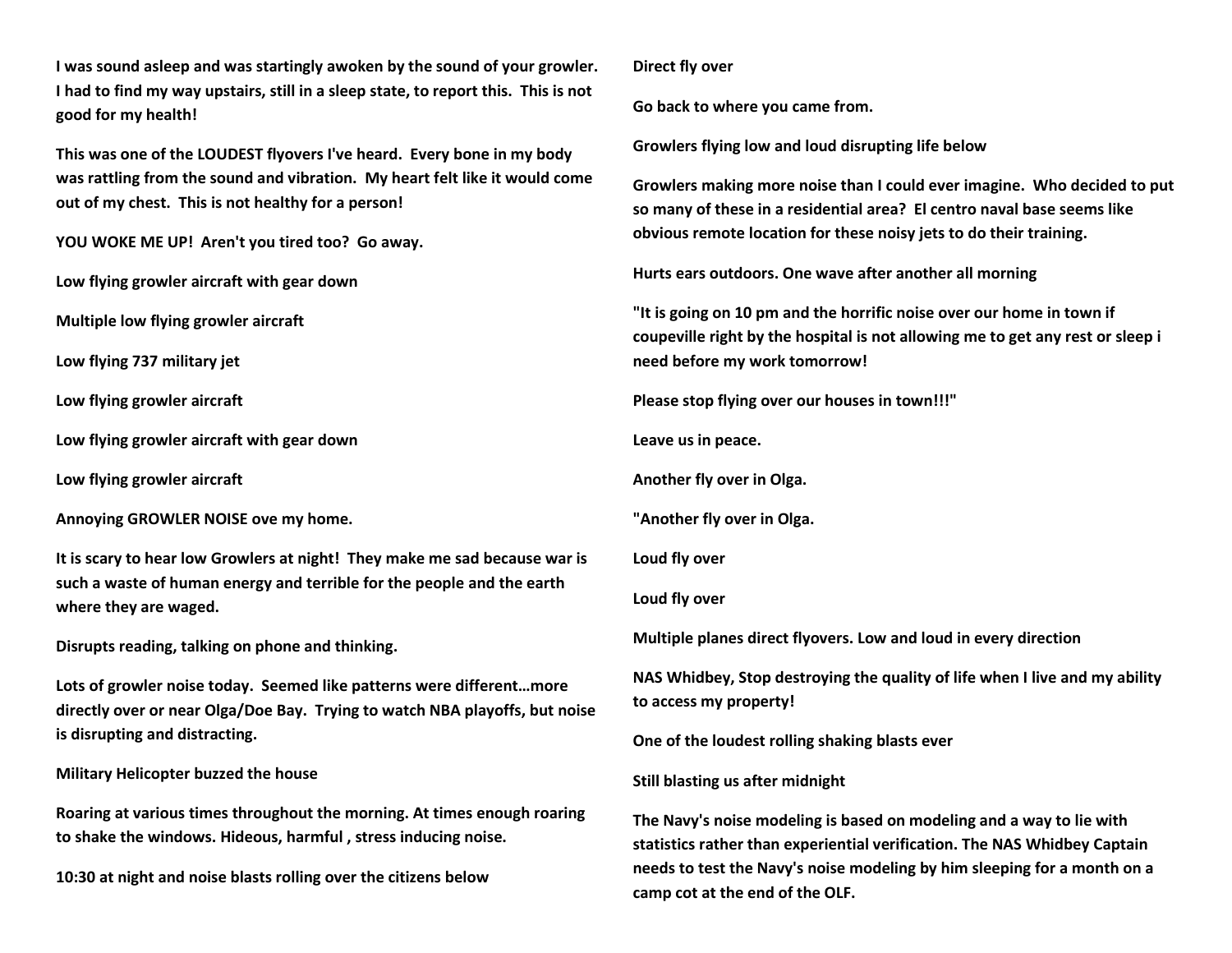**I was sound asleep and was startingly awoken by the sound of your growler. I had to find my way upstairs, still in a sleep state, to report this. This is not good for my health!**

**This was one of the LOUDEST flyovers I've heard. Every bone in my body was rattling from the sound and vibration. My heart felt like it would come out of my chest. This is not healthy for a person!** 

**YOU WOKE ME UP! Aren't you tired too? Go away.**

**Low flying growler aircraft with gear down** 

**Multiple low flying growler aircraft** 

**Low flying 737 military jet**

**Low flying growler aircraft** 

**Low flying growler aircraft with gear down** 

**Low flying growler aircraft** 

**Annoying GROWLER NOISE ove my home.**

**It is scary to hear low Growlers at night! They make me sad because war is such a waste of human energy and terrible for the people and the earth where they are waged.**

**Disrupts reading, talking on phone and thinking.**

**Lots of growler noise today. Seemed like patterns were different…more directly over or near Olga/Doe Bay. Trying to watch NBA playoffs, but noise is disrupting and distracting.**

**Military Helicopter buzzed the house**

**Roaring at various times throughout the morning. At times enough roaring to shake the windows. Hideous, harmful , stress inducing noise.** 

**10:30 at night and noise blasts rolling over the citizens below** 

**Direct fly over**

**Go back to where you came from.** 

**Growlers flying low and loud disrupting life below** 

**Growlers making more noise than I could ever imagine. Who decided to put so many of these in a residential area? El centro naval base seems like obvious remote location for these noisy jets to do their training.**

**Hurts ears outdoors. One wave after another all morning**

**"It is going on 10 pm and the horrific noise over our home in town if coupeville right by the hospital is not allowing me to get any rest or sleep i need before my work tomorrow!** 

**Please stop flying over our houses in town!!!"**

**Leave us in peace.** 

**Another fly over in Olga.** 

**"Another fly over in Olga.** 

**Loud fly over**

**Loud fly over**

**Multiple planes direct flyovers. Low and loud in every direction**

**NAS Whidbey, Stop destroying the quality of life when I live and my ability to access my property!**

**One of the loudest rolling shaking blasts ever**

**Still blasting us after midnight**

**The Navy's noise modeling is based on modeling and a way to lie with statistics rather than experiential verification. The NAS Whidbey Captain needs to test the Navy's noise modeling by him sleeping for a month on a camp cot at the end of the OLF.**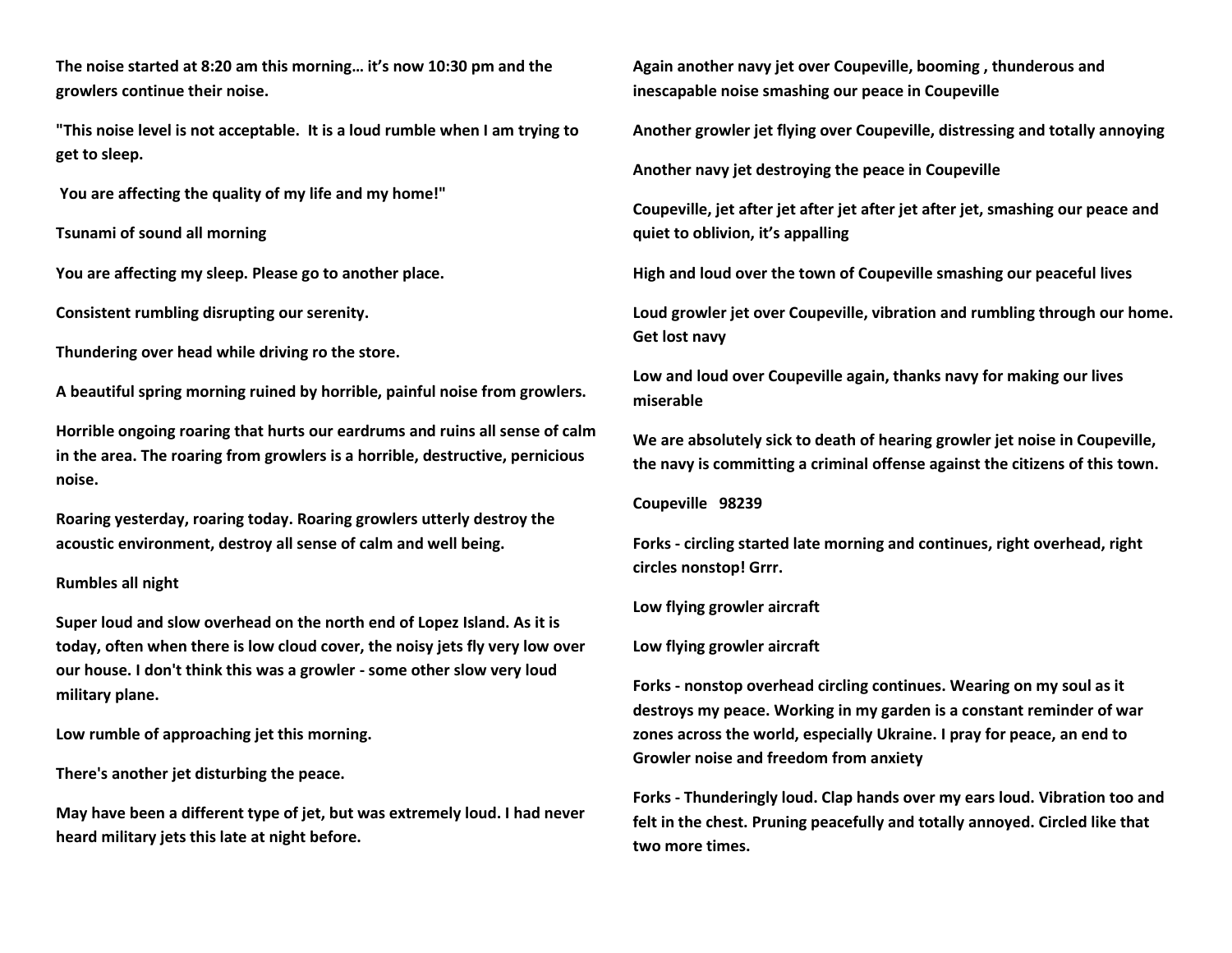**The noise started at 8:20 am this morning… it's now 10:30 pm and the growlers continue their noise.** 

**"This noise level is not acceptable. It is a loud rumble when I am trying to get to sleep.**

**You are affecting the quality of my life and my home!"**

**Tsunami of sound all morning**

**You are affecting my sleep. Please go to another place.**

**Consistent rumbling disrupting our serenity.**

**Thundering over head while driving ro the store.**

**A beautiful spring morning ruined by horrible, painful noise from growlers.**

**Horrible ongoing roaring that hurts our eardrums and ruins all sense of calm in the area. The roaring from growlers is a horrible, destructive, pernicious noise.** 

**Roaring yesterday, roaring today. Roaring growlers utterly destroy the acoustic environment, destroy all sense of calm and well being.** 

## **Rumbles all night**

**Super loud and slow overhead on the north end of Lopez Island. As it is today, often when there is low cloud cover, the noisy jets fly very low over our house. I don't think this was a growler - some other slow very loud military plane.**

**Low rumble of approaching jet this morning.** 

**There's another jet disturbing the peace.** 

**May have been a different type of jet, but was extremely loud. I had never heard military jets this late at night before.**

**Again another navy jet over Coupeville, booming , thunderous and inescapable noise smashing our peace in Coupeville** 

**Another growler jet flying over Coupeville, distressing and totally annoying**

**Another navy jet destroying the peace in Coupeville** 

**Coupeville, jet after jet after jet after jet after jet, smashing our peace and quiet to oblivion, it's appalling** 

**High and loud over the town of Coupeville smashing our peaceful lives** 

**Loud growler jet over Coupeville, vibration and rumbling through our home. Get lost navy**

**Low and loud over Coupeville again, thanks navy for making our lives miserable** 

**We are absolutely sick to death of hearing growler jet noise in Coupeville, the navy is committing a criminal offense against the citizens of this town.** 

**Coupeville 98239**

**Forks - circling started late morning and continues, right overhead, right circles nonstop! Grrr.**

**Low flying growler aircraft** 

**Low flying growler aircraft** 

**Forks - nonstop overhead circling continues. Wearing on my soul as it destroys my peace. Working in my garden is a constant reminder of war zones across the world, especially Ukraine. I pray for peace, an end to Growler noise and freedom from anxiety**

**Forks - Thunderingly loud. Clap hands over my ears loud. Vibration too and felt in the chest. Pruning peacefully and totally annoyed. Circled like that two more times.**